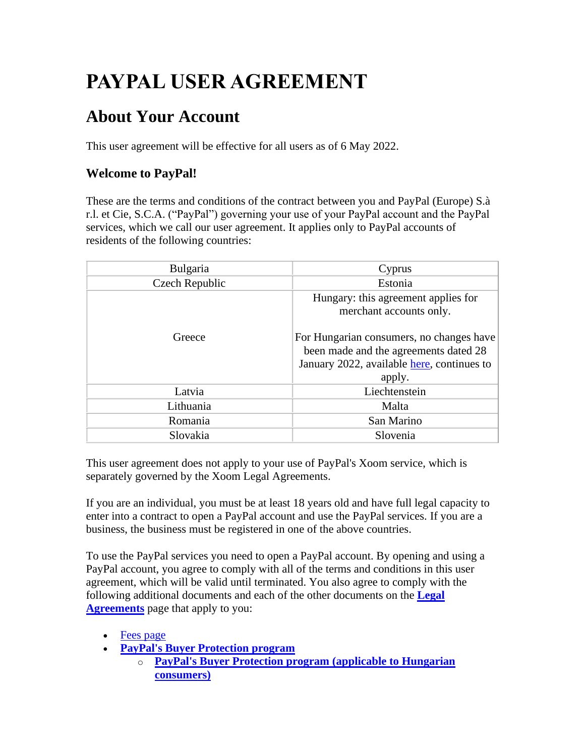# **PAYPAL USER AGREEMENT**

## **About Your Account**

This user agreement will be effective for all users as of 6 May 2022.

## **Welcome to PayPal!**

These are the terms and conditions of the contract between you and PayPal (Europe) S.à r.l. et Cie, S.C.A. ("PayPal") governing your use of your PayPal account and the PayPal services, which we call our user agreement. It applies only to PayPal accounts of residents of the following countries:

| Bulgaria       | Cyprus                                                                                                                                    |
|----------------|-------------------------------------------------------------------------------------------------------------------------------------------|
| Czech Republic | Estonia                                                                                                                                   |
|                | Hungary: this agreement applies for<br>merchant accounts only.                                                                            |
| Greece         | For Hungarian consumers, no changes have<br>been made and the agreements dated 28<br>January 2022, available here, continues to<br>apply. |
| Latvia         | Liechtenstein                                                                                                                             |
| Lithuania      | Malta                                                                                                                                     |
| Romania        | San Marino                                                                                                                                |
| Slovakia       | Slovenia                                                                                                                                  |

This user agreement does not apply to your use of PayPal's Xoom service, which is separately governed by the Xoom Legal Agreements.

If you are an individual, you must be at least 18 years old and have full legal capacity to enter into a contract to open a PayPal account and use the PayPal services. If you are a business, the business must be registered in one of the above countries.

To use the PayPal services you need to open a PayPal account. By opening and using a PayPal account, you agree to comply with all of the terms and conditions in this user agreement, which will be valid until terminated. You also agree to comply with the following additional documents and each of the other documents on the **[Legal](https://www.paypal.com/cz/webapps/mpp/ua/legalhub-full?locale.x=en_CZ)  [Agreements](https://www.paypal.com/cz/webapps/mpp/ua/legalhub-full?locale.x=en_CZ)** page that apply to you:

- [Fees page](#page-53-0)
- **[PayPal's Buyer Protection program](https://www.paypal.com/cz/webapps/mpp/ua/buyer-protection?locale.x=en_CZ)**
	- o **[PayPal's Buyer Protection program \(applicable to Hungarian](https://www.paypal.com/hu/webapps/mpp/ua/buyer-protection)  [consumers\)](https://www.paypal.com/hu/webapps/mpp/ua/buyer-protection)**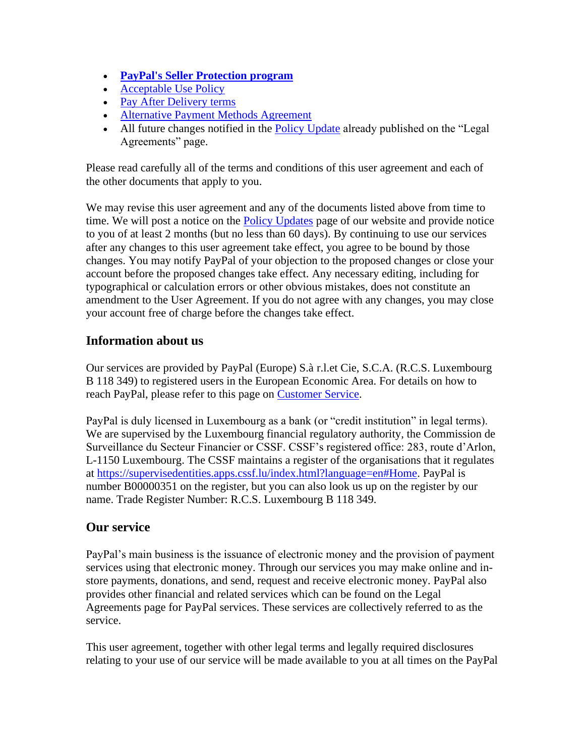- **[PayPal's Seller Protection program](https://www.paypal.com/cz/webapps/mpp/ua/seller-protection?locale.x=en_CZ)**
- [Acceptable Use Policy](https://www.paypal.com/cz/webapps/mpp/ua/acceptableuse-full?locale.x=en_CZ)
- [Pay After Delivery terms](https://www.paypal.com/cz/webapps/mpp/pay-after-delivery-terms?locale.x=en_CZ)
- [Alternative Payment Methods Agreement](https://www.paypal.com/cz/webapps/mpp/ua/apm-tnc?locale.x=en_CZ)
- All future changes notified in the [Policy Update](https://www.paypal.com/cz/webapps/mpp/ua/upcoming-policies-full?locale.x=en_CZ) already published on the "Legal" Agreements" page.

Please read carefully all of the terms and conditions of this user agreement and each of the other documents that apply to you.

We may revise this user agreement and any of the documents listed above from time to time. We will post a notice on the [Policy Updates](https://www.paypal.com/cz/webapps/mpp/ua/upcoming-policies-full?locale.x=en_CZ) page of our website and provide notice to you of at least 2 months (but no less than 60 days). By continuing to use our services after any changes to this user agreement take effect, you agree to be bound by those changes. You may notify PayPal of your objection to the proposed changes or close your account before the proposed changes take effect. Any necessary editing, including for typographical or calculation errors or other obvious mistakes, does not constitute an amendment to the User Agreement. If you do not agree with any changes, you may close your account free of charge before the changes take effect.

## **Information about us**

Our services are provided by PayPal (Europe) S.à r.l.et Cie, S.C.A. (R.C.S. Luxembourg B 118 349) to registered users in the European Economic Area. For details on how to reach PayPal, please refer to this page on [Customer Service.](https://www.paypal.com/cz/smarthelp/home?locale.x=en_CZ)

PayPal is duly licensed in Luxembourg as a bank (or "credit institution" in legal terms). We are supervised by the Luxembourg financial regulatory authority, the Commission de Surveillance du Secteur Financier or CSSF. CSSF's registered office: 283, route d'Arlon, L-1150 Luxembourg. The CSSF maintains a register of the organisations that it regulates at [https://supervisedentities.apps.cssf.lu/index.html?language=en#Home.](https://supervisedentities.apps.cssf.lu/index.html?language=en#Home) PayPal is number B00000351 on the register, but you can also look us up on the register by our name. Trade Register Number: R.C.S. Luxembourg B 118 349.

## **Our service**

PayPal's main business is the issuance of electronic money and the provision of payment services using that electronic money. Through our services you may make online and instore payments, donations, and send, request and receive electronic money. PayPal also provides other financial and related services which can be found on the Legal Agreements page for PayPal services. These services are collectively referred to as the service.

This user agreement, together with other legal terms and legally required disclosures relating to your use of our service will be made available to you at all times on the PayPal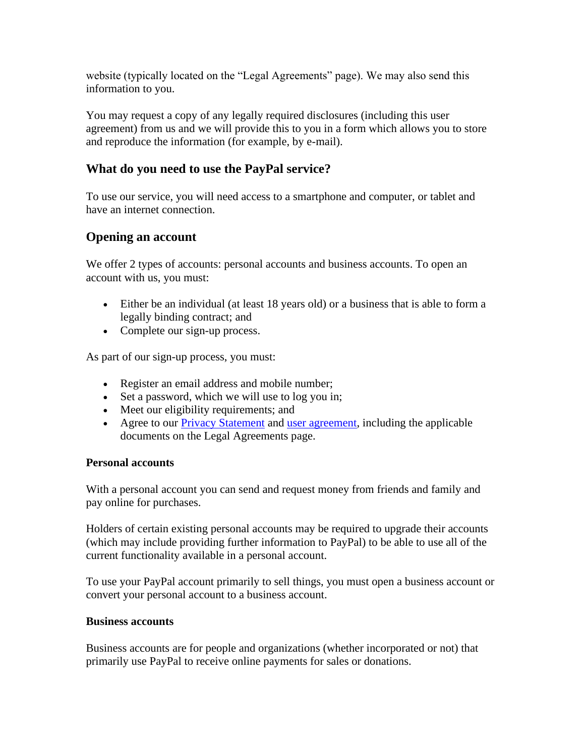website (typically located on the "Legal Agreements" page). We may also send this information to you.

You may request a copy of any legally required disclosures (including this user agreement) from us and we will provide this to you in a form which allows you to store and reproduce the information (for example, by e-mail).

## **What do you need to use the PayPal service?**

To use our service, you will need access to a smartphone and computer, or tablet and have an internet connection.

## **Opening an account**

We offer 2 types of accounts: personal accounts and business accounts. To open an account with us, you must:

- Either be an individual (at least 18 years old) or a business that is able to form a legally binding contract; and
- Complete our sign-up process.

As part of our sign-up process, you must:

- Register an email address and mobile number;
- Set a password, which we will use to log you in;
- Meet our eligibility requirements; and
- Agree to our [Privacy Statement](https://www.paypal.com/cz/webapps/mpp/ua/privacy-full?locale.x=en_CZ) and [user agreement,](https://www.paypal.com/cz/webapps/mpp/ua/useragreement-full?locale.x=en_CZ) including the applicable documents on the Legal Agreements page.

#### **Personal accounts**

With a personal account you can send and request money from friends and family and pay online for purchases.

Holders of certain existing personal accounts may be required to upgrade their accounts (which may include providing further information to PayPal) to be able to use all of the current functionality available in a personal account.

To use your PayPal account primarily to sell things, you must open a business account or convert your personal account to a business account.

#### **Business accounts**

Business accounts are for people and organizations (whether incorporated or not) that primarily use PayPal to receive online payments for sales or donations.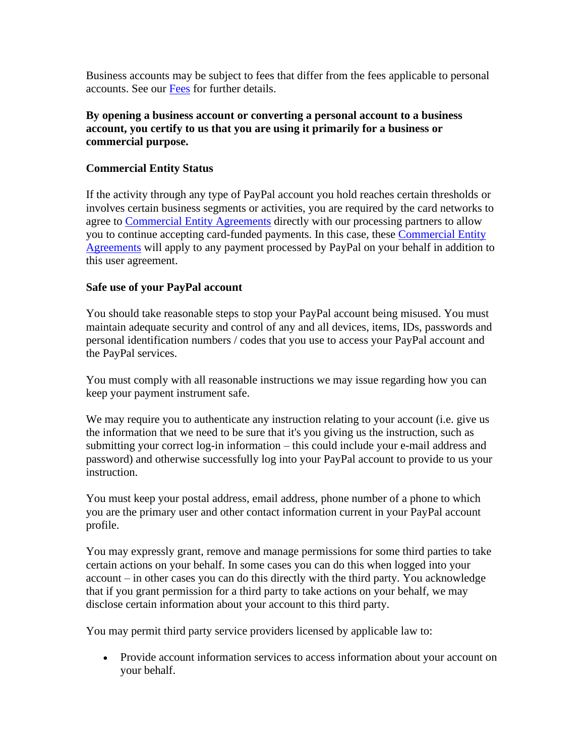Business accounts may be subject to fees that differ from the fees applicable to personal accounts. See our [Fees](#page-53-0) for further details.

#### **By opening a business account or converting a personal account to a business account, you certify to us that you are using it primarily for a business or commercial purpose.**

#### **Commercial Entity Status**

If the activity through any type of PayPal account you hold reaches certain thresholds or involves certain business segments or activities, you are required by the card networks to agree to [Commercial Entity Agreements](https://www.paypal.com/cz/webapps/mpp/ua/ceagreement-full?locale.x=en_CZ) directly with our processing partners to allow you to continue accepting card-funded payments. In this case, these [Commercial Entity](https://www.paypal.com/cz/webapps/mpp/ua/ceagreement-full?locale.x=en_CZ)  [Agreements](https://www.paypal.com/cz/webapps/mpp/ua/ceagreement-full?locale.x=en_CZ) will apply to any payment processed by PayPal on your behalf in addition to this user agreement.

#### **Safe use of your PayPal account**

You should take reasonable steps to stop your PayPal account being misused. You must maintain adequate security and control of any and all devices, items, IDs, passwords and personal identification numbers / codes that you use to access your PayPal account and the PayPal services.

You must comply with all reasonable instructions we may issue regarding how you can keep your payment instrument safe.

We may require you to authenticate any instruction relating to your account (i.e. give us the information that we need to be sure that it's you giving us the instruction, such as submitting your correct log-in information – this could include your e-mail address and password) and otherwise successfully log into your PayPal account to provide to us your instruction.

You must keep your postal address, email address, phone number of a phone to which you are the primary user and other contact information current in your PayPal account profile.

You may expressly grant, remove and manage permissions for some third parties to take certain actions on your behalf. In some cases you can do this when logged into your account – in other cases you can do this directly with the third party. You acknowledge that if you grant permission for a third party to take actions on your behalf, we may disclose certain information about your account to this third party.

You may permit third party service providers licensed by applicable law to:

• Provide account information services to access information about your account on your behalf.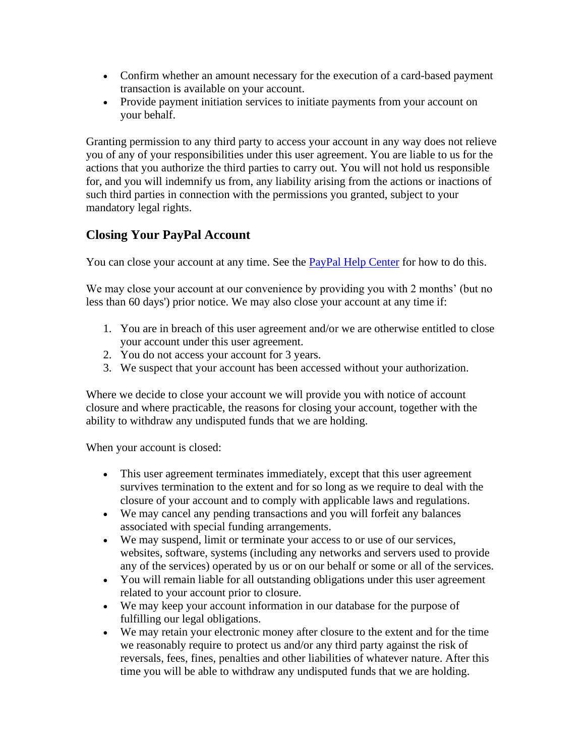- Confirm whether an amount necessary for the execution of a card-based payment transaction is available on your account.
- Provide payment initiation services to initiate payments from your account on your behalf.

Granting permission to any third party to access your account in any way does not relieve you of any of your responsibilities under this user agreement. You are liable to us for the actions that you authorize the third parties to carry out. You will not hold us responsible for, and you will indemnify us from, any liability arising from the actions or inactions of such third parties in connection with the permissions you granted, subject to your mandatory legal rights.

## <span id="page-4-0"></span>**Closing Your PayPal Account**

You can close your account at any time. See the **PayPal Help Center** for how to do this.

We may close your account at our convenience by providing you with 2 months' (but no less than 60 days') prior notice. We may also close your account at any time if:

- 1. You are in breach of this user agreement and/or we are otherwise entitled to close your account under this user agreement.
- 2. You do not access your account for 3 years.
- 3. We suspect that your account has been accessed without your authorization.

Where we decide to close your account we will provide you with notice of account closure and where practicable, the reasons for closing your account, together with the ability to withdraw any undisputed funds that we are holding.

When your account is closed:

- This user agreement terminates immediately, except that this user agreement survives termination to the extent and for so long as we require to deal with the closure of your account and to comply with applicable laws and regulations.
- We may cancel any pending transactions and you will forfeit any balances associated with special funding arrangements.
- We may suspend, limit or terminate your access to or use of our services, websites, software, systems (including any networks and servers used to provide any of the services) operated by us or on our behalf or some or all of the services.
- You will remain liable for all outstanding obligations under this user agreement related to your account prior to closure.
- We may keep your account information in our database for the purpose of fulfilling our legal obligations.
- We may retain your electronic money after closure to the extent and for the time we reasonably require to protect us and/or any third party against the risk of reversals, fees, fines, penalties and other liabilities of whatever nature. After this time you will be able to withdraw any undisputed funds that we are holding.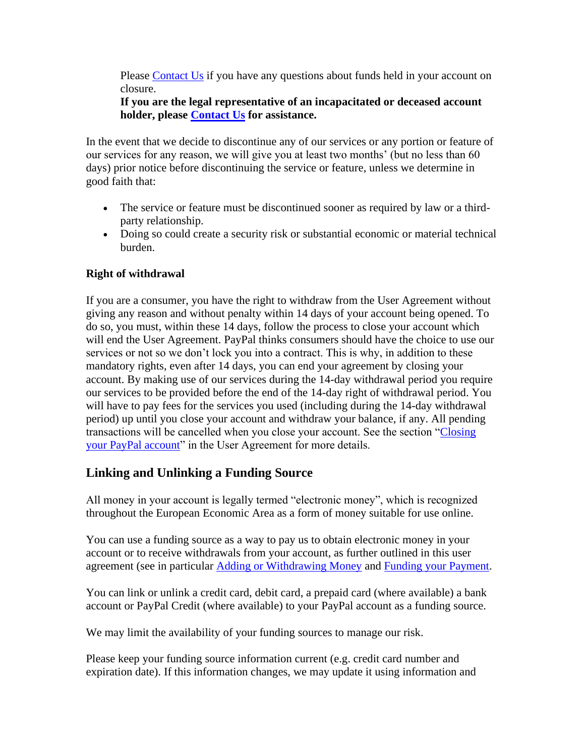Please [Contact Us](https://www.paypal.com/cz/selfhelp/home?locale.x=en_CZ) if you have any questions about funds held in your account on closure.

#### **If you are the legal representative of an incapacitated or deceased account holder, please [Contact Us](https://www.paypal.com/cz/selfhelp/home?locale.x=en_CZ) for assistance.**

In the event that we decide to discontinue any of our services or any portion or feature of our services for any reason, we will give you at least two months' (but no less than 60 days) prior notice before discontinuing the service or feature, unless we determine in good faith that:

- The service or feature must be discontinued sooner as required by law or a thirdparty relationship.
- Doing so could create a security risk or substantial economic or material technical burden.

#### **Right of withdrawal**

If you are a consumer, you have the right to withdraw from the User Agreement without giving any reason and without penalty within 14 days of your account being opened. To do so, you must, within these 14 days, follow the process to close your account which will end the User Agreement. PayPal thinks consumers should have the choice to use our services or not so we don't lock you into a contract. This is why, in addition to these mandatory rights, even after 14 days, you can end your agreement by closing your account. By making use of our services during the 14-day withdrawal period you require our services to be provided before the end of the 14-day right of withdrawal period. You will have to pay fees for the services you used (including during the 14-day withdrawal period) up until you close your account and withdraw your balance, if any. All pending transactions will be cancelled when you close your account. See the section ["Closing](#page-4-0)  [your PayPal account"](#page-4-0) in the User Agreement for more details.

## **Linking and Unlinking a Funding Source**

All money in your account is legally termed "electronic money", which is recognized throughout the European Economic Area as a form of money suitable for use online.

You can use a funding source as a way to pay us to obtain electronic money in your account or to receive withdrawals from your account, as further outlined in this user agreement (see in particular [Adding or Withdrawing Money](#page-8-0) and [Funding your Payment.](#page-19-0)

You can link or unlink a credit card, debit card, a prepaid card (where available) a bank account or PayPal Credit (where available) to your PayPal account as a funding source.

We may limit the availability of your funding sources to manage our risk.

Please keep your funding source information current (e.g. credit card number and expiration date). If this information changes, we may update it using information and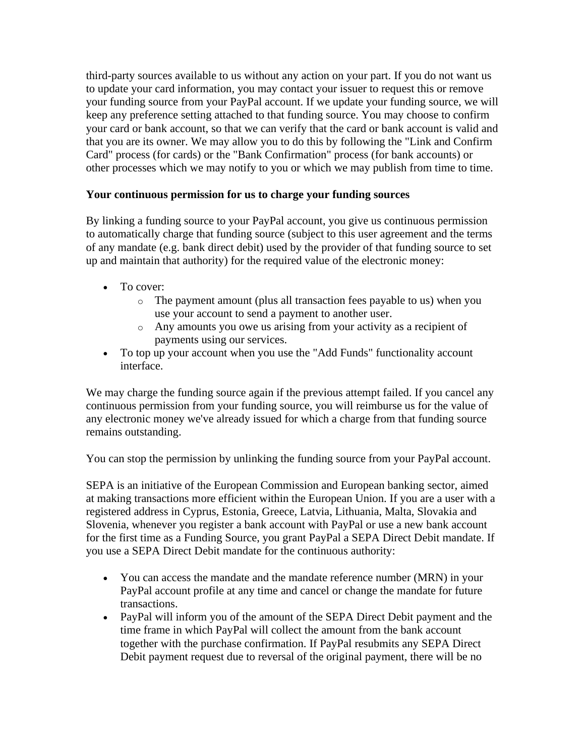third-party sources available to us without any action on your part. If you do not want us to update your card information, you may contact your issuer to request this or remove your funding source from your PayPal account. If we update your funding source, we will keep any preference setting attached to that funding source. You may choose to confirm your card or bank account, so that we can verify that the card or bank account is valid and that you are its owner. We may allow you to do this by following the "Link and Confirm Card" process (for cards) or the "Bank Confirmation" process (for bank accounts) or other processes which we may notify to you or which we may publish from time to time.

#### **Your continuous permission for us to charge your funding sources**

By linking a funding source to your PayPal account, you give us continuous permission to automatically charge that funding source (subject to this user agreement and the terms of any mandate (e.g. bank direct debit) used by the provider of that funding source to set up and maintain that authority) for the required value of the electronic money:

- To cover:
	- o The payment amount (plus all transaction fees payable to us) when you use your account to send a payment to another user.
	- o Any amounts you owe us arising from your activity as a recipient of payments using our services.
- To top up your account when you use the "Add Funds" functionality account interface.

We may charge the funding source again if the previous attempt failed. If you cancel any continuous permission from your funding source, you will reimburse us for the value of any electronic money we've already issued for which a charge from that funding source remains outstanding.

You can stop the permission by unlinking the funding source from your PayPal account.

SEPA is an initiative of the European Commission and European banking sector, aimed at making transactions more efficient within the European Union. If you are a user with a registered address in Cyprus, Estonia, Greece, Latvia, Lithuania, Malta, Slovakia and Slovenia, whenever you register a bank account with PayPal or use a new bank account for the first time as a Funding Source, you grant PayPal a SEPA Direct Debit mandate. If you use a SEPA Direct Debit mandate for the continuous authority:

- You can access the mandate and the mandate reference number (MRN) in your PayPal account profile at any time and cancel or change the mandate for future transactions.
- PayPal will inform you of the amount of the SEPA Direct Debit payment and the time frame in which PayPal will collect the amount from the bank account together with the purchase confirmation. If PayPal resubmits any SEPA Direct Debit payment request due to reversal of the original payment, there will be no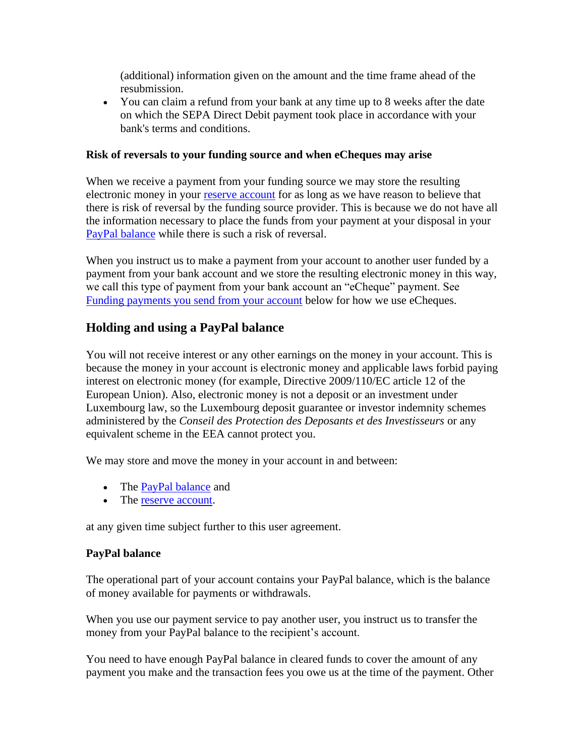(additional) information given on the amount and the time frame ahead of the resubmission.

• You can claim a refund from your bank at any time up to 8 weeks after the date on which the SEPA Direct Debit payment took place in accordance with your bank's terms and conditions.

#### **Risk of reversals to your funding source and when eCheques may arise**

When we receive a payment from your funding source we may store the resulting electronic money in your [reserve account](#page-33-0) for as long as we have reason to believe that there is risk of reversal by the funding source provider. This is because we do not have all the information necessary to place the funds from your payment at your disposal in your [PayPal balance](#page-7-0) while there is such a risk of reversal.

When you instruct us to make a payment from your account to another user funded by a payment from your bank account and we store the resulting electronic money in this way, we call this type of payment from your bank account an "eCheque" payment. See [Funding payments you send from your account](#page-19-0) below for how we use eCheques.

## <span id="page-7-0"></span>**Holding and using a PayPal balance**

You will not receive interest or any other earnings on the money in your account. This is because the money in your account is electronic money and applicable laws forbid paying interest on electronic money (for example, Directive 2009/110/EC article 12 of the European Union). Also, electronic money is not a deposit or an investment under Luxembourg law, so the Luxembourg deposit guarantee or investor indemnity schemes administered by the *Conseil des Protection des Deposants et des Investisseurs* or any equivalent scheme in the EEA cannot protect you.

We may store and move the money in your account in and between:

- The **PayPal balance** and
- The [reserve account.](#page-33-0)

at any given time subject further to this user agreement.

#### **PayPal balance**

The operational part of your account contains your PayPal balance, which is the balance of money available for payments or withdrawals.

When you use our payment service to pay another user, you instruct us to transfer the money from your PayPal balance to the recipient's account.

You need to have enough PayPal balance in cleared funds to cover the amount of any payment you make and the transaction fees you owe us at the time of the payment. Other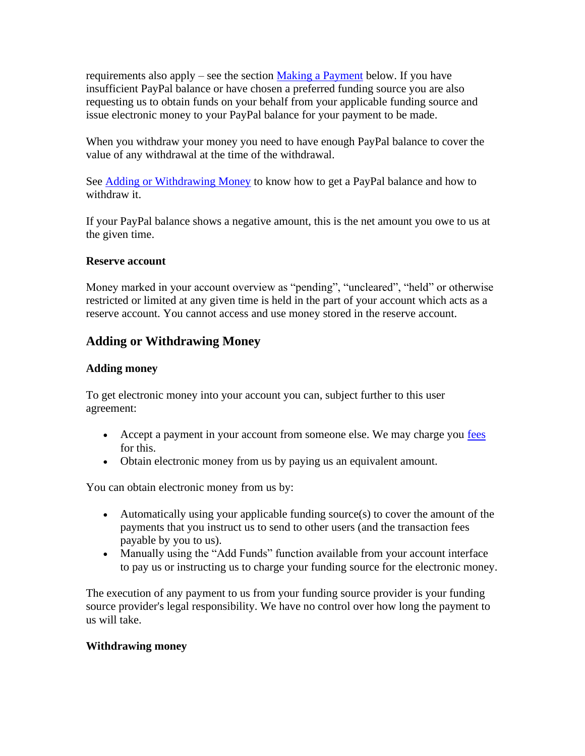requirements also apply – see the section [Making a Payment](#page-14-0) below. If you have insufficient PayPal balance or have chosen a preferred funding source you are also requesting us to obtain funds on your behalf from your applicable funding source and issue electronic money to your PayPal balance for your payment to be made.

When you withdraw your money you need to have enough PayPal balance to cover the value of any withdrawal at the time of the withdrawal.

See [Adding or Withdrawing Money](#page-8-0) to know how to get a PayPal balance and how to withdraw it.

If your PayPal balance shows a negative amount, this is the net amount you owe to us at the given time.

#### **Reserve account**

Money marked in your account overview as "pending", "uncleared", "held" or otherwise restricted or limited at any given time is held in the part of your account which acts as a reserve account. You cannot access and use money stored in the reserve account.

## <span id="page-8-0"></span>**Adding or Withdrawing Money**

#### **Adding money**

To get electronic money into your account you can, subject further to this user agreement:

- Accept a payment in your account from someone else. We may charge you [fees](#page-53-0) for this.
- Obtain electronic money from us by paying us an equivalent amount.

You can obtain electronic money from us by:

- Automatically using your applicable funding source(s) to cover the amount of the payments that you instruct us to send to other users (and the transaction fees payable by you to us).
- Manually using the "Add Funds" function available from your account interface to pay us or instructing us to charge your funding source for the electronic money.

The execution of any payment to us from your funding source provider is your funding source provider's legal responsibility. We have no control over how long the payment to us will take.

#### **Withdrawing money**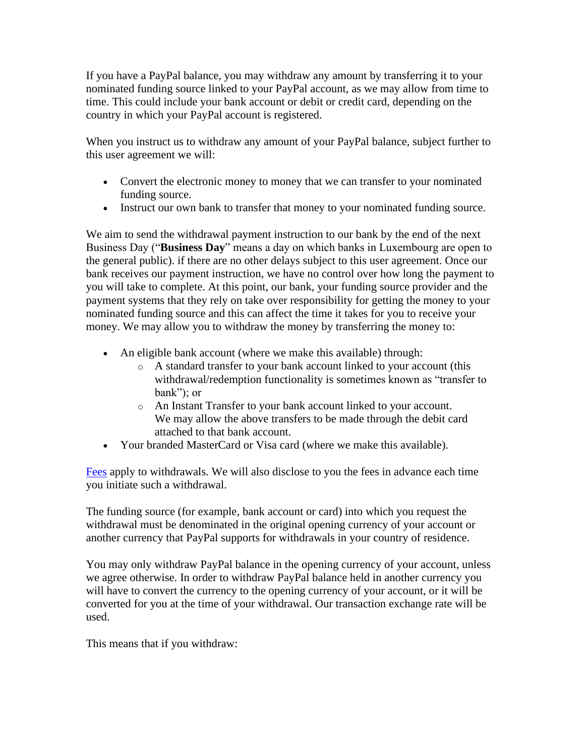If you have a PayPal balance, you may withdraw any amount by transferring it to your nominated funding source linked to your PayPal account, as we may allow from time to time. This could include your bank account or debit or credit card, depending on the country in which your PayPal account is registered.

When you instruct us to withdraw any amount of your PayPal balance, subject further to this user agreement we will:

- Convert the electronic money to money that we can transfer to your nominated funding source.
- Instruct our own bank to transfer that money to your nominated funding source.

We aim to send the withdrawal payment instruction to our bank by the end of the next Business Day ("**Business Day**" means a day on which banks in Luxembourg are open to the general public). if there are no other delays subject to this user agreement. Once our bank receives our payment instruction, we have no control over how long the payment to you will take to complete. At this point, our bank, your funding source provider and the payment systems that they rely on take over responsibility for getting the money to your nominated funding source and this can affect the time it takes for you to receive your money. We may allow you to withdraw the money by transferring the money to:

- An eligible bank account (where we make this available) through:
	- o A standard transfer to your bank account linked to your account (this withdrawal/redemption functionality is sometimes known as "transfer to bank"); or
	- o An Instant Transfer to your bank account linked to your account. We may allow the above transfers to be made through the debit card attached to that bank account.
- Your branded MasterCard or Visa card (where we make this available).

[Fees](#page-53-0) apply to withdrawals. We will also disclose to you the fees in advance each time you initiate such a withdrawal.

The funding source (for example, bank account or card) into which you request the withdrawal must be denominated in the original opening currency of your account or another currency that PayPal supports for withdrawals in your country of residence.

You may only withdraw PayPal balance in the opening currency of your account, unless we agree otherwise. In order to withdraw PayPal balance held in another currency you will have to convert the currency to the opening currency of your account, or it will be converted for you at the time of your withdrawal. Our transaction exchange rate will be used.

This means that if you withdraw: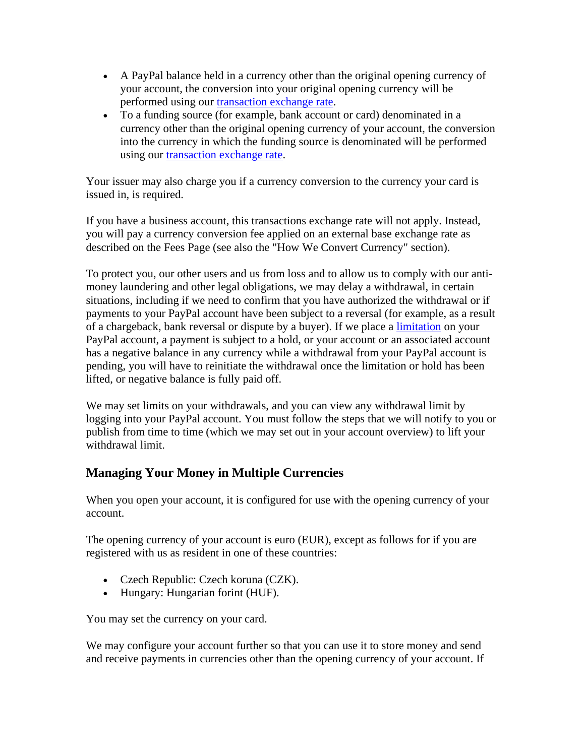- A PayPal balance held in a currency other than the original opening currency of your account, the conversion into your original opening currency will be performed using our [transaction exchange rate.](https://www.paypal.com/cz/webapps/mpp/paypal-fees?locale.x=en_CZ)
- To a funding source (for example, bank account or card) denominated in a currency other than the original opening currency of your account, the conversion into the currency in which the funding source is denominated will be performed using our [transaction exchange rate.](https://www.paypal.com/cz/webapps/mpp/paypal-fees?locale.x=en_CZ)

Your issuer may also charge you if a currency conversion to the currency your card is issued in, is required.

If you have a business account, this transactions exchange rate will not apply. Instead, you will pay a currency conversion fee applied on an external base exchange rate as described on the Fees Page (see also the "How We Convert Currency" section).

To protect you, our other users and us from loss and to allow us to comply with our antimoney laundering and other legal obligations, we may delay a withdrawal, in certain situations, including if we need to confirm that you have authorized the withdrawal or if payments to your PayPal account have been subject to a reversal (for example, as a result of a chargeback, bank reversal or dispute by a buyer). If we place a [limitation](#page-33-0) on your PayPal account, a payment is subject to a hold, or your account or an associated account has a negative balance in any currency while a withdrawal from your PayPal account is pending, you will have to reinitiate the withdrawal once the limitation or hold has been lifted, or negative balance is fully paid off.

We may set limits on your withdrawals, and you can view any withdrawal limit by logging into your PayPal account. You must follow the steps that we will notify to you or publish from time to time (which we may set out in your account overview) to lift your withdrawal limit.

## <span id="page-10-0"></span>**Managing Your Money in Multiple Currencies**

When you open your account, it is configured for use with the opening currency of your account.

The opening currency of your account is euro (EUR), except as follows for if you are registered with us as resident in one of these countries:

- Czech Republic: Czech koruna (CZK).
- Hungary: Hungarian forint (HUF).

You may set the currency on your card.

We may configure your account further so that you can use it to store money and send and receive payments in currencies other than the opening currency of your account. If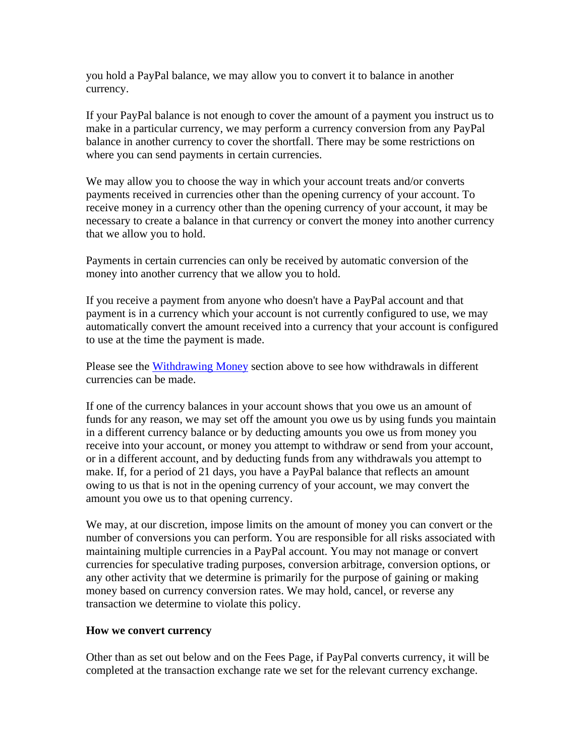you hold a PayPal balance, we may allow you to convert it to balance in another currency.

If your PayPal balance is not enough to cover the amount of a payment you instruct us to make in a particular currency, we may perform a currency conversion from any PayPal balance in another currency to cover the shortfall. There may be some restrictions on where you can send payments in certain currencies.

We may allow you to choose the way in which your account treats and/or converts payments received in currencies other than the opening currency of your account. To receive money in a currency other than the opening currency of your account, it may be necessary to create a balance in that currency or convert the money into another currency that we allow you to hold.

Payments in certain currencies can only be received by automatic conversion of the money into another currency that we allow you to hold.

If you receive a payment from anyone who doesn't have a PayPal account and that payment is in a currency which your account is not currently configured to use, we may automatically convert the amount received into a currency that your account is configured to use at the time the payment is made.

Please see the [Withdrawing Money](#page-8-0) section above to see how withdrawals in different currencies can be made.

If one of the currency balances in your account shows that you owe us an amount of funds for any reason, we may set off the amount you owe us by using funds you maintain in a different currency balance or by deducting amounts you owe us from money you receive into your account, or money you attempt to withdraw or send from your account, or in a different account, and by deducting funds from any withdrawals you attempt to make. If, for a period of 21 days, you have a PayPal balance that reflects an amount owing to us that is not in the opening currency of your account, we may convert the amount you owe us to that opening currency.

We may, at our discretion, impose limits on the amount of money you can convert or the number of conversions you can perform. You are responsible for all risks associated with maintaining multiple currencies in a PayPal account. You may not manage or convert currencies for speculative trading purposes, conversion arbitrage, conversion options, or any other activity that we determine is primarily for the purpose of gaining or making money based on currency conversion rates. We may hold, cancel, or reverse any transaction we determine to violate this policy.

#### **How we convert currency**

Other than as set out below and on the Fees Page, if PayPal converts currency, it will be completed at the transaction exchange rate we set for the relevant currency exchange.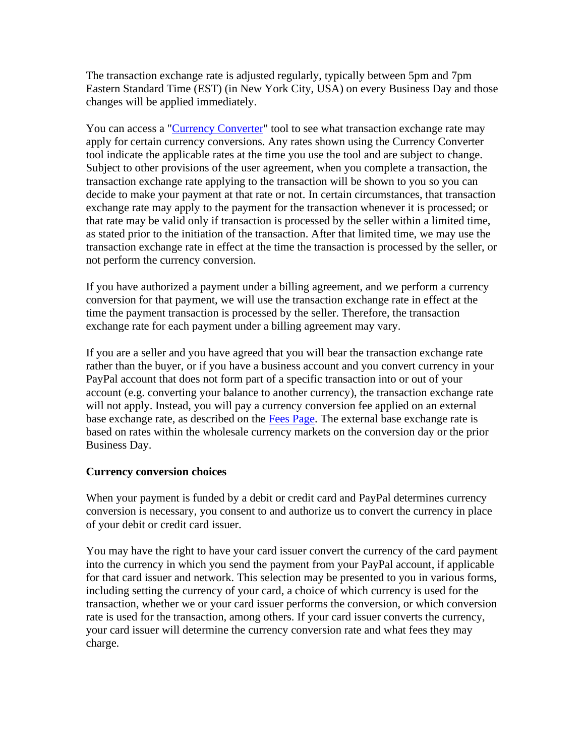The transaction exchange rate is adjusted regularly, typically between 5pm and 7pm Eastern Standard Time (EST) (in New York City, USA) on every Business Day and those changes will be applied immediately.

You can access a ["Currency Converter"](https://www.paypal.com/cz/smarthelp/article/faq1976?locale.x=en_CZ) tool to see what transaction exchange rate may apply for certain currency conversions. Any rates shown using the Currency Converter tool indicate the applicable rates at the time you use the tool and are subject to change. Subject to other provisions of the user agreement, when you complete a transaction, the transaction exchange rate applying to the transaction will be shown to you so you can decide to make your payment at that rate or not. In certain circumstances, that transaction exchange rate may apply to the payment for the transaction whenever it is processed; or that rate may be valid only if transaction is processed by the seller within a limited time, as stated prior to the initiation of the transaction. After that limited time, we may use the transaction exchange rate in effect at the time the transaction is processed by the seller, or not perform the currency conversion.

If you have authorized a payment under a billing agreement, and we perform a currency conversion for that payment, we will use the transaction exchange rate in effect at the time the payment transaction is processed by the seller. Therefore, the transaction exchange rate for each payment under a billing agreement may vary.

If you are a seller and you have agreed that you will bear the transaction exchange rate rather than the buyer, or if you have a business account and you convert currency in your PayPal account that does not form part of a specific transaction into or out of your account (e.g. converting your balance to another currency), the transaction exchange rate will not apply. Instead, you will pay a currency conversion fee applied on an external base exchange rate, as described on the [Fees Page.](https://www.paypal.com/cz/webapps/mpp/paypal-fees?locale.x=en_CZ) The external base exchange rate is based on rates within the wholesale currency markets on the conversion day or the prior Business Day.

#### **Currency conversion choices**

When your payment is funded by a debit or credit card and PayPal determines currency conversion is necessary, you consent to and authorize us to convert the currency in place of your debit or credit card issuer.

You may have the right to have your card issuer convert the currency of the card payment into the currency in which you send the payment from your PayPal account, if applicable for that card issuer and network. This selection may be presented to you in various forms, including setting the currency of your card, a choice of which currency is used for the transaction, whether we or your card issuer performs the conversion, or which conversion rate is used for the transaction, among others. If your card issuer converts the currency, your card issuer will determine the currency conversion rate and what fees they may charge.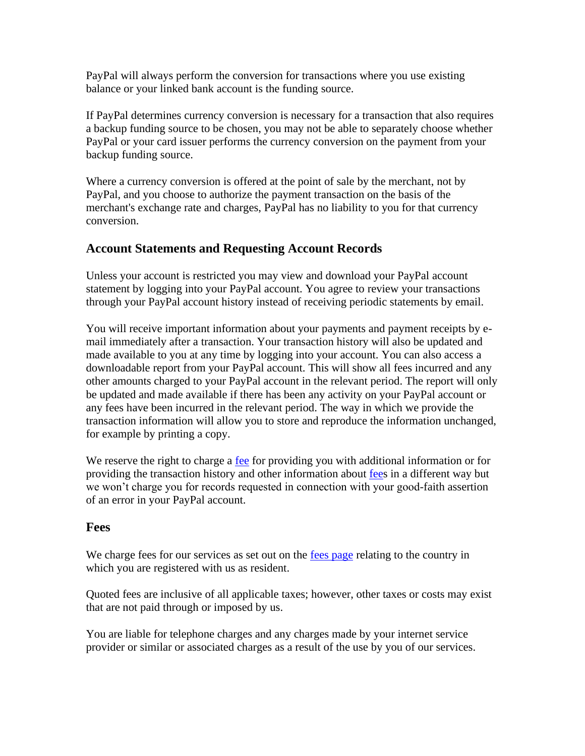PayPal will always perform the conversion for transactions where you use existing balance or your linked bank account is the funding source.

If PayPal determines currency conversion is necessary for a transaction that also requires a backup funding source to be chosen, you may not be able to separately choose whether PayPal or your card issuer performs the currency conversion on the payment from your backup funding source.

Where a currency conversion is offered at the point of sale by the merchant, not by PayPal, and you choose to authorize the payment transaction on the basis of the merchant's exchange rate and charges, PayPal has no liability to you for that currency conversion.

## **Account Statements and Requesting Account Records**

Unless your account is restricted you may view and download your PayPal account statement by logging into your PayPal account. You agree to review your transactions through your PayPal account history instead of receiving periodic statements by email.

You will receive important information about your payments and payment receipts by email immediately after a transaction. Your transaction history will also be updated and made available to you at any time by logging into your account. You can also access a downloadable report from your PayPal account. This will show all fees incurred and any other amounts charged to your PayPal account in the relevant period. The report will only be updated and made available if there has been any activity on your PayPal account or any fees have been incurred in the relevant period. The way in which we provide the transaction information will allow you to store and reproduce the information unchanged, for example by printing a copy.

We reserve the right to charge a [fee](#page-53-0) for providing you with additional information or for providing the transaction history and other information about [fees](#page-53-0) in a different way but we won't charge you for records requested in connection with your good-faith assertion of an error in your PayPal account.

## **Fees**

We charge fees for our services as set out on the [fees page](#page-53-0) relating to the country in which you are registered with us as resident.

Quoted fees are inclusive of all applicable taxes; however, other taxes or costs may exist that are not paid through or imposed by us.

You are liable for telephone charges and any charges made by your internet service provider or similar or associated charges as a result of the use by you of our services.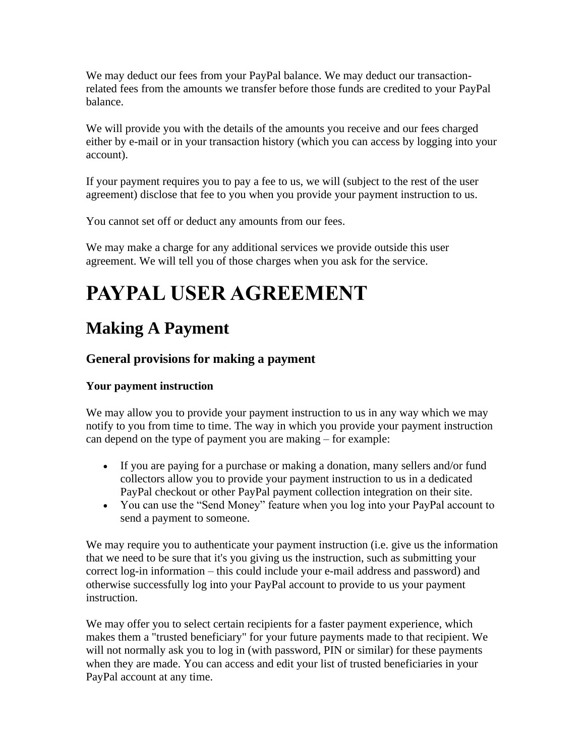We may deduct our fees from your PayPal balance. We may deduct our transactionrelated fees from the amounts we transfer before those funds are credited to your PayPal balance.

We will provide you with the details of the amounts you receive and our fees charged either by e-mail or in your transaction history (which you can access by logging into your account).

If your payment requires you to pay a fee to us, we will (subject to the rest of the user agreement) disclose that fee to you when you provide your payment instruction to us.

You cannot set off or deduct any amounts from our fees.

We may make a charge for any additional services we provide outside this user agreement. We will tell you of those charges when you ask for the service.

# **PAYPAL USER AGREEMENT**

## <span id="page-14-0"></span>**Making A Payment**

## **General provisions for making a payment**

## **Your payment instruction**

We may allow you to provide your payment instruction to us in any way which we may notify to you from time to time. The way in which you provide your payment instruction can depend on the type of payment you are making – for example:

- If you are paying for a purchase or making a donation, many sellers and/or fund collectors allow you to provide your payment instruction to us in a dedicated PayPal checkout or other PayPal payment collection integration on their site.
- You can use the "Send Money" feature when you log into your PayPal account to send a payment to someone.

We may require you to authenticate your payment instruction (i.e. give us the information that we need to be sure that it's you giving us the instruction, such as submitting your correct log-in information – this could include your e-mail address and password) and otherwise successfully log into your PayPal account to provide to us your payment instruction.

We may offer you to select certain recipients for a faster payment experience, which makes them a "trusted beneficiary" for your future payments made to that recipient. We will not normally ask you to log in (with password, PIN or similar) for these payments when they are made. You can access and edit your list of trusted beneficiaries in your PayPal account at any time.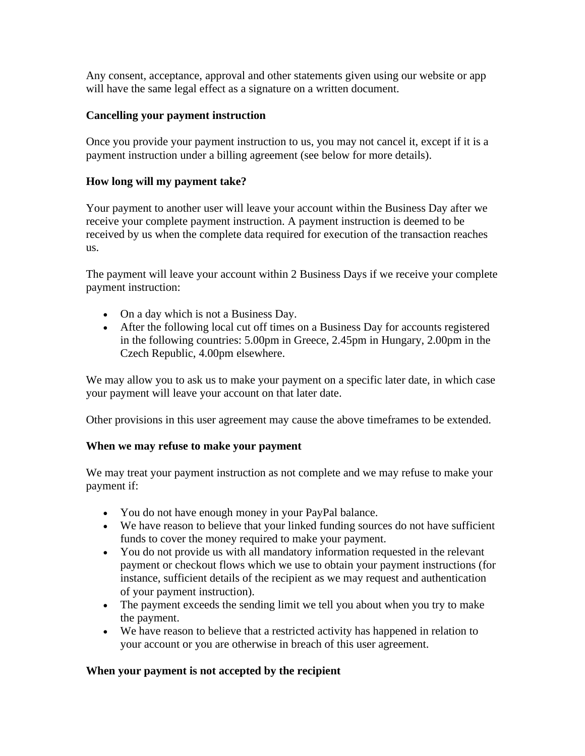Any consent, acceptance, approval and other statements given using our website or app will have the same legal effect as a signature on a written document.

#### **Cancelling your payment instruction**

Once you provide your payment instruction to us, you may not cancel it, except if it is a payment instruction under a billing agreement (see below for more details).

#### **How long will my payment take?**

Your payment to another user will leave your account within the Business Day after we receive your complete payment instruction. A payment instruction is deemed to be received by us when the complete data required for execution of the transaction reaches us.

The payment will leave your account within 2 Business Days if we receive your complete payment instruction:

- On a day which is not a Business Day.
- After the following local cut off times on a Business Day for accounts registered in the following countries: 5.00pm in Greece, 2.45pm in Hungary, 2.00pm in the Czech Republic, 4.00pm elsewhere.

We may allow you to ask us to make your payment on a specific later date, in which case your payment will leave your account on that later date.

Other provisions in this user agreement may cause the above timeframes to be extended.

#### **When we may refuse to make your payment**

We may treat your payment instruction as not complete and we may refuse to make your payment if:

- You do not have enough money in your PayPal balance.
- We have reason to believe that your linked funding sources do not have sufficient funds to cover the money required to make your payment.
- You do not provide us with all mandatory information requested in the relevant payment or checkout flows which we use to obtain your payment instructions (for instance, sufficient details of the recipient as we may request and authentication of your payment instruction).
- The payment exceeds the sending limit we tell you about when you try to make the payment.
- We have reason to believe that a restricted activity has happened in relation to your account or you are otherwise in breach of this user agreement.

#### **When your payment is not accepted by the recipient**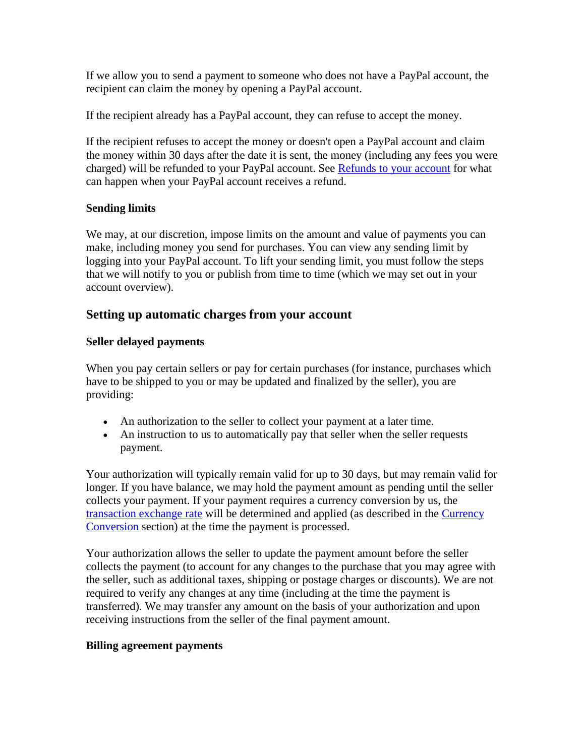If we allow you to send a payment to someone who does not have a PayPal account, the recipient can claim the money by opening a PayPal account.

If the recipient already has a PayPal account, they can refuse to accept the money.

If the recipient refuses to accept the money or doesn't open a PayPal account and claim the money within 30 days after the date it is sent, the money (including any fees you were charged) will be refunded to your PayPal account. See [Refunds to your account](#page-17-0) for what can happen when your PayPal account receives a refund.

#### **Sending limits**

We may, at our discretion, impose limits on the amount and value of payments you can make, including money you send for purchases. You can view any sending limit by logging into your PayPal account. To lift your sending limit, you must follow the steps that we will notify to you or publish from time to time (which we may set out in your account overview).

#### **Setting up automatic charges from your account**

#### **Seller delayed payments**

When you pay certain sellers or pay for certain purchases (for instance, purchases which have to be shipped to you or may be updated and finalized by the seller), you are providing:

- An authorization to the seller to collect your payment at a later time.
- An instruction to us to automatically pay that seller when the seller requests payment.

Your authorization will typically remain valid for up to 30 days, but may remain valid for longer. If you have balance, we may hold the payment amount as pending until the seller collects your payment. If your payment requires a currency conversion by us, the [transaction exchange rate](https://www.paypal.com/cz/webapps/mpp/paypal-fees?locale.x=en_CZ) will be determined and applied (as described in the [Currency](#page-10-0)  [Conversion](#page-10-0) section) at the time the payment is processed.

Your authorization allows the seller to update the payment amount before the seller collects the payment (to account for any changes to the purchase that you may agree with the seller, such as additional taxes, shipping or postage charges or discounts). We are not required to verify any changes at any time (including at the time the payment is transferred). We may transfer any amount on the basis of your authorization and upon receiving instructions from the seller of the final payment amount.

#### **Billing agreement payments**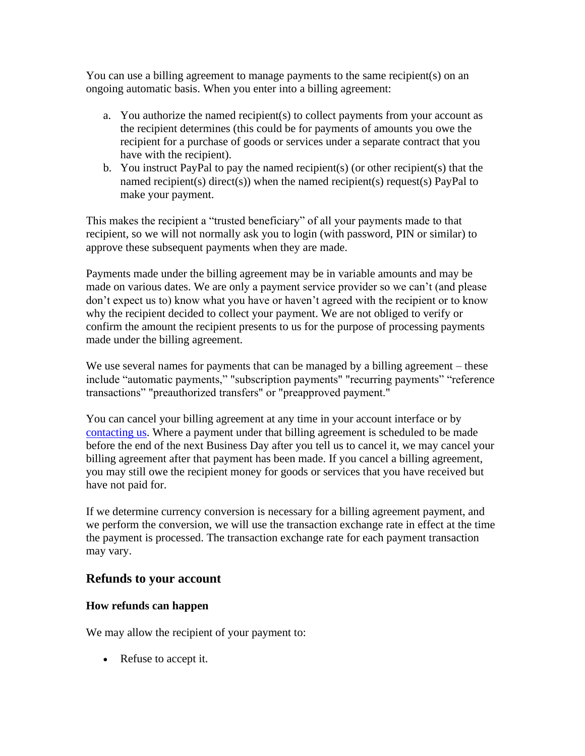You can use a billing agreement to manage payments to the same recipient(s) on an ongoing automatic basis. When you enter into a billing agreement:

- a. You authorize the named recipient(s) to collect payments from your account as the recipient determines (this could be for payments of amounts you owe the recipient for a purchase of goods or services under a separate contract that you have with the recipient).
- b. You instruct PayPal to pay the named recipient(s) (or other recipient(s) that the named recipient(s) direct(s)) when the named recipient(s) request(s) PayPal to make your payment.

This makes the recipient a "trusted beneficiary" of all your payments made to that recipient, so we will not normally ask you to login (with password, PIN or similar) to approve these subsequent payments when they are made.

Payments made under the billing agreement may be in variable amounts and may be made on various dates. We are only a payment service provider so we can't (and please don't expect us to) know what you have or haven't agreed with the recipient or to know why the recipient decided to collect your payment. We are not obliged to verify or confirm the amount the recipient presents to us for the purpose of processing payments made under the billing agreement.

We use several names for payments that can be managed by a billing agreement – these include "automatic payments," "subscription payments" "recurring payments" "reference transactions" "preauthorized transfers" or "preapproved payment."

You can cancel your billing agreement at any time in your account interface or by [contacting us.](https://www.paypal.com/cz/selfhelp/home?locale.x=en_CZ) Where a payment under that billing agreement is scheduled to be made before the end of the next Business Day after you tell us to cancel it, we may cancel your billing agreement after that payment has been made. If you cancel a billing agreement, you may still owe the recipient money for goods or services that you have received but have not paid for.

If we determine currency conversion is necessary for a billing agreement payment, and we perform the conversion, we will use the transaction exchange rate in effect at the time the payment is processed. The transaction exchange rate for each payment transaction may vary.

## <span id="page-17-0"></span>**Refunds to your account**

#### **How refunds can happen**

We may allow the recipient of your payment to:

• Refuse to accept it.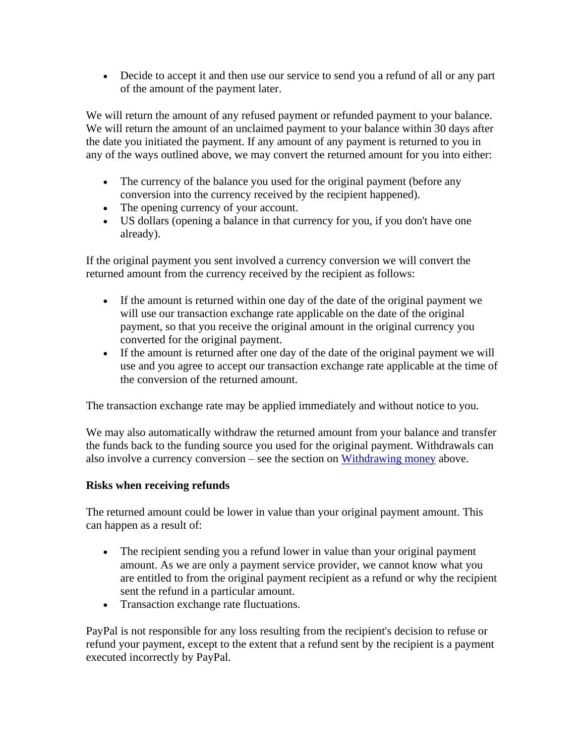• Decide to accept it and then use our service to send you a refund of all or any part of the amount of the payment later.

We will return the amount of any refused payment or refunded payment to your balance. We will return the amount of an unclaimed payment to your balance within 30 days after the date you initiated the payment. If any amount of any payment is returned to you in any of the ways outlined above, we may convert the returned amount for you into either:

- The currency of the balance you used for the original payment (before any conversion into the currency received by the recipient happened).
- The opening currency of your account.
- US dollars (opening a balance in that currency for you, if you don't have one already).

If the original payment you sent involved a currency conversion we will convert the returned amount from the currency received by the recipient as follows:

- If the amount is returned within one day of the date of the original payment we will use our transaction exchange rate applicable on the date of the original payment, so that you receive the original amount in the original currency you converted for the original payment.
- If the amount is returned after one day of the date of the original payment we will use and you agree to accept our transaction exchange rate applicable at the time of the conversion of the returned amount.

The transaction exchange rate may be applied immediately and without notice to you.

We may also automatically withdraw the returned amount from your balance and transfer the funds back to the funding source you used for the original payment. Withdrawals can also involve a currency conversion – see the section on [Withdrawing money](#page-8-0) above.

#### **Risks when receiving refunds**

The returned amount could be lower in value than your original payment amount. This can happen as a result of:

- The recipient sending you a refund lower in value than your original payment amount. As we are only a payment service provider, we cannot know what you are entitled to from the original payment recipient as a refund or why the recipient sent the refund in a particular amount.
- Transaction exchange rate fluctuations.

PayPal is not responsible for any loss resulting from the recipient's decision to refuse or refund your payment, except to the extent that a refund sent by the recipient is a payment executed incorrectly by PayPal.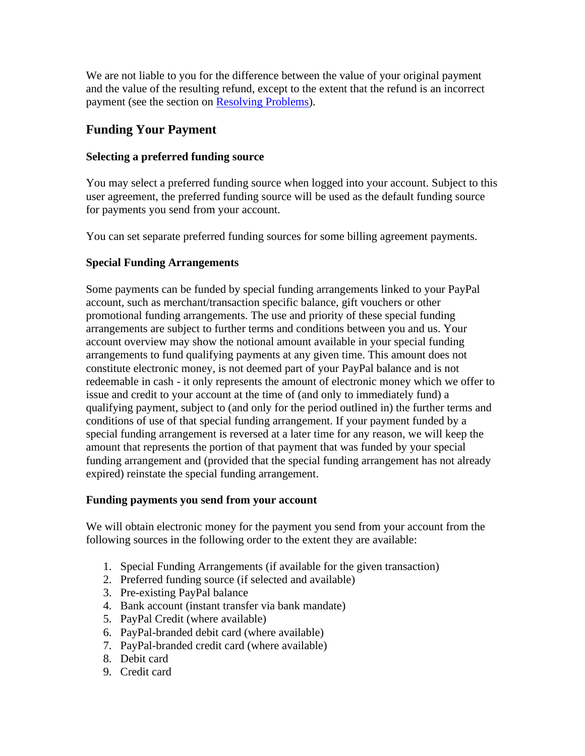We are not liable to you for the difference between the value of your original payment and the value of the resulting refund, except to the extent that the refund is an incorrect payment (see the section on [Resolving Problems\)](#page-37-0).

## <span id="page-19-0"></span>**Funding Your Payment**

#### **Selecting a preferred funding source**

You may select a preferred funding source when logged into your account. Subject to this user agreement, the preferred funding source will be used as the default funding source for payments you send from your account.

You can set separate preferred funding sources for some billing agreement payments.

## **Special Funding Arrangements**

Some payments can be funded by special funding arrangements linked to your PayPal account, such as merchant/transaction specific balance, gift vouchers or other promotional funding arrangements. The use and priority of these special funding arrangements are subject to further terms and conditions between you and us. Your account overview may show the notional amount available in your special funding arrangements to fund qualifying payments at any given time. This amount does not constitute electronic money, is not deemed part of your PayPal balance and is not redeemable in cash - it only represents the amount of electronic money which we offer to issue and credit to your account at the time of (and only to immediately fund) a qualifying payment, subject to (and only for the period outlined in) the further terms and conditions of use of that special funding arrangement. If your payment funded by a special funding arrangement is reversed at a later time for any reason, we will keep the amount that represents the portion of that payment that was funded by your special funding arrangement and (provided that the special funding arrangement has not already expired) reinstate the special funding arrangement.

#### **Funding payments you send from your account**

We will obtain electronic money for the payment you send from your account from the following sources in the following order to the extent they are available:

- 1. Special Funding Arrangements (if available for the given transaction)
- 2. Preferred funding source (if selected and available)
- 3. Pre-existing PayPal balance
- 4. Bank account (instant transfer via bank mandate)
- 5. PayPal Credit (where available)
- 6. PayPal-branded debit card (where available)
- 7. PayPal-branded credit card (where available)
- 8. Debit card
- 9. Credit card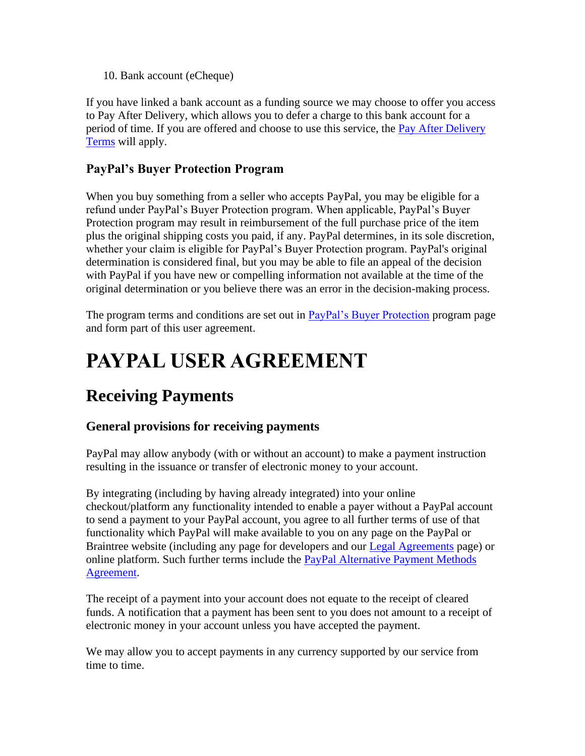10. Bank account (eCheque)

If you have linked a bank account as a funding source we may choose to offer you access to Pay After Delivery, which allows you to defer a charge to this bank account for a period of time. If you are offered and choose to use this service, the [Pay After Delivery](https://www.paypal.com/cz/webapps/mpp/pay-after-delivery-terms?locale.x=en_CZ)  [Terms](https://www.paypal.com/cz/webapps/mpp/pay-after-delivery-terms?locale.x=en_CZ) will apply.

## **PayPal's Buyer Protection Program**

When you buy something from a seller who accepts PayPal, you may be eligible for a refund under PayPal's Buyer Protection program. When applicable, PayPal's Buyer Protection program may result in reimbursement of the full purchase price of the item plus the original shipping costs you paid, if any. PayPal determines, in its sole discretion, whether your claim is eligible for PayPal's Buyer Protection program. PayPal's original determination is considered final, but you may be able to file an appeal of the decision with PayPal if you have new or compelling information not available at the time of the original determination or you believe there was an error in the decision-making process.

The program terms and conditions are set out in **PayPal's Buyer Protection** program page and form part of this user agreement.

# **PAYPAL USER AGREEMENT**

## **Receiving Payments**

## **General provisions for receiving payments**

PayPal may allow anybody (with or without an account) to make a payment instruction resulting in the issuance or transfer of electronic money to your account.

By integrating (including by having already integrated) into your online checkout/platform any functionality intended to enable a payer without a PayPal account to send a payment to your PayPal account, you agree to all further terms of use of that functionality which PayPal will make available to you on any page on the PayPal or Braintree website (including any page for developers and our [Legal Agreements](https://www.paypal.com/cz/webapps/mpp/ua/legalhub-full?locale.x=en_CZ) page) or online platform. Such further terms include the [PayPal Alternative Payment Methods](https://www.paypal.com/cz/webapps/mpp/ua/apm-tnc?locale.x=en_CZ)  [Agreement.](https://www.paypal.com/cz/webapps/mpp/ua/apm-tnc?locale.x=en_CZ)

The receipt of a payment into your account does not equate to the receipt of cleared funds. A notification that a payment has been sent to you does not amount to a receipt of electronic money in your account unless you have accepted the payment.

We may allow you to accept payments in any currency supported by our service from time to time.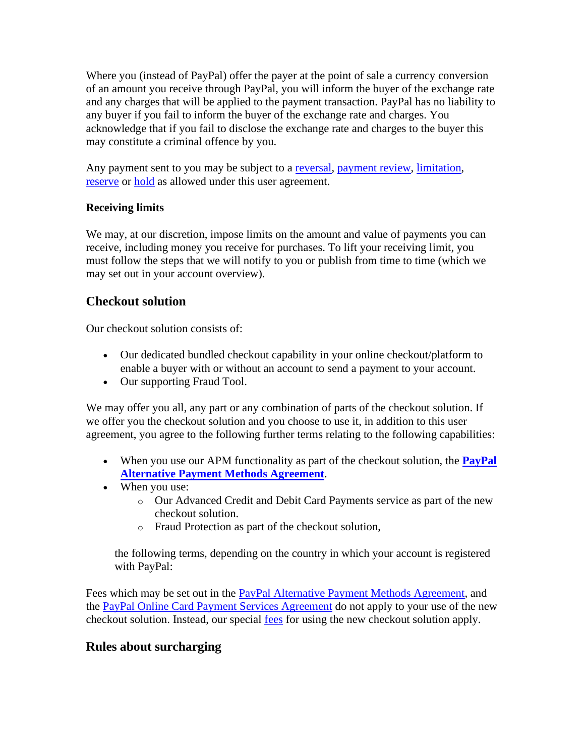Where you (instead of PayPal) offer the payer at the point of sale a currency conversion of an amount you receive through PayPal, you will inform the buyer of the exchange rate and any charges that will be applied to the payment transaction. PayPal has no liability to any buyer if you fail to inform the buyer of the exchange rate and charges. You acknowledge that if you fail to disclose the exchange rate and charges to the buyer this may constitute a criminal offence by you.

Any payment sent to you may be subject to a [reversal,](#page-24-0) [payment review,](#page-34-0) [limitation,](#page-33-0) [reserve](#page-33-0) or [hold](#page-33-0) as allowed under this user agreement.

#### **Receiving limits**

We may, at our discretion, impose limits on the amount and value of payments you can receive, including money you receive for purchases. To lift your receiving limit, you must follow the steps that we will notify to you or publish from time to time (which we may set out in your account overview).

## **Checkout solution**

Our checkout solution consists of:

- Our dedicated bundled checkout capability in your online checkout/platform to enable a buyer with or without an account to send a payment to your account.
- Our supporting Fraud Tool.

We may offer you all, any part or any combination of parts of the checkout solution. If we offer you the checkout solution and you choose to use it, in addition to this user agreement, you agree to the following further terms relating to the following capabilities:

- When you use our APM functionality as part of the checkout solution, the **[PayPal](https://www.paypal.com/cz/webapps/mpp/ua/apm-tnc?locale.x=en_CZ)  [Alternative Payment Methods Agreement](https://www.paypal.com/cz/webapps/mpp/ua/apm-tnc?locale.x=en_CZ)**.
- When you use:
	- o Our Advanced Credit and Debit Card Payments service as part of the new checkout solution.
	- o Fraud Protection as part of the checkout solution,

the following terms, depending on the country in which your account is registered with PayPal:

Fees which may be set out in the **PayPal Alternative Payment Methods Agreement**, and the [PayPal Online Card Payment Services Agreement](https://www.paypal.com/cz/webapps/mpp/ua/pocpsa-full?locale.x=en_CZ) do not apply to your use of the new checkout solution. Instead, our special [fees](#page-53-0) for using the new checkout solution apply.

## **Rules about surcharging**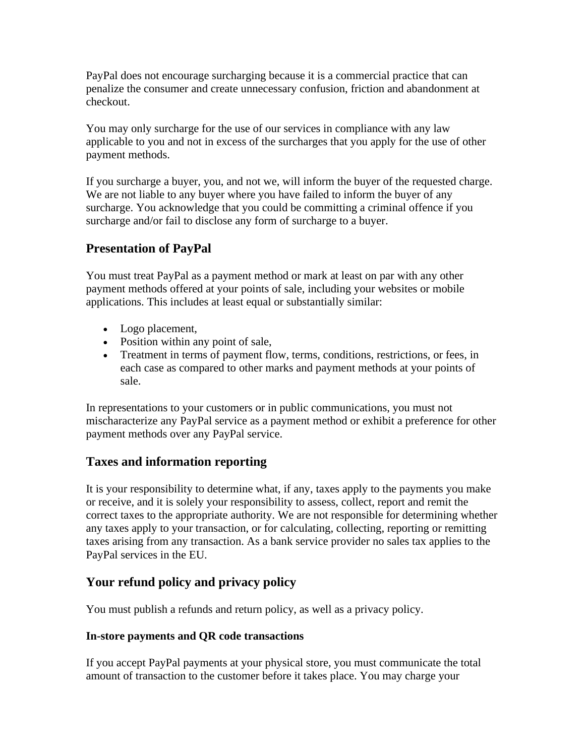PayPal does not encourage surcharging because it is a commercial practice that can penalize the consumer and create unnecessary confusion, friction and abandonment at checkout.

You may only surcharge for the use of our services in compliance with any law applicable to you and not in excess of the surcharges that you apply for the use of other payment methods.

If you surcharge a buyer, you, and not we, will inform the buyer of the requested charge. We are not liable to any buyer where you have failed to inform the buyer of any surcharge. You acknowledge that you could be committing a criminal offence if you surcharge and/or fail to disclose any form of surcharge to a buyer.

## **Presentation of PayPal**

You must treat PayPal as a payment method or mark at least on par with any other payment methods offered at your points of sale, including your websites or mobile applications. This includes at least equal or substantially similar:

- Logo placement,
- Position within any point of sale,
- Treatment in terms of payment flow, terms, conditions, restrictions, or fees, in each case as compared to other marks and payment methods at your points of sale.

In representations to your customers or in public communications, you must not mischaracterize any PayPal service as a payment method or exhibit a preference for other payment methods over any PayPal service.

## **Taxes and information reporting**

It is your responsibility to determine what, if any, taxes apply to the payments you make or receive, and it is solely your responsibility to assess, collect, report and remit the correct taxes to the appropriate authority. We are not responsible for determining whether any taxes apply to your transaction, or for calculating, collecting, reporting or remitting taxes arising from any transaction. As a bank service provider no sales tax applies to the PayPal services in the EU.

## **Your refund policy and privacy policy**

You must publish a refunds and return policy, as well as a privacy policy.

## **In-store payments and QR code transactions**

If you accept PayPal payments at your physical store, you must communicate the total amount of transaction to the customer before it takes place. You may charge your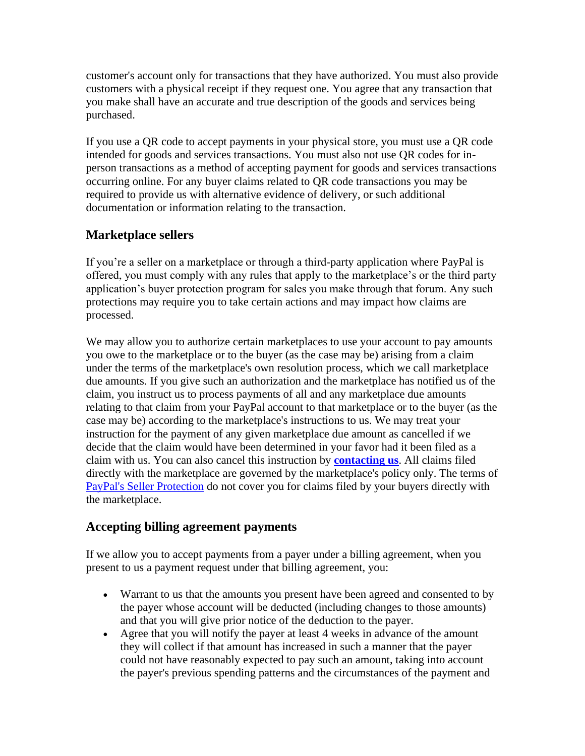customer's account only for transactions that they have authorized. You must also provide customers with a physical receipt if they request one. You agree that any transaction that you make shall have an accurate and true description of the goods and services being purchased.

If you use a QR code to accept payments in your physical store, you must use a QR code intended for goods and services transactions. You must also not use QR codes for inperson transactions as a method of accepting payment for goods and services transactions occurring online. For any buyer claims related to QR code transactions you may be required to provide us with alternative evidence of delivery, or such additional documentation or information relating to the transaction.

## **Marketplace sellers**

If you're a seller on a marketplace or through a third-party application where PayPal is offered, you must comply with any rules that apply to the marketplace's or the third party application's buyer protection program for sales you make through that forum. Any such protections may require you to take certain actions and may impact how claims are processed.

We may allow you to authorize certain marketplaces to use your account to pay amounts you owe to the marketplace or to the buyer (as the case may be) arising from a claim under the terms of the marketplace's own resolution process, which we call marketplace due amounts. If you give such an authorization and the marketplace has notified us of the claim, you instruct us to process payments of all and any marketplace due amounts relating to that claim from your PayPal account to that marketplace or to the buyer (as the case may be) according to the marketplace's instructions to us. We may treat your instruction for the payment of any given marketplace due amount as cancelled if we decide that the claim would have been determined in your favor had it been filed as a claim with us. You can also cancel this instruction by **[contacting us](#page-42-0)**. All claims filed directly with the marketplace are governed by the marketplace's policy only. The terms of [PayPal's Seller Protection](https://www.paypal.com/cz/webapps/mpp/ua/buyer-protection?locale.x=en_CZ) do not cover you for claims filed by your buyers directly with the marketplace.

## **Accepting billing agreement payments**

If we allow you to accept payments from a payer under a billing agreement, when you present to us a payment request under that billing agreement, you:

- Warrant to us that the amounts you present have been agreed and consented to by the payer whose account will be deducted (including changes to those amounts) and that you will give prior notice of the deduction to the payer.
- Agree that you will notify the payer at least 4 weeks in advance of the amount they will collect if that amount has increased in such a manner that the payer could not have reasonably expected to pay such an amount, taking into account the payer's previous spending patterns and the circumstances of the payment and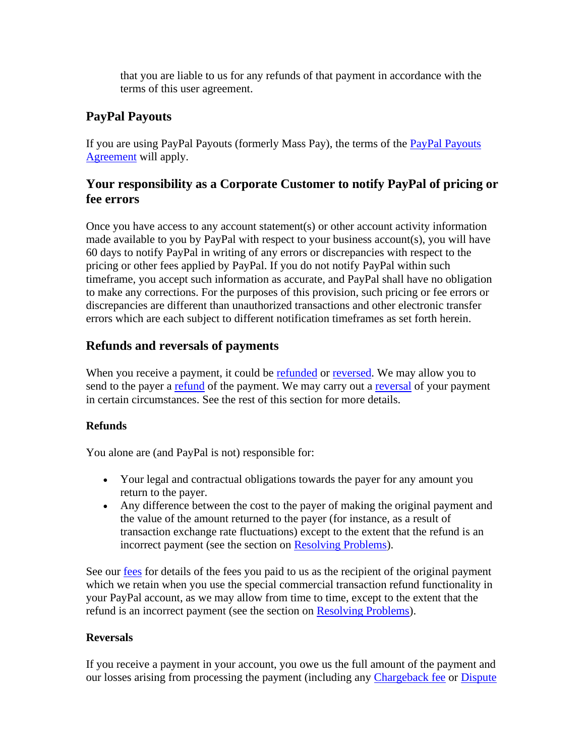that you are liable to us for any refunds of that payment in accordance with the terms of this user agreement.

## **PayPal Payouts**

If you are using PayPal Payouts (formerly Mass Pay), the terms of the [PayPal Payouts](https://www.paypal.com/cz/webapps/mpp/ua/paypal-payouts-agreement?locale.x=en_CZ)  [Agreement](https://www.paypal.com/cz/webapps/mpp/ua/paypal-payouts-agreement?locale.x=en_CZ) will apply.

## **Your responsibility as a Corporate Customer to notify PayPal of pricing or fee errors**

Once you have access to any account statement(s) or other account activity information made available to you by PayPal with respect to your business account(s), you will have 60 days to notify PayPal in writing of any errors or discrepancies with respect to the pricing or other fees applied by PayPal. If you do not notify PayPal within such timeframe, you accept such information as accurate, and PayPal shall have no obligation to make any corrections. For the purposes of this provision, such pricing or fee errors or discrepancies are different than unauthorized transactions and other electronic transfer errors which are each subject to different notification timeframes as set forth herein.

## <span id="page-24-0"></span>**Refunds and reversals of payments**

When you receive a payment, it could be [refunded](#page-17-0) or [reversed.](#page-24-0) We may allow you to send to the payer a [refund](#page-24-0) of the payment. We may carry out a [reversal](#page-24-0) of your payment in certain circumstances. See the rest of this section for more details.

## **Refunds**

You alone are (and PayPal is not) responsible for:

- Your legal and contractual obligations towards the payer for any amount you return to the payer.
- Any difference between the cost to the payer of making the original payment and the value of the amount returned to the payer (for instance, as a result of transaction exchange rate fluctuations) except to the extent that the refund is an incorrect payment (see the section on [Resolving Problems\)](#page-37-0).

See our [fees](#page-53-0) for details of the fees you paid to us as the recipient of the original payment which we retain when you use the special commercial transaction refund functionality in your PayPal account, as we may allow from time to time, except to the extent that the refund is an incorrect payment (see the section on [Resolving Problems\)](#page-37-0).

#### **Reversals**

If you receive a payment in your account, you owe us the full amount of the payment and our losses arising from processing the payment (including any [Chargeback fee](#page-27-0) or [Dispute](#page-25-0)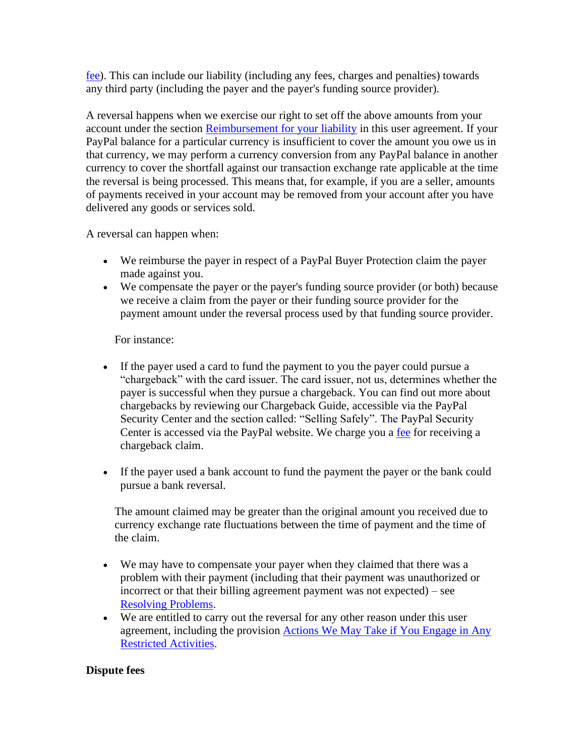[fee\)](#page-25-0). This can include our liability (including any fees, charges and penalties) towards any third party (including the payer and the payer's funding source provider).

A reversal happens when we exercise our right to set off the above amounts from your account under the section [Reimbursement for your liability](#page-45-0) in this user agreement. If your PayPal balance for a particular currency is insufficient to cover the amount you owe us in that currency, we may perform a currency conversion from any PayPal balance in another currency to cover the shortfall against our transaction exchange rate applicable at the time the reversal is being processed. This means that, for example, if you are a seller, amounts of payments received in your account may be removed from your account after you have delivered any goods or services sold.

A reversal can happen when:

- We reimburse the payer in respect of a PayPal Buyer Protection claim the payer made against you.
- We compensate the payer or the payer's funding source provider (or both) because we receive a claim from the payer or their funding source provider for the payment amount under the reversal process used by that funding source provider.

For instance:

- If the payer used a card to fund the payment to you the payer could pursue a "chargeback" with the card issuer. The card issuer, not us, determines whether the payer is successful when they pursue a chargeback. You can find out more about chargebacks by reviewing our Chargeback Guide, accessible via the PayPal Security Center and the section called: "Selling Safely". The PayPal Security Center is accessed via the PayPal website. We charge you a [fee](#page-53-0) for receiving a chargeback claim.
- If the payer used a bank account to fund the payment the payer or the bank could pursue a bank reversal.

The amount claimed may be greater than the original amount you received due to currency exchange rate fluctuations between the time of payment and the time of the claim.

- We may have to compensate your payer when they claimed that there was a problem with their payment (including that their payment was unauthorized or incorrect or that their billing agreement payment was not expected) – see [Resolving Problems.](#page-37-0)
- We are entitled to carry out the reversal for any other reason under this user agreement, including the provision [Actions We May Take if You Engage in Any](#page-31-0)  [Restricted Activities.](#page-31-0)

#### <span id="page-25-0"></span>**Dispute fees**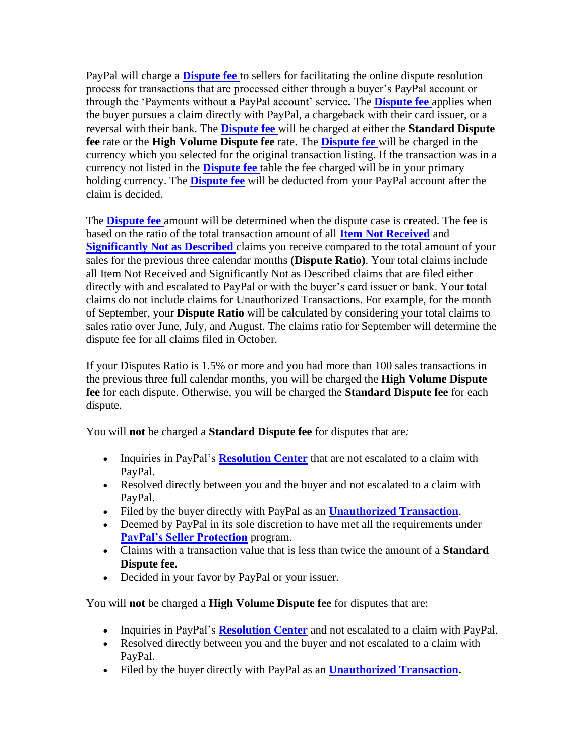PayPal will charge a **[Dispute fee](#page-64-0)** to sellers for facilitating the online dispute resolution process for transactions that are processed either through a buyer's PayPal account or through the 'Payments without a PayPal account' service**.** The **[Dispute fee](#page-64-0)** applies when the buyer pursues a claim directly with PayPal, a chargeback with their card issuer, or a reversal with their bank. The **[Dispute fee](#page-64-0)** will be charged at either the **Standard Dispute fee** rate or the **High Volume Dispute fee** rate. The **[Dispute fee](#page-64-0)** will be charged in the currency which you selected for the original transaction listing. If the transaction was in a currency not listed in the **[Dispute fee](#page-64-0)** table the fee charged will be in your primary holding currency. The **[Dispute fee](#page-64-0)** will be deducted from your PayPal account after the claim is decided.

The **[Dispute fee](#page-64-0)** amount will be determined when the dispute case is created. The fee is based on the ratio of the total transaction amount of all **Item Not Received** and **Significantly Not as Described** claims you receive compared to the total amount of your sales for the previous three calendar months **(Dispute Ratio)**. Your total claims include all Item Not Received and Significantly Not as Described claims that are filed either directly with and escalated to PayPal or with the buyer's card issuer or bank. Your total claims do not include claims for Unauthorized Transactions. For example, for the month of September, your **Dispute Ratio** will be calculated by considering your total claims to sales ratio over June, July, and August. The claims ratio for September will determine the dispute fee for all claims filed in October.

If your Disputes Ratio is 1.5% or more and you had more than 100 sales transactions in the previous three full calendar months, you will be charged the **High Volume Dispute fee** for each dispute. Otherwise, you will be charged the **Standard Dispute fee** for each dispute.

You will **not** be charged a **Standard Dispute fee** for disputes that are*:*

- Inquiries in PayPal's **[Resolution Center](https://www.paypal.com/cz/smarthelp/home?locale.x=en_CZ)** that are not escalated to a claim with PayPal.
- Resolved directly between you and the buyer and not escalated to a claim with PayPal.
- Filed by the buyer directly with PayPal as an **[Unauthorized Transaction](#page-37-1)**.
- Deemed by PayPal in its sole discretion to have met all the requirements under **[PayPal's Seller Protection](https://www.paypal.com/cz/webapps/mpp/ua/seller-protection?locale.x=en_CZ)** program.
- Claims with a transaction value that is less than twice the amount of a **Standard Dispute fee.**
- Decided in your favor by PayPal or your issuer.

You will **not** be charged a **High Volume Dispute fee** for disputes that are:

- Inquiries in PayPal's **[Resolution Center](https://www.paypal.com/cz/smarthelp/home?locale.x=en_CZ)** and not escalated to a claim with PayPal.
- Resolved directly between you and the buyer and not escalated to a claim with PayPal.
- Filed by the buyer directly with PayPal as an **[Unauthorized Transaction.](#page-37-1)**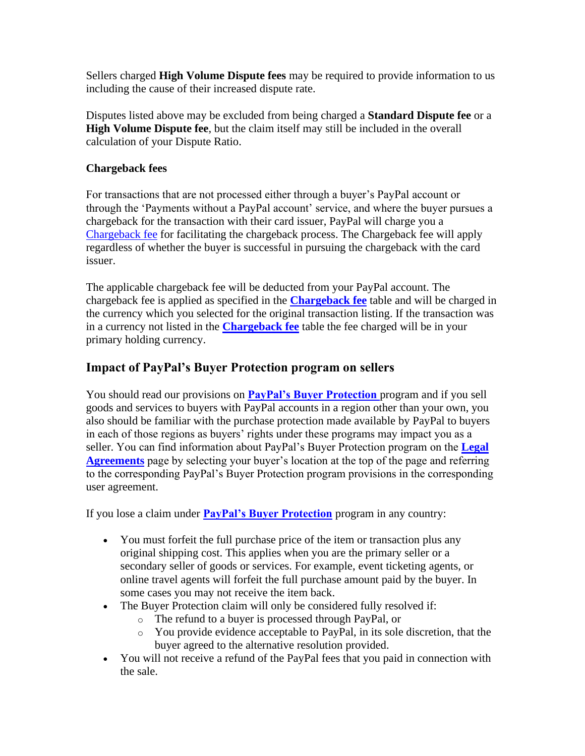Sellers charged **High Volume Dispute fees** may be required to provide information to us including the cause of their increased dispute rate.

Disputes listed above may be excluded from being charged a **Standard Dispute fee** or a **High Volume Dispute fee**, but the claim itself may still be included in the overall calculation of your Dispute Ratio.

#### <span id="page-27-0"></span>**Chargeback fees**

For transactions that are not processed either through a buyer's PayPal account or through the 'Payments without a PayPal account' service, and where the buyer pursues a chargeback for the transaction with their card issuer, PayPal will charge you a [Chargeback fee](#page-63-0) for facilitating the chargeback process. The Chargeback fee will apply regardless of whether the buyer is successful in pursuing the chargeback with the card issuer.

The applicable chargeback fee will be deducted from your PayPal account. The chargeback fee is applied as specified in the **[Chargeback fee](#page-63-0)** table and will be charged in the currency which you selected for the original transaction listing. If the transaction was in a currency not listed in the **[Chargeback fee](#page-63-0)** table the fee charged will be in your primary holding currency.

## **Impact of PayPal's Buyer Protection program on sellers**

You should read our provisions on **[PayPal's Buyer Protection](https://www.paypal.com/cz/webapps/mpp/ua/buyer-protection?locale.x=en_CZ)** program and if you sell goods and services to buyers with PayPal accounts in a region other than your own, you also should be familiar with the purchase protection made available by PayPal to buyers in each of those regions as buyers' rights under these programs may impact you as a seller. You can find information about PayPal's Buyer Protection program on the **[Legal](https://www.paypal.com/cz/webapps/mpp/ua/legalhub-full?locale.x=en_CZ)  [Agreements](https://www.paypal.com/cz/webapps/mpp/ua/legalhub-full?locale.x=en_CZ)** page by selecting your buyer's location at the top of the page and referring to the corresponding PayPal's Buyer Protection program provisions in the corresponding user agreement.

If you lose a claim under **[PayPal's Buyer Protection](https://www.paypal.com/cz/webapps/mpp/ua/buyer-protection?locale.x=en_CZ)** program in any country:

- You must forfeit the full purchase price of the item or transaction plus any original shipping cost. This applies when you are the primary seller or a secondary seller of goods or services. For example, event ticketing agents, or online travel agents will forfeit the full purchase amount paid by the buyer. In some cases you may not receive the item back.
- The Buyer Protection claim will only be considered fully resolved if:
	- o The refund to a buyer is processed through PayPal, or
	- o You provide evidence acceptable to PayPal, in its sole discretion, that the buyer agreed to the alternative resolution provided.
- You will not receive a refund of the PayPal fees that you paid in connection with the sale.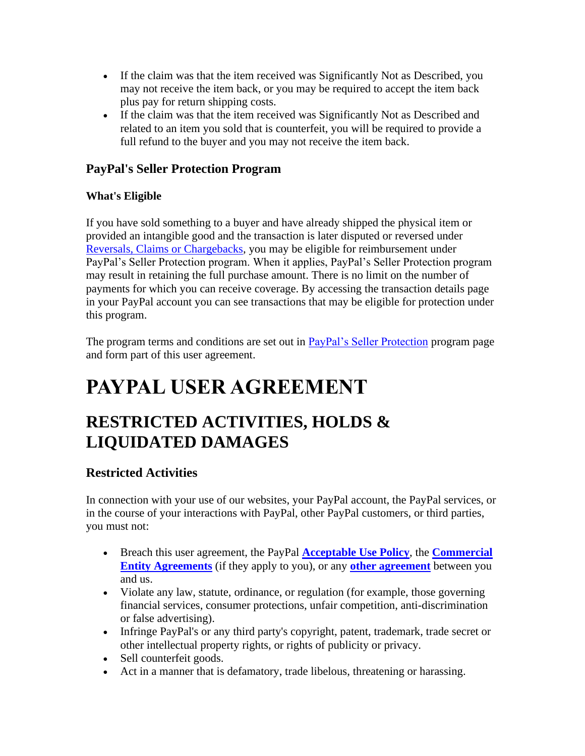- If the claim was that the item received was Significantly Not as Described, you may not receive the item back, or you may be required to accept the item back plus pay for return shipping costs.
- If the claim was that the item received was Significantly Not as Described and related to an item you sold that is counterfeit, you will be required to provide a full refund to the buyer and you may not receive the item back.

## <span id="page-28-0"></span>**PayPal's Seller Protection Program**

## **What's Eligible**

If you have sold something to a buyer and have already shipped the physical item or provided an intangible good and the transaction is later disputed or reversed under [Reversals, Claims or Chargebacks,](#page-24-0) you may be eligible for reimbursement under PayPal's Seller Protection program. When it applies, PayPal's Seller Protection program may result in retaining the full purchase amount. There is no limit on the number of payments for which you can receive coverage. By accessing the transaction details page in your PayPal account you can see transactions that may be eligible for protection under this program.

The program terms and conditions are set out in [PayPal's Seller Protection](https://www.paypal.com/cz/webapps/mpp/ua/seller-protection?locale.x=en_CZ) program page and form part of this user agreement.

# **PAYPAL USER AGREEMENT**

## **RESTRICTED ACTIVITIES, HOLDS & LIQUIDATED DAMAGES**

## <span id="page-28-1"></span>**Restricted Activities**

In connection with your use of our websites, your PayPal account, the PayPal services, or in the course of your interactions with PayPal, other PayPal customers, or third parties, you must not:

- Breach this user agreement, the PayPal **[Acceptable Use Policy](https://www.paypal.com/cz/webapps/mpp/ua/acceptableuse-full?locale.x=en_CZ)**, the **[Commercial](https://www.paypal.com/cz/webapps/mpp/ua/ceagreement-full?locale.x=en_CZ)  [Entity Agreements](https://www.paypal.com/cz/webapps/mpp/ua/ceagreement-full?locale.x=en_CZ)** (if they apply to you), or any **[other agreement](https://www.paypal.com/cz/webapps/mpp/ua/legalhub-full?locale.x=en_CZ)** between you and us.
- Violate any law, statute, ordinance, or regulation (for example, those governing financial services, consumer protections, unfair competition, anti-discrimination or false advertising).
- Infringe PayPal's or any third party's copyright, patent, trademark, trade secret or other intellectual property rights, or rights of publicity or privacy.
- Sell counterfeit goods.
- Act in a manner that is defamatory, trade libelous, threatening or harassing.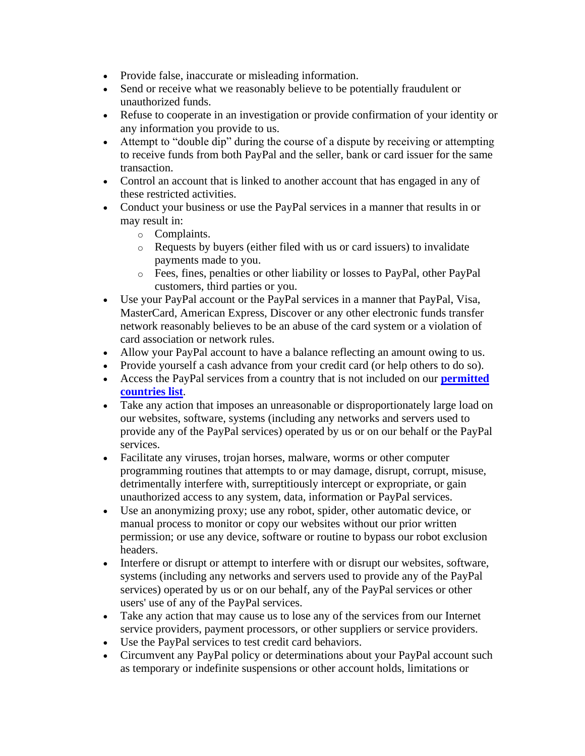- Provide false, inaccurate or misleading information.
- Send or receive what we reasonably believe to be potentially fraudulent or unauthorized funds.
- Refuse to cooperate in an investigation or provide confirmation of your identity or any information you provide to us.
- Attempt to "double dip" during the course of a dispute by receiving or attempting to receive funds from both PayPal and the seller, bank or card issuer for the same transaction.
- Control an account that is linked to another account that has engaged in any of these restricted activities.
- Conduct your business or use the PayPal services in a manner that results in or may result in:
	- o Complaints.
	- o Requests by buyers (either filed with us or card issuers) to invalidate payments made to you.
	- o Fees, fines, penalties or other liability or losses to PayPal, other PayPal customers, third parties or you.
- Use your PayPal account or the PayPal services in a manner that PayPal, Visa, MasterCard, American Express, Discover or any other electronic funds transfer network reasonably believes to be an abuse of the card system or a violation of card association or network rules.
- Allow your PayPal account to have a balance reflecting an amount owing to us.
- Provide yourself a cash advance from your credit card (or help others to do so).
- Access the PayPal services from a country that is not included on our **[permitted](https://www.paypal.com/cz/webapps/mpp/country-worldwide?locale.x=en_CZ)  [countries list](https://www.paypal.com/cz/webapps/mpp/country-worldwide?locale.x=en_CZ)**.
- Take any action that imposes an unreasonable or disproportionately large load on our websites, software, systems (including any networks and servers used to provide any of the PayPal services) operated by us or on our behalf or the PayPal services.
- Facilitate any viruses, trojan horses, malware, worms or other computer programming routines that attempts to or may damage, disrupt, corrupt, misuse, detrimentally interfere with, surreptitiously intercept or expropriate, or gain unauthorized access to any system, data, information or PayPal services.
- Use an anonymizing proxy; use any robot, spider, other automatic device, or manual process to monitor or copy our websites without our prior written permission; or use any device, software or routine to bypass our robot exclusion headers.
- Interfere or disrupt or attempt to interfere with or disrupt our websites, software, systems (including any networks and servers used to provide any of the PayPal services) operated by us or on our behalf, any of the PayPal services or other users' use of any of the PayPal services.
- Take any action that may cause us to lose any of the services from our Internet service providers, payment processors, or other suppliers or service providers.
- Use the PayPal services to test credit card behaviors.
- Circumvent any PayPal policy or determinations about your PayPal account such as temporary or indefinite suspensions or other account holds, limitations or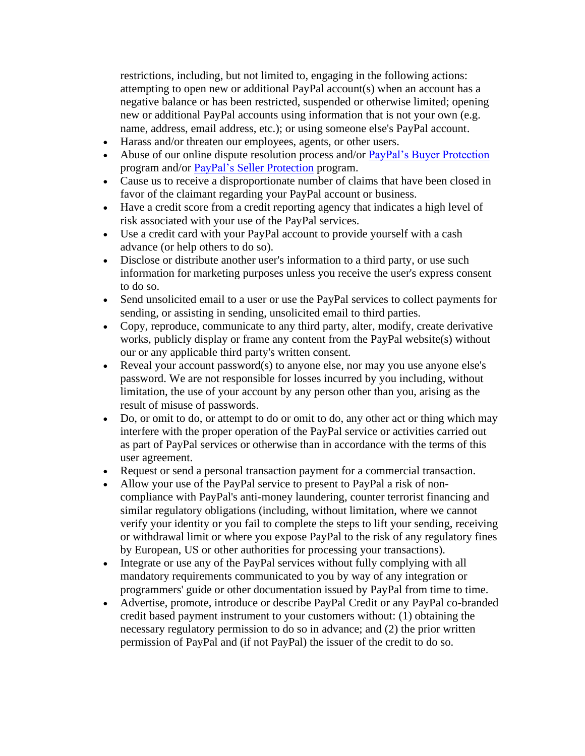restrictions, including, but not limited to, engaging in the following actions: attempting to open new or additional PayPal account(s) when an account has a negative balance or has been restricted, suspended or otherwise limited; opening new or additional PayPal accounts using information that is not your own (e.g. name, address, email address, etc.); or using someone else's PayPal account.

- Harass and/or threaten our employees, agents, or other users.
- Abuse of our online dispute resolution process and/or [PayPal's Buyer Protection](https://www.paypal.com/cz/webapps/mpp/ua/buyer-protection?locale.x=en_CZ) program and/or [PayPal's Seller Protection](https://www.paypal.com/cz/webapps/mpp/ua/seller-protection?locale.x=en_CZ) program.
- Cause us to receive a disproportionate number of claims that have been closed in favor of the claimant regarding your PayPal account or business.
- Have a credit score from a credit reporting agency that indicates a high level of risk associated with your use of the PayPal services.
- Use a credit card with your PayPal account to provide yourself with a cash advance (or help others to do so).
- Disclose or distribute another user's information to a third party, or use such information for marketing purposes unless you receive the user's express consent to do so.
- Send unsolicited email to a user or use the PayPal services to collect payments for sending, or assisting in sending, unsolicited email to third parties.
- Copy, reproduce, communicate to any third party, alter, modify, create derivative works, publicly display or frame any content from the PayPal website(s) without our or any applicable third party's written consent.
- Reveal your account password(s) to anyone else, nor may you use anyone else's password. We are not responsible for losses incurred by you including, without limitation, the use of your account by any person other than you, arising as the result of misuse of passwords.
- Do, or omit to do, or attempt to do or omit to do, any other act or thing which may interfere with the proper operation of the PayPal service or activities carried out as part of PayPal services or otherwise than in accordance with the terms of this user agreement.
- Request or send a personal transaction payment for a commercial transaction.
- Allow your use of the PayPal service to present to PayPal a risk of noncompliance with PayPal's anti-money laundering, counter terrorist financing and similar regulatory obligations (including, without limitation, where we cannot verify your identity or you fail to complete the steps to lift your sending, receiving or withdrawal limit or where you expose PayPal to the risk of any regulatory fines by European, US or other authorities for processing your transactions).
- Integrate or use any of the PayPal services without fully complying with all mandatory requirements communicated to you by way of any integration or programmers' guide or other documentation issued by PayPal from time to time.
- Advertise, promote, introduce or describe PayPal Credit or any PayPal co-branded credit based payment instrument to your customers without: (1) obtaining the necessary regulatory permission to do so in advance; and (2) the prior written permission of PayPal and (if not PayPal) the issuer of the credit to do so.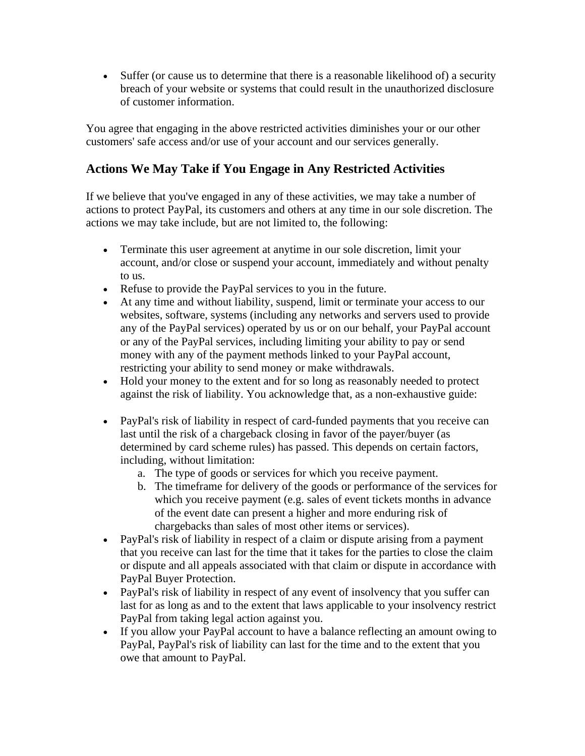• Suffer (or cause us to determine that there is a reasonable likelihood of) a security breach of your website or systems that could result in the unauthorized disclosure of customer information.

You agree that engaging in the above restricted activities diminishes your or our other customers' safe access and/or use of your account and our services generally.

## <span id="page-31-0"></span>**Actions We May Take if You Engage in Any Restricted Activities**

If we believe that you've engaged in any of these activities, we may take a number of actions to protect PayPal, its customers and others at any time in our sole discretion. The actions we may take include, but are not limited to, the following:

- Terminate this user agreement at anytime in our sole discretion, limit your account, and/or close or suspend your account, immediately and without penalty to us.
- Refuse to provide the PayPal services to you in the future.
- At any time and without liability, suspend, limit or terminate your access to our websites, software, systems (including any networks and servers used to provide any of the PayPal services) operated by us or on our behalf, your PayPal account or any of the PayPal services, including limiting your ability to pay or send money with any of the payment methods linked to your PayPal account, restricting your ability to send money or make withdrawals.
- Hold your money to the extent and for so long as reasonably needed to protect against the risk of liability. You acknowledge that, as a non-exhaustive guide:
- PayPal's risk of liability in respect of card-funded payments that you receive can last until the risk of a chargeback closing in favor of the payer/buyer (as determined by card scheme rules) has passed. This depends on certain factors, including, without limitation:
	- a. The type of goods or services for which you receive payment.
	- b. The timeframe for delivery of the goods or performance of the services for which you receive payment (e.g. sales of event tickets months in advance of the event date can present a higher and more enduring risk of chargebacks than sales of most other items or services).
- PayPal's risk of liability in respect of a claim or dispute arising from a payment that you receive can last for the time that it takes for the parties to close the claim or dispute and all appeals associated with that claim or dispute in accordance with PayPal Buyer Protection.
- PayPal's risk of liability in respect of any event of insolvency that you suffer can last for as long as and to the extent that laws applicable to your insolvency restrict PayPal from taking legal action against you.
- If you allow your PayPal account to have a balance reflecting an amount owing to PayPal, PayPal's risk of liability can last for the time and to the extent that you owe that amount to PayPal.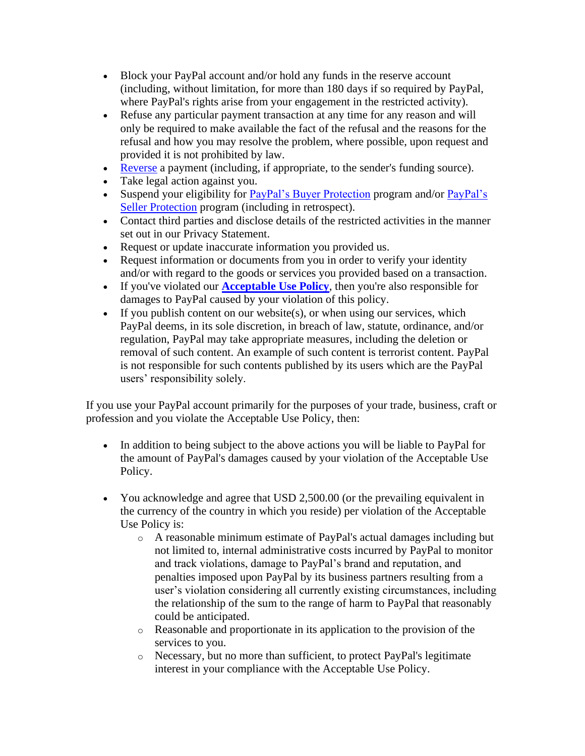- Block your PayPal account and/or hold any funds in the reserve account (including, without limitation, for more than 180 days if so required by PayPal, where PayPal's rights arise from your engagement in the restricted activity).
- Refuse any particular payment transaction at any time for any reason and will only be required to make available the fact of the refusal and the reasons for the refusal and how you may resolve the problem, where possible, upon request and provided it is not prohibited by law.
- [Reverse](#page-24-0) a payment (including, if appropriate, to the sender's funding source).
- Take legal action against you.
- Suspend your eligibility for **PayPal's Buyer Protection** program and/or **PayPal's** [Seller Protection](https://www.paypal.com/cz/webapps/mpp/ua/seller-protection?locale.x=en_CZ) program (including in retrospect).
- Contact third parties and disclose details of the restricted activities in the manner set out in our Privacy Statement.
- Request or update inaccurate information you provided us.
- Request information or documents from you in order to verify your identity and/or with regard to the goods or services you provided based on a transaction.
- If you've violated our **[Acceptable Use](https://www.paypal.com/cz/webapps/mpp/ua/acceptableuse-full?locale.x=en_CZ) Policy**, then you're also responsible for damages to PayPal caused by your violation of this policy.
- If you publish content on our website(s), or when using our services, which PayPal deems, in its sole discretion, in breach of law, statute, ordinance, and/or regulation, PayPal may take appropriate measures, including the deletion or removal of such content. An example of such content is terrorist content. PayPal is not responsible for such contents published by its users which are the PayPal users' responsibility solely.

If you use your PayPal account primarily for the purposes of your trade, business, craft or profession and you violate the Acceptable Use Policy, then:

- In addition to being subject to the above actions you will be liable to PayPal for the amount of PayPal's damages caused by your violation of the Acceptable Use Policy.
- You acknowledge and agree that USD 2,500.00 (or the prevailing equivalent in the currency of the country in which you reside) per violation of the Acceptable Use Policy is:
	- $\circ$  A reasonable minimum estimate of PayPal's actual damages including but not limited to, internal administrative costs incurred by PayPal to monitor and track violations, damage to PayPal's brand and reputation, and penalties imposed upon PayPal by its business partners resulting from a user's violation considering all currently existing circumstances, including the relationship of the sum to the range of harm to PayPal that reasonably could be anticipated.
	- o Reasonable and proportionate in its application to the provision of the services to you.
	- o Necessary, but no more than sufficient, to protect PayPal's legitimate interest in your compliance with the Acceptable Use Policy.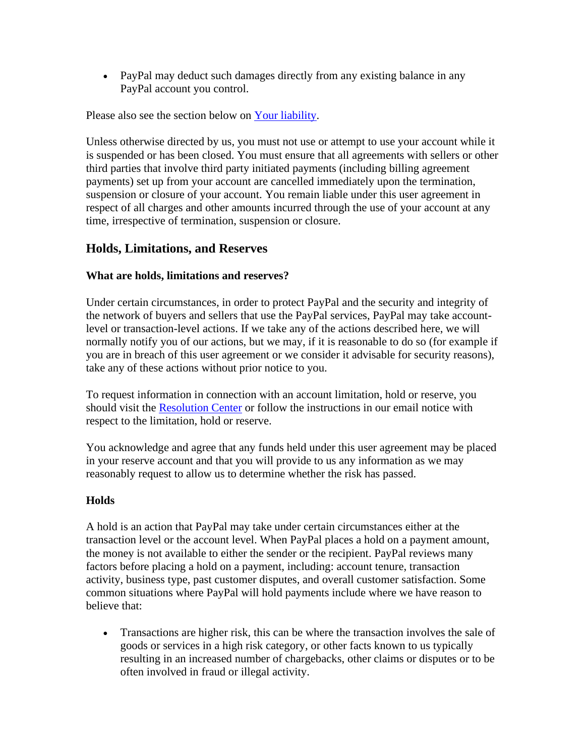• PayPal may deduct such damages directly from any existing balance in any PayPal account you control.

Please also see the section below on [Your liability.](#page-33-0)

Unless otherwise directed by us, you must not use or attempt to use your account while it is suspended or has been closed. You must ensure that all agreements with sellers or other third parties that involve third party initiated payments (including billing agreement payments) set up from your account are cancelled immediately upon the termination, suspension or closure of your account. You remain liable under this user agreement in respect of all charges and other amounts incurred through the use of your account at any time, irrespective of termination, suspension or closure.

## <span id="page-33-0"></span>**Holds, Limitations, and Reserves**

#### **What are holds, limitations and reserves?**

Under certain circumstances, in order to protect PayPal and the security and integrity of the network of buyers and sellers that use the PayPal services, PayPal may take accountlevel or transaction-level actions. If we take any of the actions described here, we will normally notify you of our actions, but we may, if it is reasonable to do so (for example if you are in breach of this user agreement or we consider it advisable for security reasons), take any of these actions without prior notice to you.

To request information in connection with an account limitation, hold or reserve, you should visit the [Resolution Center](https://www.paypal.com/cz/smarthelp/home?locale.x=en_CZ) or follow the instructions in our email notice with respect to the limitation, hold or reserve.

You acknowledge and agree that any funds held under this user agreement may be placed in your reserve account and that you will provide to us any information as we may reasonably request to allow us to determine whether the risk has passed.

## **Holds**

A hold is an action that PayPal may take under certain circumstances either at the transaction level or the account level. When PayPal places a hold on a payment amount, the money is not available to either the sender or the recipient. PayPal reviews many factors before placing a hold on a payment, including: account tenure, transaction activity, business type, past customer disputes, and overall customer satisfaction. Some common situations where PayPal will hold payments include where we have reason to believe that:

• Transactions are higher risk, this can be where the transaction involves the sale of goods or services in a high risk category, or other facts known to us typically resulting in an increased number of chargebacks, other claims or disputes or to be often involved in fraud or illegal activity.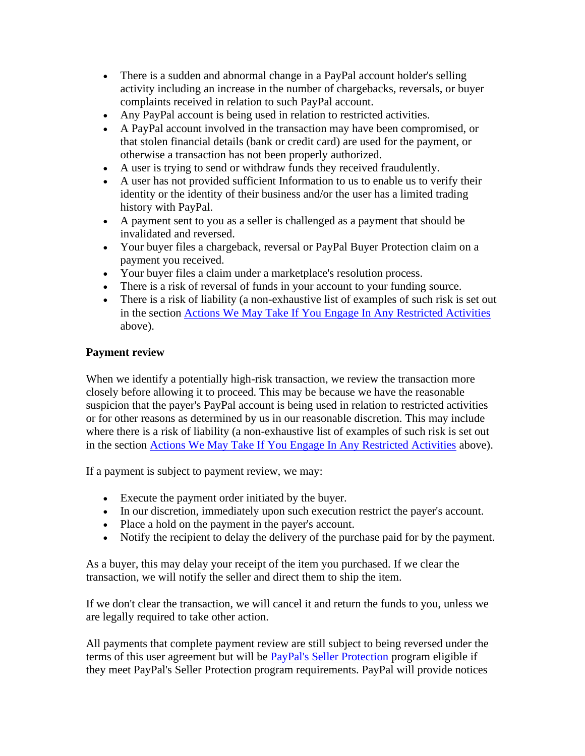- There is a sudden and abnormal change in a PayPal account holder's selling activity including an increase in the number of chargebacks, reversals, or buyer complaints received in relation to such PayPal account.
- Any PayPal account is being used in relation to restricted activities.
- A PayPal account involved in the transaction may have been compromised, or that stolen financial details (bank or credit card) are used for the payment, or otherwise a transaction has not been properly authorized.
- A user is trying to send or withdraw funds they received fraudulently.
- A user has not provided sufficient Information to us to enable us to verify their identity or the identity of their business and/or the user has a limited trading history with PayPal.
- A payment sent to you as a seller is challenged as a payment that should be invalidated and reversed.
- Your buyer files a chargeback, reversal or PayPal Buyer Protection claim on a payment you received.
- Your buyer files a claim under a marketplace's resolution process.
- There is a risk of reversal of funds in your account to your funding source.
- There is a risk of liability (a non-exhaustive list of examples of such risk is set out in the section [Actions We May Take If You Engage In Any Restricted Activities](#page-31-0) above).

#### <span id="page-34-0"></span>**Payment review**

When we identify a potentially high-risk transaction, we review the transaction more closely before allowing it to proceed. This may be because we have the reasonable suspicion that the payer's PayPal account is being used in relation to restricted activities or for other reasons as determined by us in our reasonable discretion. This may include where there is a risk of liability (a non-exhaustive list of examples of such risk is set out in the section [Actions We May Take If You Engage In Any Restricted Activities](#page-31-0) above).

If a payment is subject to payment review, we may:

- Execute the payment order initiated by the buyer.
- In our discretion, immediately upon such execution restrict the payer's account.
- Place a hold on the payment in the payer's account.
- Notify the recipient to delay the delivery of the purchase paid for by the payment.

As a buyer, this may delay your receipt of the item you purchased. If we clear the transaction, we will notify the seller and direct them to ship the item.

If we don't clear the transaction, we will cancel it and return the funds to you, unless we are legally required to take other action.

All payments that complete payment review are still subject to being reversed under the terms of this user agreement but will be [PayPal's Seller Protection](#page-28-0) program eligible if they meet PayPal's Seller Protection program requirements. PayPal will provide notices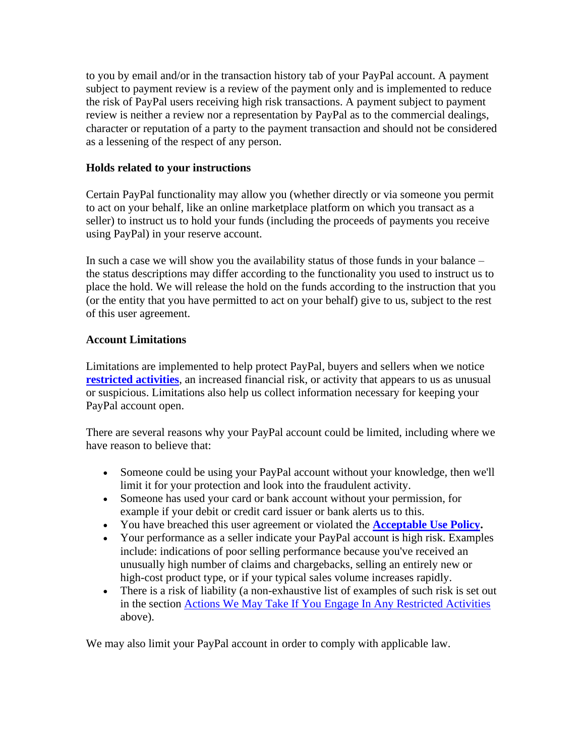to you by email and/or in the transaction history tab of your PayPal account. A payment subject to payment review is a review of the payment only and is implemented to reduce the risk of PayPal users receiving high risk transactions. A payment subject to payment review is neither a review nor a representation by PayPal as to the commercial dealings, character or reputation of a party to the payment transaction and should not be considered as a lessening of the respect of any person.

#### **Holds related to your instructions**

Certain PayPal functionality may allow you (whether directly or via someone you permit to act on your behalf, like an online marketplace platform on which you transact as a seller) to instruct us to hold your funds (including the proceeds of payments you receive using PayPal) in your reserve account.

In such a case we will show you the availability status of those funds in your balance – the status descriptions may differ according to the functionality you used to instruct us to place the hold. We will release the hold on the funds according to the instruction that you (or the entity that you have permitted to act on your behalf) give to us, subject to the rest of this user agreement.

#### **Account Limitations**

Limitations are implemented to help protect PayPal, buyers and sellers when we notice **[restricted activities](#page-28-1)**, an increased financial risk, or activity that appears to us as unusual or suspicious. Limitations also help us collect information necessary for keeping your PayPal account open.

There are several reasons why your PayPal account could be limited, including where we have reason to believe that:

- Someone could be using your PayPal account without your knowledge, then we'll limit it for your protection and look into the fraudulent activity.
- Someone has used your card or bank account without your permission, for example if your debit or credit card issuer or bank alerts us to this.
- You have breached this user agreement or violated the **[Acceptable Use Policy.](https://www.paypal.com/cz/webapps/mpp/ua/acceptableuse-full?locale.x=en_CZ)**
- Your performance as a seller indicate your PayPal account is high risk. Examples include: indications of poor selling performance because you've received an unusually high number of claims and chargebacks, selling an entirely new or high-cost product type, or if your typical sales volume increases rapidly.
- There is a risk of liability (a non-exhaustive list of examples of such risk is set out in the section [Actions We May Take If You Engage In Any Restricted Activities](#page-31-0) above).

We may also limit your PayPal account in order to comply with applicable law.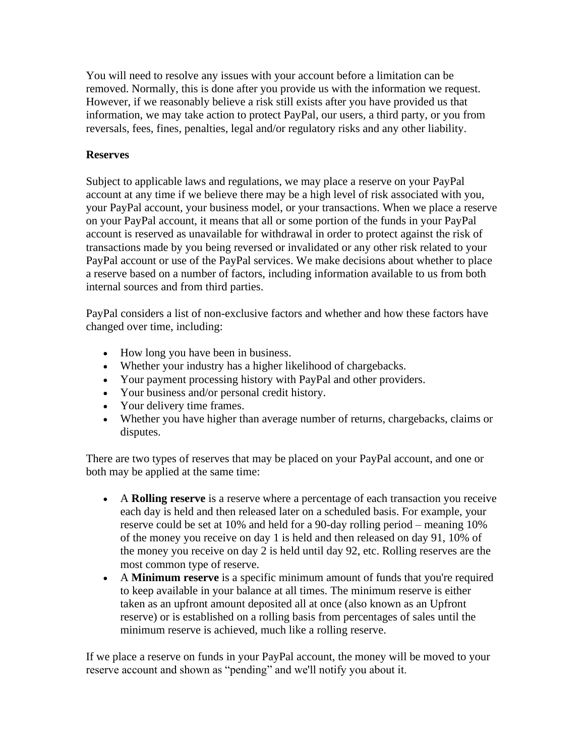You will need to resolve any issues with your account before a limitation can be removed. Normally, this is done after you provide us with the information we request. However, if we reasonably believe a risk still exists after you have provided us that information, we may take action to protect PayPal, our users, a third party, or you from reversals, fees, fines, penalties, legal and/or regulatory risks and any other liability.

#### **Reserves**

Subject to applicable laws and regulations, we may place a reserve on your PayPal account at any time if we believe there may be a high level of risk associated with you, your PayPal account, your business model, or your transactions. When we place a reserve on your PayPal account, it means that all or some portion of the funds in your PayPal account is reserved as unavailable for withdrawal in order to protect against the risk of transactions made by you being reversed or invalidated or any other risk related to your PayPal account or use of the PayPal services. We make decisions about whether to place a reserve based on a number of factors, including information available to us from both internal sources and from third parties.

PayPal considers a list of non-exclusive factors and whether and how these factors have changed over time, including:

- How long you have been in business.
- Whether your industry has a higher likelihood of chargebacks.
- Your payment processing history with PayPal and other providers.
- Your business and/or personal credit history.
- Your delivery time frames.
- Whether you have higher than average number of returns, chargebacks, claims or disputes.

There are two types of reserves that may be placed on your PayPal account, and one or both may be applied at the same time:

- A **Rolling reserve** is a reserve where a percentage of each transaction you receive each day is held and then released later on a scheduled basis. For example, your reserve could be set at 10% and held for a 90-day rolling period – meaning 10% of the money you receive on day 1 is held and then released on day 91, 10% of the money you receive on day 2 is held until day 92, etc. Rolling reserves are the most common type of reserve.
- A **Minimum reserve** is a specific minimum amount of funds that you're required to keep available in your balance at all times. The minimum reserve is either taken as an upfront amount deposited all at once (also known as an Upfront reserve) or is established on a rolling basis from percentages of sales until the minimum reserve is achieved, much like a rolling reserve.

If we place a reserve on funds in your PayPal account, the money will be moved to your reserve account and shown as "pending" and we'll notify you about it.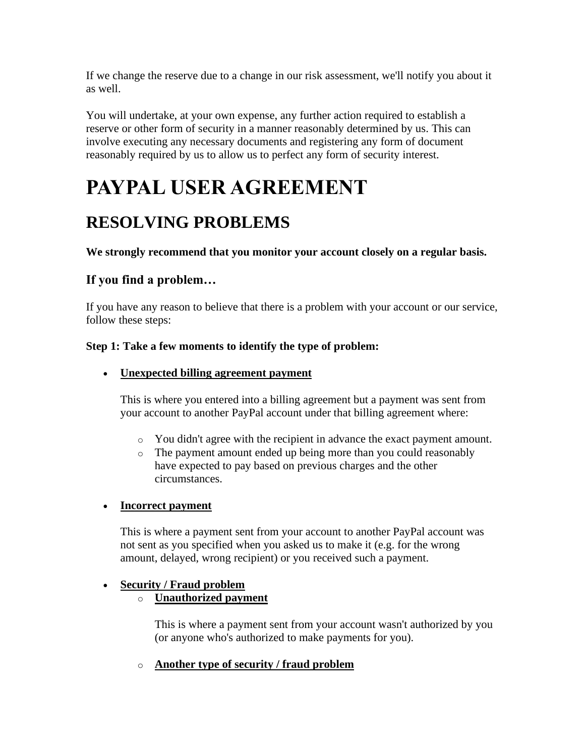If we change the reserve due to a change in our risk assessment, we'll notify you about it as well.

You will undertake, at your own expense, any further action required to establish a reserve or other form of security in a manner reasonably determined by us. This can involve executing any necessary documents and registering any form of document reasonably required by us to allow us to perfect any form of security interest.

# **PAYPAL USER AGREEMENT**

# **RESOLVING PROBLEMS**

#### **We strongly recommend that you monitor your account closely on a regular basis.**

# **If you find a problem…**

If you have any reason to believe that there is a problem with your account or our service, follow these steps:

#### **Step 1: Take a few moments to identify the type of problem:**

#### • **Unexpected billing agreement payment**

This is where you entered into a billing agreement but a payment was sent from your account to another PayPal account under that billing agreement where:

- o You didn't agree with the recipient in advance the exact payment amount.
- o The payment amount ended up being more than you could reasonably have expected to pay based on previous charges and the other circumstances.

#### • **Incorrect payment**

This is where a payment sent from your account to another PayPal account was not sent as you specified when you asked us to make it (e.g. for the wrong amount, delayed, wrong recipient) or you received such a payment.

#### • **Security / Fraud problem**

#### o **Unauthorized payment**

This is where a payment sent from your account wasn't authorized by you (or anyone who's authorized to make payments for you).

#### o **Another type of security / fraud problem**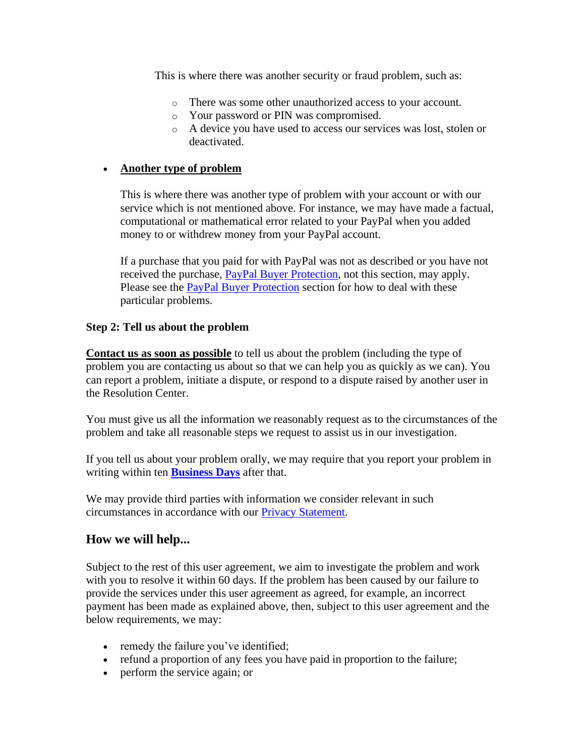This is where there was another security or fraud problem, such as:

- o There was some other unauthorized access to your account.
- o Your password or PIN was compromised.
- o A device you have used to access our services was lost, stolen or deactivated.

#### • **Another type of problem**

This is where there was another type of problem with your account or with our service which is not mentioned above. For instance, we may have made a factual, computational or mathematical error related to your PayPal when you added money to or withdrew money from your PayPal account.

If a purchase that you paid for with PayPal was not as described or you have not received the purchase, [PayPal Buyer Protection,](#page-20-0) not this section, may apply. Please see the **PayPal Buyer Protection** section for how to deal with these particular problems.

#### **Step 2: Tell us about the problem**

**Contact us as soon as possible** to tell us about the problem (including the type of problem you are contacting us about so that we can help you as quickly as we can). You can report a problem, initiate a dispute, or respond to a dispute raised by another user in the Resolution Center.

You must give us all the information we reasonably request as to the circumstances of the problem and take all reasonable steps we request to assist us in our investigation.

If you tell us about your problem orally, we may require that you report your problem in writing within ten **Business Days** after that.

We may provide third parties with information we consider relevant in such circumstances in accordance with our [Privacy Statement.](https://www.paypal.com/cz/webapps/mpp/ua/privacy-full?locale.x=en_CZ)

#### **How we will help...**

Subject to the rest of this user agreement, we aim to investigate the problem and work with you to resolve it within 60 days. If the problem has been caused by our failure to provide the services under this user agreement as agreed, for example, an incorrect payment has been made as explained above, then, subject to this user agreement and the below requirements, we may:

- remedy the failure you've identified;
- refund a proportion of any fees you have paid in proportion to the failure;
- perform the service again; or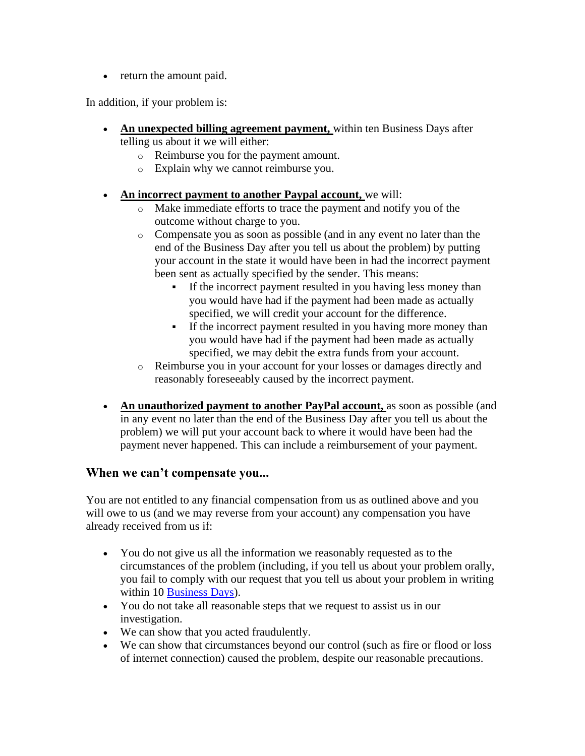• return the amount paid.

In addition, if your problem is:

- An unexpected billing agreement payment, within ten Business Days after telling us about it we will either:
	- o Reimburse you for the payment amount.
	- o Explain why we cannot reimburse you.
- **An incorrect payment to another Paypal account,** we will:
	- o Make immediate efforts to trace the payment and notify you of the outcome without charge to you.
	- o Compensate you as soon as possible (and in any event no later than the end of the Business Day after you tell us about the problem) by putting your account in the state it would have been in had the incorrect payment been sent as actually specified by the sender. This means:
		- If the incorrect payment resulted in you having less money than you would have had if the payment had been made as actually specified, we will credit your account for the difference.
		- **•** If the incorrect payment resulted in you having more money than you would have had if the payment had been made as actually specified, we may debit the extra funds from your account.
	- o Reimburse you in your account for your losses or damages directly and reasonably foreseeably caused by the incorrect payment.
- An unauthorized payment to another PayPal account, as soon as possible (and in any event no later than the end of the Business Day after you tell us about the problem) we will put your account back to where it would have been had the payment never happened. This can include a reimbursement of your payment.

#### **When we can't compensate you...**

You are not entitled to any financial compensation from us as outlined above and you will owe to us (and we may reverse from your account) any compensation you have already received from us if:

- You do not give us all the information we reasonably requested as to the circumstances of the problem (including, if you tell us about your problem orally, you fail to comply with our request that you tell us about your problem in writing within 10 Business Days).
- You do not take all reasonable steps that we request to assist us in our investigation.
- We can show that you acted fraudulently.
- We can show that circumstances beyond our control (such as fire or flood or loss of internet connection) caused the problem, despite our reasonable precautions.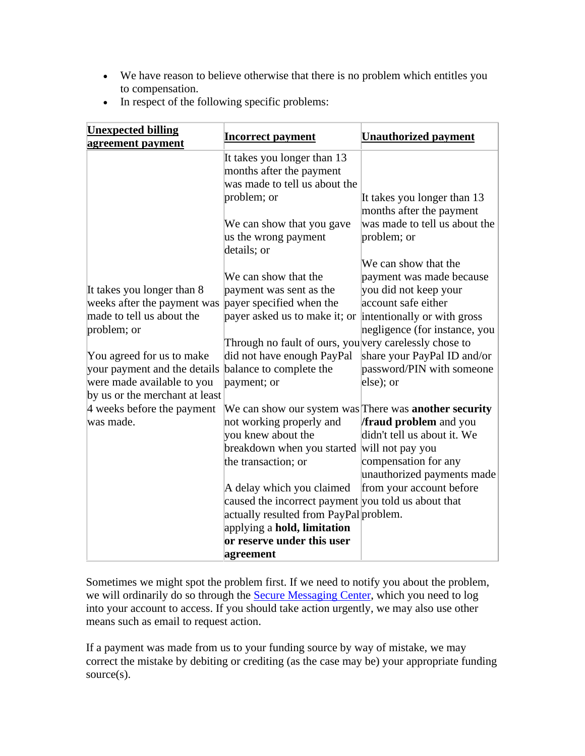• We have reason to believe otherwise that there is no problem which entitles you to compensation.

|  | In respect of the following specific problems: |  |  |  |  |
|--|------------------------------------------------|--|--|--|--|
|--|------------------------------------------------|--|--|--|--|

| <b>Unexpected billing</b><br>agreement payment | <b>Incorrect payment</b>                                     | Unauthorized payment          |
|------------------------------------------------|--------------------------------------------------------------|-------------------------------|
|                                                | It takes you longer than 13                                  |                               |
|                                                | months after the payment                                     |                               |
|                                                | was made to tell us about the                                |                               |
|                                                | problem; or                                                  | It takes you longer than 13   |
|                                                |                                                              | months after the payment      |
|                                                | We can show that you gave                                    | was made to tell us about the |
|                                                | us the wrong payment                                         | problem; or                   |
|                                                | details; or                                                  |                               |
|                                                |                                                              | We can show that the          |
|                                                | We can show that the                                         | payment was made because      |
| It takes you longer than 8                     | payment was sent as the                                      | you did not keep your         |
| weeks after the payment was                    | payer specified when the                                     | account safe either           |
| made to tell us about the                      | payer asked us to make it; or                                | intentionally or with gross   |
| problem; or                                    |                                                              | negligence (for instance, you |
|                                                | Through no fault of ours, you very carelessly chose to       |                               |
| You agreed for us to make                      | did not have enough PayPal                                   | share your PayPal ID and/or   |
| your payment and the details                   | balance to complete the                                      | password/PIN with someone     |
| were made available to you                     | payment; or                                                  | else); or                     |
| by us or the merchant at least                 |                                                              |                               |
| 4 weeks before the payment                     | We can show our system was There was <b>another security</b> |                               |
| was made.                                      | not working properly and                                     | <b>fraud problem</b> and you  |
|                                                | you knew about the                                           | didn't tell us about it. We   |
|                                                | breakdown when you started will not pay you                  |                               |
|                                                | the transaction; or                                          | compensation for any          |
|                                                |                                                              | unauthorized payments made    |
|                                                | A delay which you claimed                                    | from your account before      |
|                                                | caused the incorrect payment you told us about that          |                               |
|                                                | actually resulted from PayPal problem.                       |                               |
|                                                | applying a hold, limitation                                  |                               |
|                                                | or reserve under this user                                   |                               |
|                                                | agreement                                                    |                               |

Sometimes we might spot the problem first. If we need to notify you about the problem, we will ordinarily do so through the **Secure Messaging Center**, which you need to log into your account to access. If you should take action urgently, we may also use other means such as email to request action.

If a payment was made from us to your funding source by way of mistake, we may correct the mistake by debiting or crediting (as the case may be) your appropriate funding source(s).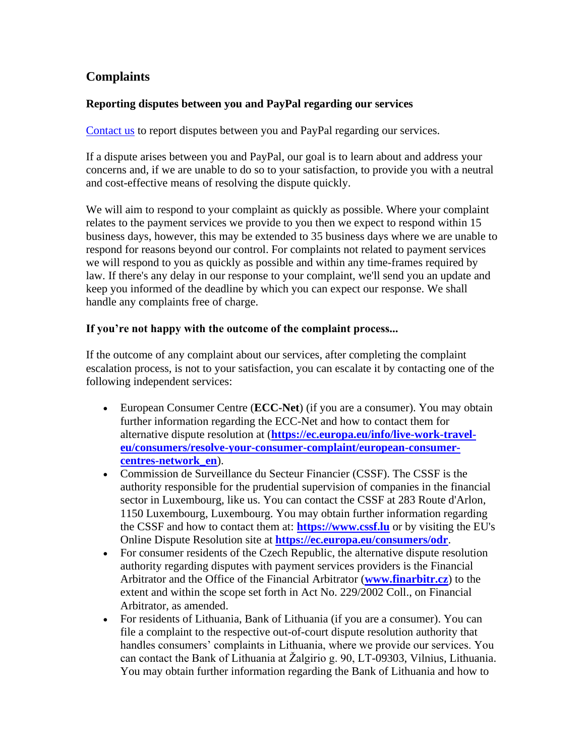## **Complaints**

#### **Reporting disputes between you and PayPal regarding our services**

[Contact us](https://www.paypal.com/cz/selfhelp/home?locale.x=en_CZ) to report disputes between you and PayPal regarding our services.

If a dispute arises between you and PayPal, our goal is to learn about and address your concerns and, if we are unable to do so to your satisfaction, to provide you with a neutral and cost-effective means of resolving the dispute quickly.

We will aim to respond to your complaint as quickly as possible. Where your complaint relates to the payment services we provide to you then we expect to respond within 15 business days, however, this may be extended to 35 business days where we are unable to respond for reasons beyond our control. For complaints not related to payment services we will respond to you as quickly as possible and within any time-frames required by law. If there's any delay in our response to your complaint, we'll send you an update and keep you informed of the deadline by which you can expect our response. We shall handle any complaints free of charge.

#### **If you're not happy with the outcome of the complaint process...**

If the outcome of any complaint about our services, after completing the complaint escalation process, is not to your satisfaction, you can escalate it by contacting one of the following independent services:

- European Consumer Centre (**ECC-Net**) (if you are a consumer). You may obtain further information regarding the ECC-Net and how to contact them for alternative dispute resolution at (**[https://ec.europa.eu/info/live-work-travel](https://ec.europa.eu/info/live-work-travel-eu/consumers/resolve-your-consumer-complaint/european-consumer-centres-network_en)[eu/consumers/resolve-your-consumer-complaint/european-consumer](https://ec.europa.eu/info/live-work-travel-eu/consumers/resolve-your-consumer-complaint/european-consumer-centres-network_en)[centres-network\\_en](https://ec.europa.eu/info/live-work-travel-eu/consumers/resolve-your-consumer-complaint/european-consumer-centres-network_en)**).
- Commission de Surveillance du Secteur Financier (CSSF). The CSSF is the authority responsible for the prudential supervision of companies in the financial sector in Luxembourg, like us. You can contact the CSSF at 283 Route d'Arlon, 1150 Luxembourg, Luxembourg. You may obtain further information regarding the CSSF and how to contact them at: **[https://www.cssf.lu](https://www.cssf.lu/)** or by visiting the EU's Online Dispute Resolution site at **<https://ec.europa.eu/consumers/odr>**.
- For consumer residents of the Czech Republic, the alternative dispute resolution authority regarding disputes with payment services providers is the Financial Arbitrator and the Office of the Financial Arbitrator (**[www.finarbitr.cz](http://www.finarbitr.cz/)**) to the extent and within the scope set forth in Act No. 229/2002 Coll., on Financial Arbitrator, as amended.
- For residents of Lithuania, Bank of Lithuania (if you are a consumer). You can file a complaint to the respective out-of-court dispute resolution authority that handles consumers' complaints in Lithuania, where we provide our services. You can contact the Bank of Lithuania at Žalgirio g. 90, LT-09303, Vilnius, Lithuania. You may obtain further information regarding the Bank of Lithuania and how to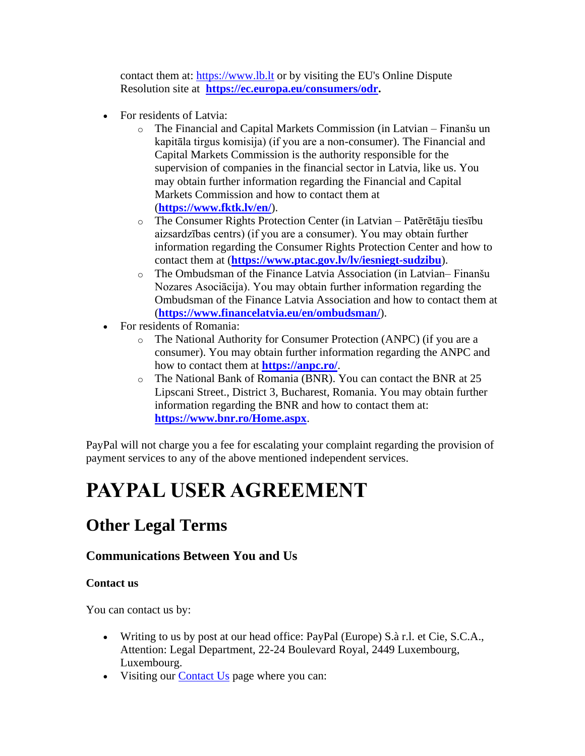contact them at: [https://www.lb.lt](https://www.lb.lt/) or by visiting the EU's Online Dispute Resolution site at **[https://ec.europa.eu/consumers/odr.](https://ec.europa.eu/consumers/odr)**

- For residents of Latvia:
	- o The Financial and Capital Markets Commission (in Latvian Finanšu un kapitāla tirgus komisija) (if you are a non-consumer). The Financial and Capital Markets Commission is the authority responsible for the supervision of companies in the financial sector in Latvia, like us. You may obtain further information regarding the Financial and Capital Markets Commission and how to contact them at (**<https://www.fktk.lv/en/>**).
	- o The Consumer Rights Protection Center (in Latvian Patērētāju tiesību aizsardzības centrs) (if you are a consumer). You may obtain further information regarding the Consumer Rights Protection Center and how to contact them at (**<https://www.ptac.gov.lv/lv/iesniegt-sudzibu>**).
	- o The Ombudsman of the Finance Latvia Association (in Latvian– Finanšu Nozares Asociācija). You may obtain further information regarding the Ombudsman of the Finance Latvia Association and how to contact them at (**<https://www.financelatvia.eu/en/ombudsman/>**).
- For residents of Romania:
	- o The National Authority for Consumer Protection (ANPC) (if you are a consumer). You may obtain further information regarding the ANPC and how to contact them at **<https://anpc.ro/>**.
	- o The National Bank of Romania (BNR). You can contact the BNR at 25 Lipscani Street., District 3, Bucharest, Romania. You may obtain further information regarding the BNR and how to contact them at: **<https://www.bnr.ro/Home.aspx>**.

PayPal will not charge you a fee for escalating your complaint regarding the provision of payment services to any of the above mentioned independent services.

# **PAYPAL USER AGREEMENT**

# **Other Legal Terms**

## **Communications Between You and Us**

#### **Contact us**

You can contact us by:

- Writing to us by post at our head office: PayPal (Europe) S.à r.l. et Cie, S.C.A., Attention: Legal Department, 22-24 Boulevard Royal, 2449 Luxembourg, Luxembourg.
- Visiting our **Contact Us** page where you can: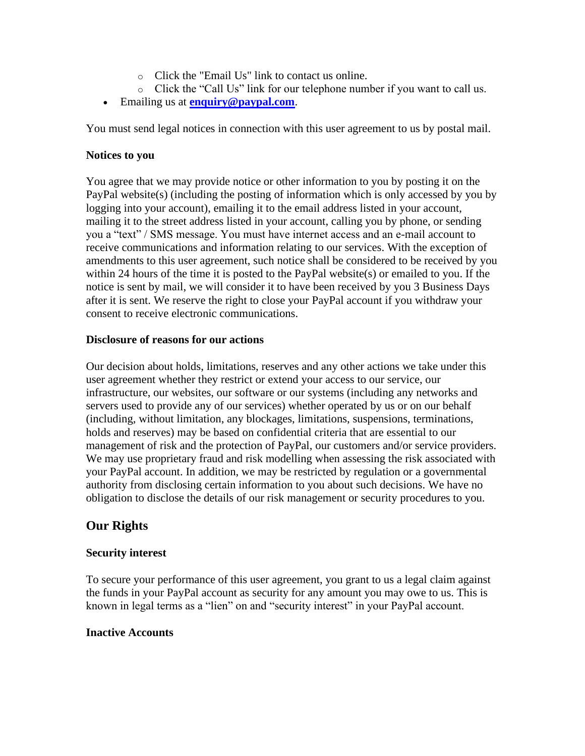- o Click the "Email Us" link to contact us online.
- o Click the "Call Us" link for our telephone number if you want to call us.
- Emailing us at **[enquiry@paypal.com](mailto:enquiry@paypal.com)**.

You must send legal notices in connection with this user agreement to us by postal mail.

#### **Notices to you**

You agree that we may provide notice or other information to you by posting it on the PayPal website(s) (including the posting of information which is only accessed by you by logging into your account), emailing it to the email address listed in your account, mailing it to the street address listed in your account, calling you by phone, or sending you a "text" / SMS message. You must have internet access and an e-mail account to receive communications and information relating to our services. With the exception of amendments to this user agreement, such notice shall be considered to be received by you within 24 hours of the time it is posted to the PayPal website(s) or emailed to you. If the notice is sent by mail, we will consider it to have been received by you 3 Business Days after it is sent. We reserve the right to close your PayPal account if you withdraw your consent to receive electronic communications.

#### **Disclosure of reasons for our actions**

Our decision about holds, limitations, reserves and any other actions we take under this user agreement whether they restrict or extend your access to our service, our infrastructure, our websites, our software or our systems (including any networks and servers used to provide any of our services) whether operated by us or on our behalf (including, without limitation, any blockages, limitations, suspensions, terminations, holds and reserves) may be based on confidential criteria that are essential to our management of risk and the protection of PayPal, our customers and/or service providers. We may use proprietary fraud and risk modelling when assessing the risk associated with your PayPal account. In addition, we may be restricted by regulation or a governmental authority from disclosing certain information to you about such decisions. We have no obligation to disclose the details of our risk management or security procedures to you.

#### **Our Rights**

#### **Security interest**

To secure your performance of this user agreement, you grant to us a legal claim against the funds in your PayPal account as security for any amount you may owe to us. This is known in legal terms as a "lien" on and "security interest" in your PayPal account.

#### **Inactive Accounts**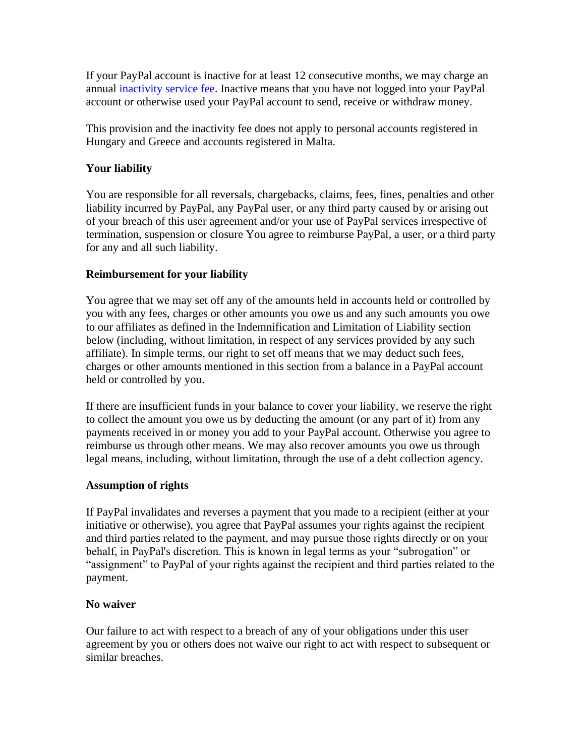If your PayPal account is inactive for at least 12 consecutive months, we may charge an annual [inactivity service fee.](#page-70-0) Inactive means that you have not logged into your PayPal account or otherwise used your PayPal account to send, receive or withdraw money.

This provision and the inactivity fee does not apply to personal accounts registered in Hungary and Greece and accounts registered in Malta.

#### **Your liability**

You are responsible for all reversals, chargebacks, claims, fees, fines, penalties and other liability incurred by PayPal, any PayPal user, or any third party caused by or arising out of your breach of this user agreement and/or your use of PayPal services irrespective of termination, suspension or closure You agree to reimburse PayPal, a user, or a third party for any and all such liability.

#### **Reimbursement for your liability**

You agree that we may set off any of the amounts held in accounts held or controlled by you with any fees, charges or other amounts you owe us and any such amounts you owe to our affiliates as defined in the Indemnification and Limitation of Liability section below (including, without limitation, in respect of any services provided by any such affiliate). In simple terms, our right to set off means that we may deduct such fees, charges or other amounts mentioned in this section from a balance in a PayPal account held or controlled by you.

If there are insufficient funds in your balance to cover your liability, we reserve the right to collect the amount you owe us by deducting the amount (or any part of it) from any payments received in or money you add to your PayPal account. Otherwise you agree to reimburse us through other means. We may also recover amounts you owe us through legal means, including, without limitation, through the use of a debt collection agency.

#### **Assumption of rights**

If PayPal invalidates and reverses a payment that you made to a recipient (either at your initiative or otherwise), you agree that PayPal assumes your rights against the recipient and third parties related to the payment, and may pursue those rights directly or on your behalf, in PayPal's discretion. This is known in legal terms as your "subrogation" or "assignment" to PayPal of your rights against the recipient and third parties related to the payment.

#### **No waiver**

Our failure to act with respect to a breach of any of your obligations under this user agreement by you or others does not waive our right to act with respect to subsequent or similar breaches.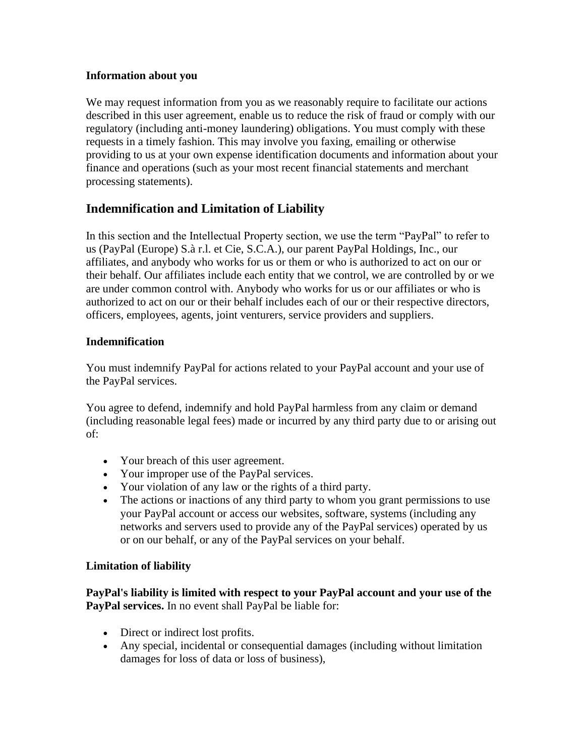#### **Information about you**

We may request information from you as we reasonably require to facilitate our actions described in this user agreement, enable us to reduce the risk of fraud or comply with our regulatory (including anti-money laundering) obligations. You must comply with these requests in a timely fashion. This may involve you faxing, emailing or otherwise providing to us at your own expense identification documents and information about your finance and operations (such as your most recent financial statements and merchant processing statements).

### <span id="page-45-0"></span>**Indemnification and Limitation of Liability**

In this section and the Intellectual Property section, we use the term "PayPal" to refer to us (PayPal (Europe) S.à r.l. et Cie, S.C.A.), our parent PayPal Holdings, Inc., our affiliates, and anybody who works for us or them or who is authorized to act on our or their behalf. Our affiliates include each entity that we control, we are controlled by or we are under common control with. Anybody who works for us or our affiliates or who is authorized to act on our or their behalf includes each of our or their respective directors, officers, employees, agents, joint venturers, service providers and suppliers.

#### **Indemnification**

You must indemnify PayPal for actions related to your PayPal account and your use of the PayPal services.

You agree to defend, indemnify and hold PayPal harmless from any claim or demand (including reasonable legal fees) made or incurred by any third party due to or arising out of:

- Your breach of this user agreement.
- Your improper use of the PayPal services.
- Your violation of any law or the rights of a third party.
- The actions or inactions of any third party to whom you grant permissions to use your PayPal account or access our websites, software, systems (including any networks and servers used to provide any of the PayPal services) operated by us or on our behalf, or any of the PayPal services on your behalf.

#### **Limitation of liability**

**PayPal's liability is limited with respect to your PayPal account and your use of the PayPal services.** In no event shall PayPal be liable for:

- Direct or indirect lost profits.
- Any special, incidental or consequential damages (including without limitation damages for loss of data or loss of business),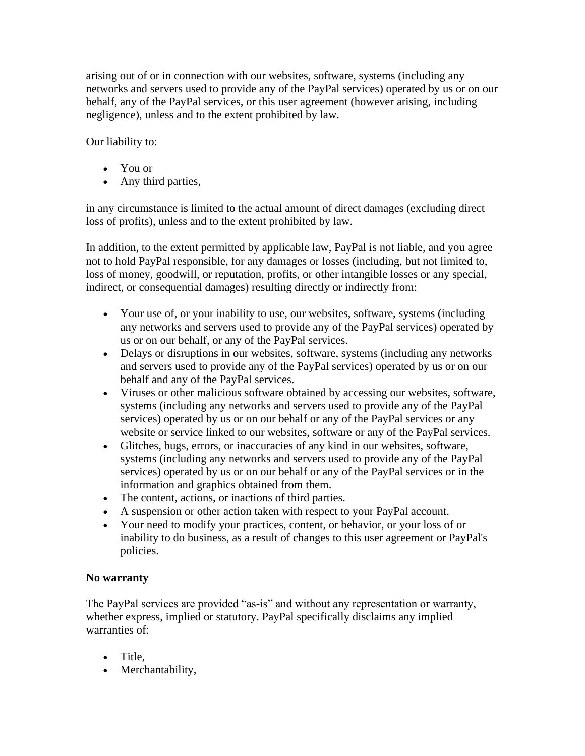arising out of or in connection with our websites, software, systems (including any networks and servers used to provide any of the PayPal services) operated by us or on our behalf, any of the PayPal services, or this user agreement (however arising, including negligence), unless and to the extent prohibited by law.

Our liability to:

- You or
- Any third parties,

in any circumstance is limited to the actual amount of direct damages (excluding direct loss of profits), unless and to the extent prohibited by law.

In addition, to the extent permitted by applicable law, PayPal is not liable, and you agree not to hold PayPal responsible, for any damages or losses (including, but not limited to, loss of money, goodwill, or reputation, profits, or other intangible losses or any special, indirect, or consequential damages) resulting directly or indirectly from:

- Your use of, or your inability to use, our websites, software, systems (including any networks and servers used to provide any of the PayPal services) operated by us or on our behalf, or any of the PayPal services.
- Delays or disruptions in our websites, software, systems (including any networks and servers used to provide any of the PayPal services) operated by us or on our behalf and any of the PayPal services.
- Viruses or other malicious software obtained by accessing our websites, software, systems (including any networks and servers used to provide any of the PayPal services) operated by us or on our behalf or any of the PayPal services or any website or service linked to our websites, software or any of the PayPal services.
- Glitches, bugs, errors, or inaccuracies of any kind in our websites, software, systems (including any networks and servers used to provide any of the PayPal services) operated by us or on our behalf or any of the PayPal services or in the information and graphics obtained from them.
- The content, actions, or inactions of third parties.
- A suspension or other action taken with respect to your PayPal account.
- Your need to modify your practices, content, or behavior, or your loss of or inability to do business, as a result of changes to this user agreement or PayPal's policies.

#### **No warranty**

The PayPal services are provided "as-is" and without any representation or warranty, whether express, implied or statutory. PayPal specifically disclaims any implied warranties of:

- Title,
- Merchantability,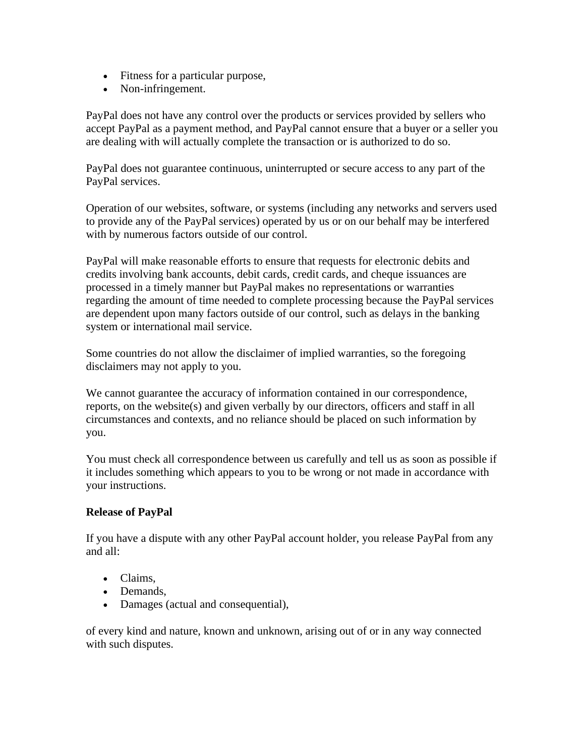- Fitness for a particular purpose,
- Non-infringement.

PayPal does not have any control over the products or services provided by sellers who accept PayPal as a payment method, and PayPal cannot ensure that a buyer or a seller you are dealing with will actually complete the transaction or is authorized to do so.

PayPal does not guarantee continuous, uninterrupted or secure access to any part of the PayPal services.

Operation of our websites, software, or systems (including any networks and servers used to provide any of the PayPal services) operated by us or on our behalf may be interfered with by numerous factors outside of our control.

PayPal will make reasonable efforts to ensure that requests for electronic debits and credits involving bank accounts, debit cards, credit cards, and cheque issuances are processed in a timely manner but PayPal makes no representations or warranties regarding the amount of time needed to complete processing because the PayPal services are dependent upon many factors outside of our control, such as delays in the banking system or international mail service.

Some countries do not allow the disclaimer of implied warranties, so the foregoing disclaimers may not apply to you.

We cannot guarantee the accuracy of information contained in our correspondence, reports, on the website(s) and given verbally by our directors, officers and staff in all circumstances and contexts, and no reliance should be placed on such information by you.

You must check all correspondence between us carefully and tell us as soon as possible if it includes something which appears to you to be wrong or not made in accordance with your instructions.

#### **Release of PayPal**

If you have a dispute with any other PayPal account holder, you release PayPal from any and all:

- Claims,
- Demands,
- Damages (actual and consequential),

of every kind and nature, known and unknown, arising out of or in any way connected with such disputes.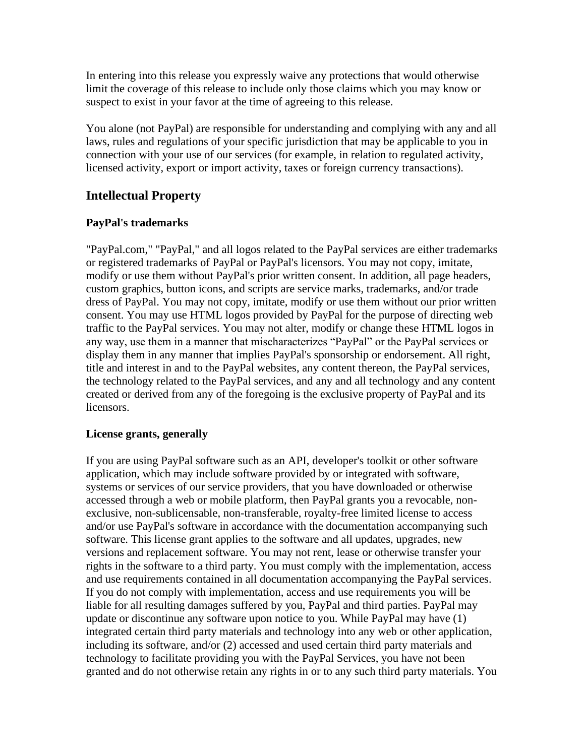In entering into this release you expressly waive any protections that would otherwise limit the coverage of this release to include only those claims which you may know or suspect to exist in your favor at the time of agreeing to this release.

You alone (not PayPal) are responsible for understanding and complying with any and all laws, rules and regulations of your specific jurisdiction that may be applicable to you in connection with your use of our services (for example, in relation to regulated activity, licensed activity, export or import activity, taxes or foreign currency transactions).

#### **Intellectual Property**

#### **PayPal's trademarks**

"PayPal.com," "PayPal," and all logos related to the PayPal services are either trademarks or registered trademarks of PayPal or PayPal's licensors. You may not copy, imitate, modify or use them without PayPal's prior written consent. In addition, all page headers, custom graphics, button icons, and scripts are service marks, trademarks, and/or trade dress of PayPal. You may not copy, imitate, modify or use them without our prior written consent. You may use HTML logos provided by PayPal for the purpose of directing web traffic to the PayPal services. You may not alter, modify or change these HTML logos in any way, use them in a manner that mischaracterizes "PayPal" or the PayPal services or display them in any manner that implies PayPal's sponsorship or endorsement. All right, title and interest in and to the PayPal websites, any content thereon, the PayPal services, the technology related to the PayPal services, and any and all technology and any content created or derived from any of the foregoing is the exclusive property of PayPal and its licensors.

#### **License grants, generally**

If you are using PayPal software such as an API, developer's toolkit or other software application, which may include software provided by or integrated with software, systems or services of our service providers, that you have downloaded or otherwise accessed through a web or mobile platform, then PayPal grants you a revocable, nonexclusive, non-sublicensable, non-transferable, royalty-free limited license to access and/or use PayPal's software in accordance with the documentation accompanying such software. This license grant applies to the software and all updates, upgrades, new versions and replacement software. You may not rent, lease or otherwise transfer your rights in the software to a third party. You must comply with the implementation, access and use requirements contained in all documentation accompanying the PayPal services. If you do not comply with implementation, access and use requirements you will be liable for all resulting damages suffered by you, PayPal and third parties. PayPal may update or discontinue any software upon notice to you. While PayPal may have (1) integrated certain third party materials and technology into any web or other application, including its software, and/or (2) accessed and used certain third party materials and technology to facilitate providing you with the PayPal Services, you have not been granted and do not otherwise retain any rights in or to any such third party materials. You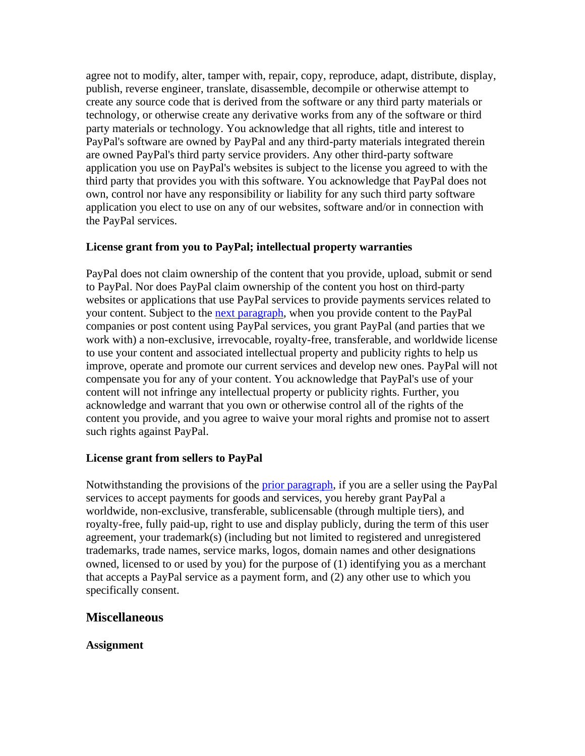agree not to modify, alter, tamper with, repair, copy, reproduce, adapt, distribute, display, publish, reverse engineer, translate, disassemble, decompile or otherwise attempt to create any source code that is derived from the software or any third party materials or technology, or otherwise create any derivative works from any of the software or third party materials or technology. You acknowledge that all rights, title and interest to PayPal's software are owned by PayPal and any third-party materials integrated therein are owned PayPal's third party service providers. Any other third-party software application you use on PayPal's websites is subject to the license you agreed to with the third party that provides you with this software. You acknowledge that PayPal does not own, control nor have any responsibility or liability for any such third party software application you elect to use on any of our websites, software and/or in connection with the PayPal services.

#### <span id="page-49-1"></span>**License grant from you to PayPal; intellectual property warranties**

PayPal does not claim ownership of the content that you provide, upload, submit or send to PayPal. Nor does PayPal claim ownership of the content you host on third-party websites or applications that use PayPal services to provide payments services related to your content. Subject to the [next paragraph,](#page-49-0) when you provide content to the PayPal companies or post content using PayPal services, you grant PayPal (and parties that we work with) a non-exclusive, irrevocable, royalty-free, transferable, and worldwide license to use your content and associated intellectual property and publicity rights to help us improve, operate and promote our current services and develop new ones. PayPal will not compensate you for any of your content. You acknowledge that PayPal's use of your content will not infringe any intellectual property or publicity rights. Further, you acknowledge and warrant that you own or otherwise control all of the rights of the content you provide, and you agree to waive your moral rights and promise not to assert such rights against PayPal.

#### <span id="page-49-0"></span>**License grant from sellers to PayPal**

Notwithstanding the provisions of the [prior paragraph,](#page-49-1) if you are a seller using the PayPal services to accept payments for goods and services, you hereby grant PayPal a worldwide, non-exclusive, transferable, sublicensable (through multiple tiers), and royalty-free, fully paid-up, right to use and display publicly, during the term of this user agreement, your trademark(s) (including but not limited to registered and unregistered trademarks, trade names, service marks, logos, domain names and other designations owned, licensed to or used by you) for the purpose of (1) identifying you as a merchant that accepts a PayPal service as a payment form, and (2) any other use to which you specifically consent.

#### **Miscellaneous**

**Assignment**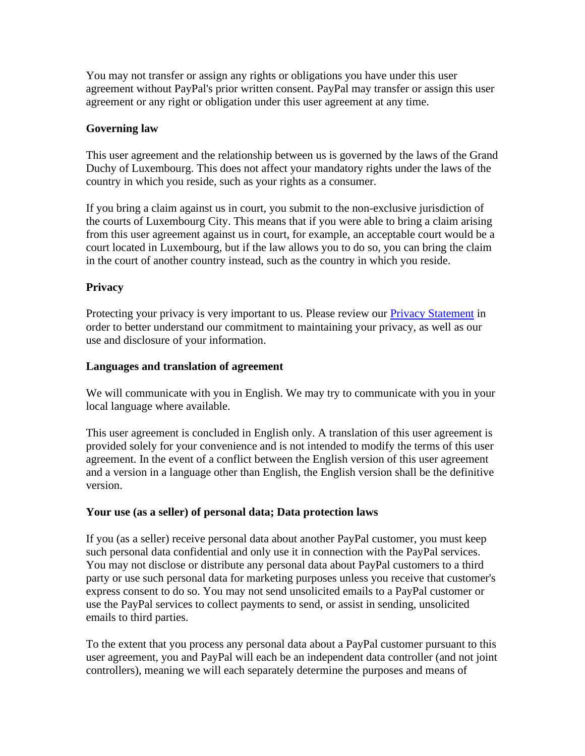You may not transfer or assign any rights or obligations you have under this user agreement without PayPal's prior written consent. PayPal may transfer or assign this user agreement or any right or obligation under this user agreement at any time.

#### **Governing law**

This user agreement and the relationship between us is governed by the laws of the Grand Duchy of Luxembourg. This does not affect your mandatory rights under the laws of the country in which you reside, such as your rights as a consumer.

If you bring a claim against us in court, you submit to the non-exclusive jurisdiction of the courts of Luxembourg City. This means that if you were able to bring a claim arising from this user agreement against us in court, for example, an acceptable court would be a court located in Luxembourg, but if the law allows you to do so, you can bring the claim in the court of another country instead, such as the country in which you reside.

#### **Privacy**

Protecting your privacy is very important to us. Please review our [Privacy Statement](https://www.paypal.com/cz/webapps/mpp/ua/privacy-full?locale.x=en_CZ) in order to better understand our commitment to maintaining your privacy, as well as our use and disclosure of your information.

#### **Languages and translation of agreement**

We will communicate with you in English. We may try to communicate with you in your local language where available.

This user agreement is concluded in English only. A translation of this user agreement is provided solely for your convenience and is not intended to modify the terms of this user agreement. In the event of a conflict between the English version of this user agreement and a version in a language other than English, the English version shall be the definitive version.

#### **Your use (as a seller) of personal data; Data protection laws**

If you (as a seller) receive personal data about another PayPal customer, you must keep such personal data confidential and only use it in connection with the PayPal services. You may not disclose or distribute any personal data about PayPal customers to a third party or use such personal data for marketing purposes unless you receive that customer's express consent to do so. You may not send unsolicited emails to a PayPal customer or use the PayPal services to collect payments to send, or assist in sending, unsolicited emails to third parties.

To the extent that you process any personal data about a PayPal customer pursuant to this user agreement, you and PayPal will each be an independent data controller (and not joint controllers), meaning we will each separately determine the purposes and means of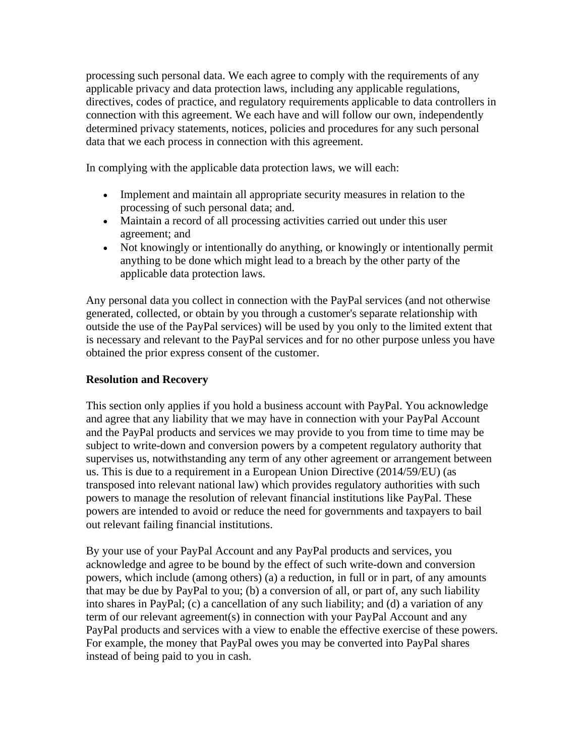processing such personal data. We each agree to comply with the requirements of any applicable privacy and data protection laws, including any applicable regulations, directives, codes of practice, and regulatory requirements applicable to data controllers in connection with this agreement. We each have and will follow our own, independently determined privacy statements, notices, policies and procedures for any such personal data that we each process in connection with this agreement.

In complying with the applicable data protection laws, we will each:

- Implement and maintain all appropriate security measures in relation to the processing of such personal data; and.
- Maintain a record of all processing activities carried out under this user agreement; and
- Not knowingly or intentionally do anything, or knowingly or intentionally permit anything to be done which might lead to a breach by the other party of the applicable data protection laws.

Any personal data you collect in connection with the PayPal services (and not otherwise generated, collected, or obtain by you through a customer's separate relationship with outside the use of the PayPal services) will be used by you only to the limited extent that is necessary and relevant to the PayPal services and for no other purpose unless you have obtained the prior express consent of the customer.

#### **Resolution and Recovery**

This section only applies if you hold a business account with PayPal. You acknowledge and agree that any liability that we may have in connection with your PayPal Account and the PayPal products and services we may provide to you from time to time may be subject to write-down and conversion powers by a competent regulatory authority that supervises us, notwithstanding any term of any other agreement or arrangement between us. This is due to a requirement in a European Union Directive (2014/59/EU) (as transposed into relevant national law) which provides regulatory authorities with such powers to manage the resolution of relevant financial institutions like PayPal. These powers are intended to avoid or reduce the need for governments and taxpayers to bail out relevant failing financial institutions.

By your use of your PayPal Account and any PayPal products and services, you acknowledge and agree to be bound by the effect of such write-down and conversion powers, which include (among others) (a) a reduction, in full or in part, of any amounts that may be due by PayPal to you; (b) a conversion of all, or part of, any such liability into shares in PayPal; (c) a cancellation of any such liability; and (d) a variation of any term of our relevant agreement(s) in connection with your PayPal Account and any PayPal products and services with a view to enable the effective exercise of these powers. For example, the money that PayPal owes you may be converted into PayPal shares instead of being paid to you in cash.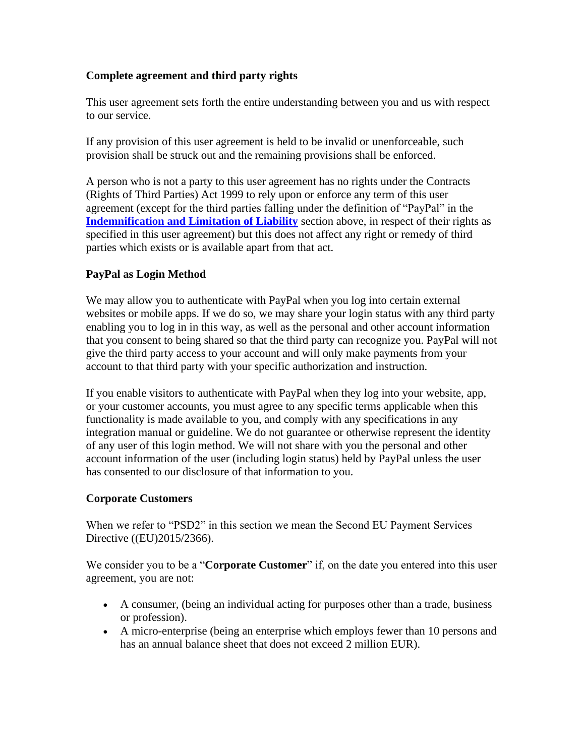#### **Complete agreement and third party rights**

This user agreement sets forth the entire understanding between you and us with respect to our service.

If any provision of this user agreement is held to be invalid or unenforceable, such provision shall be struck out and the remaining provisions shall be enforced.

A person who is not a party to this user agreement has no rights under the Contracts (Rights of Third Parties) Act 1999 to rely upon or enforce any term of this user agreement (except for the third parties falling under the definition of "PayPal" in the **[Indemnification and Limitation of Liability](#page-45-0)** section above, in respect of their rights as specified in this user agreement) but this does not affect any right or remedy of third parties which exists or is available apart from that act.

#### **PayPal as Login Method**

We may allow you to authenticate with PayPal when you log into certain external websites or mobile apps. If we do so, we may share your login status with any third party enabling you to log in in this way, as well as the personal and other account information that you consent to being shared so that the third party can recognize you. PayPal will not give the third party access to your account and will only make payments from your account to that third party with your specific authorization and instruction.

If you enable visitors to authenticate with PayPal when they log into your website, app, or your customer accounts, you must agree to any specific terms applicable when this functionality is made available to you, and comply with any specifications in any integration manual or guideline. We do not guarantee or otherwise represent the identity of any user of this login method. We will not share with you the personal and other account information of the user (including login status) held by PayPal unless the user has consented to our disclosure of that information to you.

#### **Corporate Customers**

When we refer to "PSD2" in this section we mean the Second EU Payment Services Directive ((EU)2015/2366).

We consider you to be a "**Corporate Customer**" if, on the date you entered into this user agreement, you are not:

- A consumer, (being an individual acting for purposes other than a trade, business or profession).
- A micro-enterprise (being an enterprise which employs fewer than 10 persons and has an annual balance sheet that does not exceed 2 million EUR).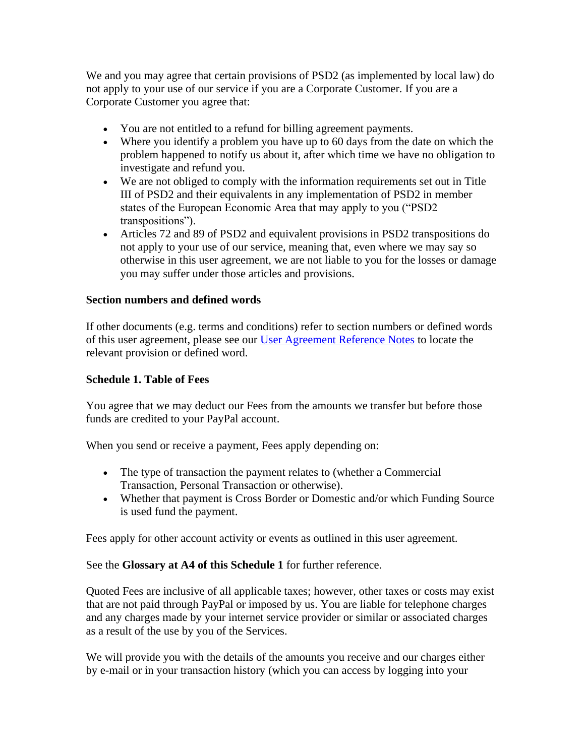We and you may agree that certain provisions of PSD2 (as implemented by local law) do not apply to your use of our service if you are a Corporate Customer. If you are a Corporate Customer you agree that:

- You are not entitled to a refund for billing agreement payments.
- Where you identify a problem you have up to 60 days from the date on which the problem happened to notify us about it, after which time we have no obligation to investigate and refund you.
- We are not obliged to comply with the information requirements set out in Title III of PSD2 and their equivalents in any implementation of PSD2 in member states of the European Economic Area that may apply to you ("PSD2 transpositions").
- Articles 72 and 89 of PSD2 and equivalent provisions in PSD2 transpositions do not apply to your use of our service, meaning that, even where we may say so otherwise in this user agreement, we are not liable to you for the losses or damage you may suffer under those articles and provisions.

#### **Section numbers and defined words**

If other documents (e.g. terms and conditions) refer to section numbers or defined words of this user agreement, please see our [User Agreement Reference Notes](https://www.paypal.com/cz/webapps/mpp/ua/reference-notes-full?locale.x=en_CZ) to locate the relevant provision or defined word.

#### **Schedule 1. Table of Fees**

You agree that we may deduct our Fees from the amounts we transfer but before those funds are credited to your PayPal account.

When you send or receive a payment, Fees apply depending on:

- The type of transaction the payment relates to (whether a Commercial Transaction, Personal Transaction or otherwise).
- Whether that payment is Cross Border or Domestic and/or which Funding Source is used fund the payment.

Fees apply for other account activity or events as outlined in this user agreement.

See the **Glossary at A4 of this Schedule 1** for further reference.

Quoted Fees are inclusive of all applicable taxes; however, other taxes or costs may exist that are not paid through PayPal or imposed by us. You are liable for telephone charges and any charges made by your internet service provider or similar or associated charges as a result of the use by you of the Services.

We will provide you with the details of the amounts you receive and our charges either by e-mail or in your transaction history (which you can access by logging into your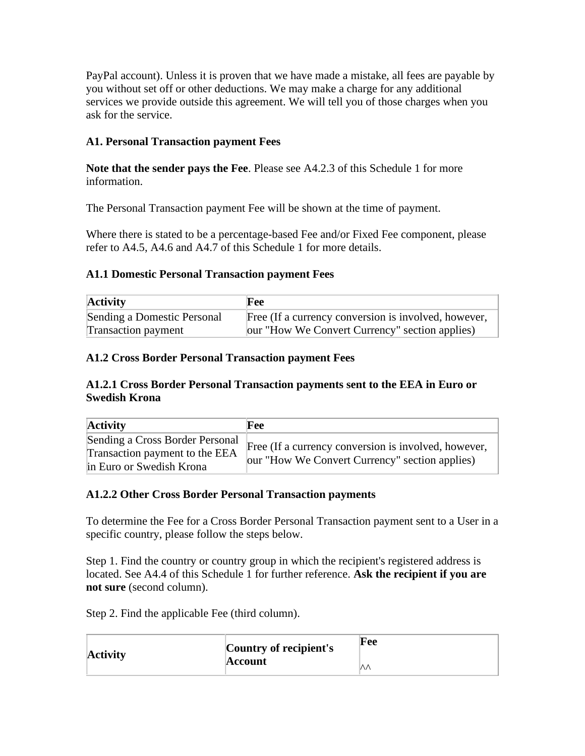PayPal account). Unless it is proven that we have made a mistake, all fees are payable by you without set off or other deductions. We may make a charge for any additional services we provide outside this agreement. We will tell you of those charges when you ask for the service.

#### **A1. Personal Transaction payment Fees**

**Note that the sender pays the Fee**. Please see A4.2.3 of this Schedule 1 for more information.

The Personal Transaction payment Fee will be shown at the time of payment.

Where there is stated to be a percentage-based Fee and/or Fixed Fee component, please refer to A4.5, A4.6 and A4.7 of this Schedule 1 for more details.

#### **A1.1 Domestic Personal Transaction payment Fees**

| <b>Activity</b>             | <b>Fee</b>                                           |
|-----------------------------|------------------------------------------------------|
| Sending a Domestic Personal | Free (If a currency conversion is involved, however, |
| Transaction payment         | our "How We Convert Currency" section applies)       |

#### **A1.2 Cross Border Personal Transaction payment Fees**

#### **A1.2.1 Cross Border Personal Transaction payments sent to the EEA in Euro or Swedish Krona**

| <b>Activity</b>                                                                               | Fee                                                                                                    |
|-----------------------------------------------------------------------------------------------|--------------------------------------------------------------------------------------------------------|
| Sending a Cross Border Personal<br>Transaction payment to the EEA<br>in Euro or Swedish Krona | Free (If a currency conversion is involved, however,<br>our "How We Convert Currency" section applies) |

#### **A1.2.2 Other Cross Border Personal Transaction payments**

To determine the Fee for a Cross Border Personal Transaction payment sent to a User in a specific country, please follow the steps below.

Step 1. Find the country or country group in which the recipient's registered address is located. See A4.4 of this Schedule 1 for further reference. **Ask the recipient if you are not sure** (second column).

Step 2. Find the applicable Fee (third column).

| <b>Activity</b> | Country of recipient's | Fee |
|-----------------|------------------------|-----|
|                 | Account                | ᄿ⅄  |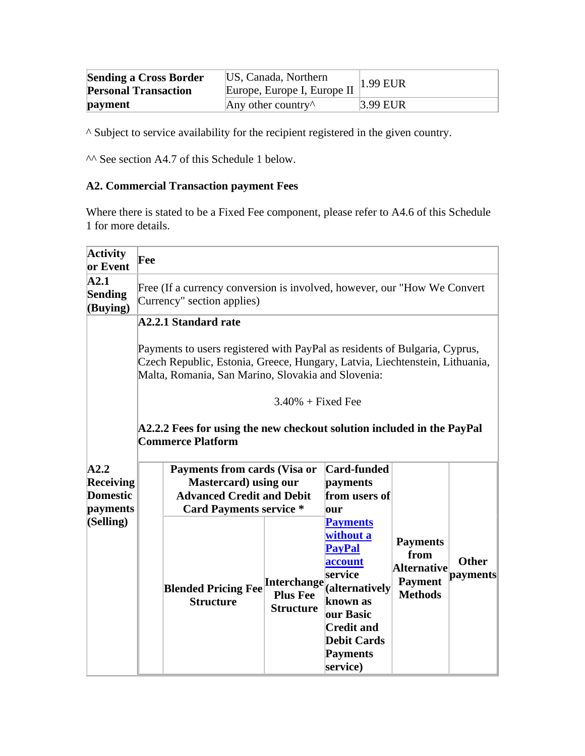| <b>Sending a Cross Border</b><br><b>Personal Transaction</b> | US, Canada, Northern<br>Europe, Europe I, Europe II | $1.99$ EUR |
|--------------------------------------------------------------|-----------------------------------------------------|------------|
| payment                                                      | Any other country $\wedge$                          | 3.99 EUR   |

^ Subject to service availability for the recipient registered in the given country.

^^ See section A4.7 of this Schedule 1 below.

# **A2. Commercial Transaction payment Fees**

Where there is stated to be a Fixed Fee component, please refer to A4.6 of this Schedule 1 for more details.

| <b>Activity</b><br>or Event                             | Fee                                                                                                                                                                                                                                                                                                                      |                                                    |                                                                                                                                                                                          |                                                                                   |                          |
|---------------------------------------------------------|--------------------------------------------------------------------------------------------------------------------------------------------------------------------------------------------------------------------------------------------------------------------------------------------------------------------------|----------------------------------------------------|------------------------------------------------------------------------------------------------------------------------------------------------------------------------------------------|-----------------------------------------------------------------------------------|--------------------------|
| $\mathbf{A2.1}$<br><b>Sending</b><br>(Buying)           | Free (If a currency conversion is involved, however, our "How We Convert"<br>Currency" section applies)                                                                                                                                                                                                                  |                                                    |                                                                                                                                                                                          |                                                                                   |                          |
|                                                         | <b>A2.2.1 Standard rate</b><br>Payments to users registered with PayPal as residents of Bulgaria, Cyprus,<br>Czech Republic, Estonia, Greece, Hungary, Latvia, Liechtenstein, Lithuania,<br>Malta, Romania, San Marino, Slovakia and Slovenia:<br>A2.2.2 Fees for using the new checkout solution included in the PayPal | $3.40\%$ + Fixed Fee                               |                                                                                                                                                                                          |                                                                                   |                          |
|                                                         | <b>Commerce Platform</b>                                                                                                                                                                                                                                                                                                 |                                                    |                                                                                                                                                                                          |                                                                                   |                          |
| A2.2<br><b>Receiving</b><br><b>Domestic</b><br>payments | Payments from cards (Visa or<br><b>Mastercard</b> ) using our<br><b>Advanced Credit and Debit</b><br><b>Card Payments service *</b>                                                                                                                                                                                      |                                                    | Card-funded<br>payments<br>from users of<br>our                                                                                                                                          |                                                                                   |                          |
| (Selling)                                               | <b>Blended Pricing Fee</b><br><b>Structure</b>                                                                                                                                                                                                                                                                           | Interchange<br><b>Plus Fee</b><br><b>Structure</b> | <b>Payments</b><br>without a<br><b>PayPal</b><br>account<br>service<br>(alternatively<br>known as<br>our Basic<br><b>Credit and</b><br><b>Debit Cards</b><br><b>Payments</b><br>service) | <b>Payments</b><br>from<br><b>Alternative</b><br><b>Payment</b><br><b>Methods</b> | <b>Other</b><br>payments |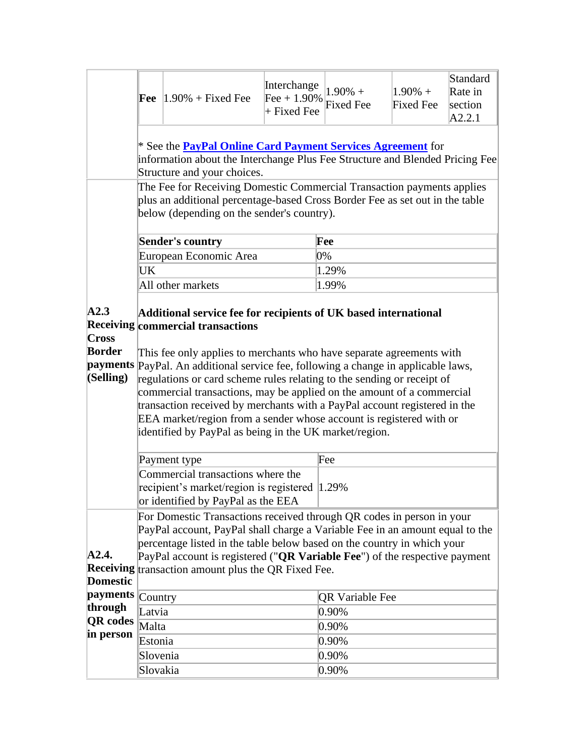| * See the <b>PayPal Online Card Payment Services Agreement</b> for<br>information about the Interchange Plus Fee Structure and Blended Pricing Fee<br>Structure and your choices.<br>The Fee for Receiving Domestic Commercial Transaction payments applies<br>plus an additional percentage-based Cross Border Fee as set out in the table<br>below (depending on the sender's country).<br><b>Sender's country</b><br>Fee<br>European Economic Area<br>0%<br>UK<br>1.29%<br>All other markets<br>1.99%<br>A2.3<br>Additional service fee for recipients of UK based international<br><b>Receiving commercial transactions</b><br>Cross |
|------------------------------------------------------------------------------------------------------------------------------------------------------------------------------------------------------------------------------------------------------------------------------------------------------------------------------------------------------------------------------------------------------------------------------------------------------------------------------------------------------------------------------------------------------------------------------------------------------------------------------------------|
|                                                                                                                                                                                                                                                                                                                                                                                                                                                                                                                                                                                                                                          |
|                                                                                                                                                                                                                                                                                                                                                                                                                                                                                                                                                                                                                                          |
|                                                                                                                                                                                                                                                                                                                                                                                                                                                                                                                                                                                                                                          |
|                                                                                                                                                                                                                                                                                                                                                                                                                                                                                                                                                                                                                                          |
|                                                                                                                                                                                                                                                                                                                                                                                                                                                                                                                                                                                                                                          |
|                                                                                                                                                                                                                                                                                                                                                                                                                                                                                                                                                                                                                                          |
| <b>Border</b><br>This fee only applies to merchants who have separate agreements with<br>payments PayPal. An additional service fee, following a change in applicable laws,<br>(Selling)<br>regulations or card scheme rules relating to the sending or receipt of<br>commercial transactions, may be applied on the amount of a commercial<br>transaction received by merchants with a PayPal account registered in the<br>EEA market/region from a sender whose account is registered with or<br>identified by PayPal as being in the UK market/region.<br>Fee<br>Payment type                                                         |
| Commercial transactions where the<br>recipient's market/region is registered 1.29%<br>or identified by PayPal as the EEA                                                                                                                                                                                                                                                                                                                                                                                                                                                                                                                 |
| For Domestic Transactions received through QR codes in person in your<br>PayPal account, PayPal shall charge a Variable Fee in an amount equal to the<br>percentage listed in the table below based on the country in which your<br>A2.4.<br>PayPal account is registered ("QR Variable Fee") of the respective payment<br>Receiving transaction amount plus the QR Fixed Fee.<br><b>Domestic</b>                                                                                                                                                                                                                                        |
| <i>payments</i><br>Country<br><b>QR Variable Fee</b>                                                                                                                                                                                                                                                                                                                                                                                                                                                                                                                                                                                     |
| through<br>0.90%<br>Latvia                                                                                                                                                                                                                                                                                                                                                                                                                                                                                                                                                                                                               |
|                                                                                                                                                                                                                                                                                                                                                                                                                                                                                                                                                                                                                                          |
| <b>QR</b> codes<br>Malta<br>0.90%                                                                                                                                                                                                                                                                                                                                                                                                                                                                                                                                                                                                        |
| in person                                                                                                                                                                                                                                                                                                                                                                                                                                                                                                                                                                                                                                |
| 0.90%<br>Estonia<br>0.90%<br>Slovenia                                                                                                                                                                                                                                                                                                                                                                                                                                                                                                                                                                                                    |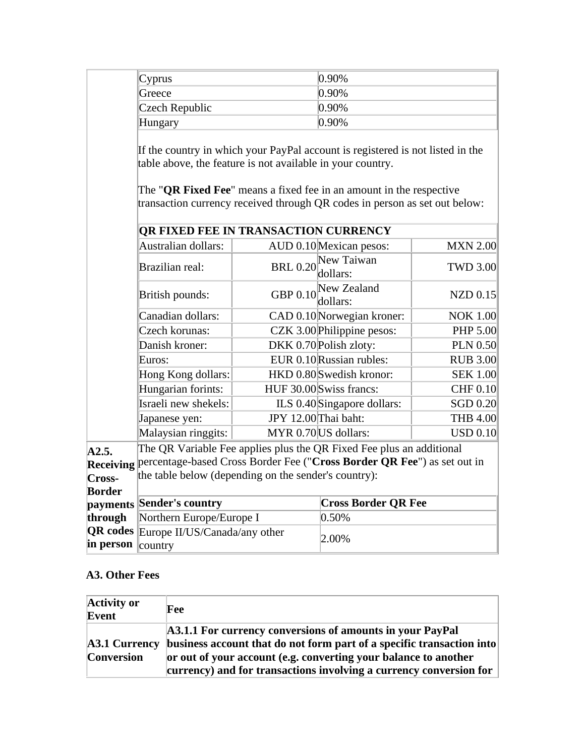| Cyprus                                                                                                                                                                                                    |                 | 0.90%                      |                 |  |
|-----------------------------------------------------------------------------------------------------------------------------------------------------------------------------------------------------------|-----------------|----------------------------|-----------------|--|
| Greece                                                                                                                                                                                                    |                 | 0.90%                      |                 |  |
| Czech Republic                                                                                                                                                                                            |                 | 0.90%                      |                 |  |
| Hungary                                                                                                                                                                                                   |                 | 0.90%                      |                 |  |
| The " <b>QR Fixed Fee</b> " means a fixed fee in an amount in the respective<br>transaction currency received through QR codes in person as set out below:<br><b>OR FIXED FEE IN TRANSACTION CURRENCY</b> |                 |                            |                 |  |
| Australian dollars:                                                                                                                                                                                       |                 | AUD 0.10 Mexican pesos:    | <b>MXN 2.00</b> |  |
| Brazilian real:                                                                                                                                                                                           | <b>BRL 0.20</b> | New Taiwan<br>dollars:     | <b>TWD 3.00</b> |  |
| British pounds:                                                                                                                                                                                           | GBP 0.10        | New Zealand<br> dollars:   | $NZD$ 0.15      |  |
| Canadian dollars:                                                                                                                                                                                         |                 | CAD 0.10 Norwegian kroner: | <b>NOK 1.00</b> |  |

Czech korunas: CZK 3.00Philippine pesos: PHP 5.00 Danish kroner: DKK 0.70 Polish zloty: PLN 0.50 Euros: EUR 0.10 Russian rubles: RUB 3.00 Hong Kong dollars: HKD 0.80 Swedish kronor: SEK 1.00 Hungarian forints: HUF 30.00 Swiss francs: CHF 0.10

|                  | Israeli new shekels:                                                    |                      | ILS 0.40 Singapore dollars: | SGD $0.20$          |  |
|------------------|-------------------------------------------------------------------------|----------------------|-----------------------------|---------------------|--|
|                  | Japanese yen:                                                           | JPY 12.00 Thai baht: |                             | <b>THB 4.00</b>     |  |
|                  | Malaysian ringgits:                                                     |                      | MYR 0.70 US dollars:        | $\mathrm{USD}~0.10$ |  |
| A2.5.            | The QR Variable Fee applies plus the QR Fixed Fee plus an additional    |                      |                             |                     |  |
| <b>Receiving</b> | percentage-based Cross Border Fee ("Cross Border QR Fee") as set out in |                      |                             |                     |  |
| Cross-           | the table below (depending on the sender's country):                    |                      |                             |                     |  |
| <b>Border</b>    |                                                                         |                      |                             |                     |  |
|                  | payments Sender's country                                               |                      | <b>Cross Border QR Fee</b>  |                     |  |
| through          | Northern Europe/Europe I                                                |                      | 0.50%                       |                     |  |
|                  | <b>QR</b> codes Europe II/US/Canada/any other                           |                      |                             |                     |  |
| in person        | $\&$ country                                                            |                      | 2.00%                       |                     |  |

#### **A3. Other Fees**

| <b>Activity or</b><br>Event               | Fee                                                                                                                                                                                                                                                                         |
|-------------------------------------------|-----------------------------------------------------------------------------------------------------------------------------------------------------------------------------------------------------------------------------------------------------------------------------|
| <b>A3.1 Currency</b><br><b>Conversion</b> | A3.1.1 For currency conversions of amounts in your PayPal<br>business account that do not form part of a specific transaction into<br>or out of your account (e.g. converting your balance to another<br>currency) and for transactions involving a currency conversion for |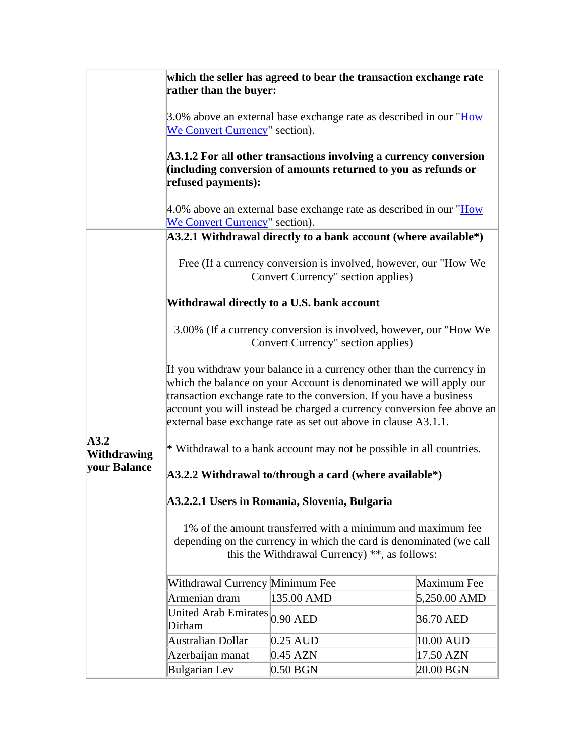|                            | rather than the buyer:                                                                                                                                                                                                                                                                                                                                         | which the seller has agreed to bear the transaction exchange rate                                                                                                                   |              |  |  |
|----------------------------|----------------------------------------------------------------------------------------------------------------------------------------------------------------------------------------------------------------------------------------------------------------------------------------------------------------------------------------------------------------|-------------------------------------------------------------------------------------------------------------------------------------------------------------------------------------|--------------|--|--|
|                            | We Convert Currency" section).                                                                                                                                                                                                                                                                                                                                 | 3.0% above an external base exchange rate as described in our "How                                                                                                                  |              |  |  |
|                            | A3.1.2 For all other transactions involving a currency conversion<br>(including conversion of amounts returned to you as refunds or<br>refused payments):                                                                                                                                                                                                      |                                                                                                                                                                                     |              |  |  |
|                            | We Convert Currency" section).                                                                                                                                                                                                                                                                                                                                 | 4.0% above an external base exchange rate as described in our "How                                                                                                                  |              |  |  |
|                            |                                                                                                                                                                                                                                                                                                                                                                | A3.2.1 Withdrawal directly to a bank account (where available*)                                                                                                                     |              |  |  |
|                            | Free (If a currency conversion is involved, however, our "How We<br>Convert Currency" section applies)                                                                                                                                                                                                                                                         |                                                                                                                                                                                     |              |  |  |
|                            |                                                                                                                                                                                                                                                                                                                                                                |                                                                                                                                                                                     |              |  |  |
|                            | Withdrawal directly to a U.S. bank account                                                                                                                                                                                                                                                                                                                     |                                                                                                                                                                                     |              |  |  |
|                            | 3.00% (If a currency conversion is involved, however, our "How We<br>Convert Currency" section applies)                                                                                                                                                                                                                                                        |                                                                                                                                                                                     |              |  |  |
|                            | If you withdraw your balance in a currency other than the currency in<br>which the balance on your Account is denominated we will apply our<br>transaction exchange rate to the conversion. If you have a business<br>account you will instead be charged a currency conversion fee above an<br>external base exchange rate as set out above in clause A3.1.1. |                                                                                                                                                                                     |              |  |  |
| A3.2<br><b>Withdrawing</b> | * Withdrawal to a bank account may not be possible in all countries.                                                                                                                                                                                                                                                                                           |                                                                                                                                                                                     |              |  |  |
| your Balance               | A3.2.2 Withdrawal to/through a card (where available*)                                                                                                                                                                                                                                                                                                         |                                                                                                                                                                                     |              |  |  |
|                            | A3.2.2.1 Users in Romania, Slovenia, Bulgaria                                                                                                                                                                                                                                                                                                                  |                                                                                                                                                                                     |              |  |  |
|                            |                                                                                                                                                                                                                                                                                                                                                                | 1% of the amount transferred with a minimum and maximum fee<br>depending on the currency in which the card is denominated (we call<br>this the Withdrawal Currency) **, as follows: |              |  |  |
|                            | Withdrawal Currency Minimum Fee                                                                                                                                                                                                                                                                                                                                |                                                                                                                                                                                     | Maximum Fee  |  |  |
|                            | Armenian dram                                                                                                                                                                                                                                                                                                                                                  | 135.00 AMD                                                                                                                                                                          | 5,250.00 AMD |  |  |
|                            | <b>United Arab Emirates</b><br>Dirham                                                                                                                                                                                                                                                                                                                          | $0.90$ AED                                                                                                                                                                          | 36.70 AED    |  |  |
|                            | Australian Dollar                                                                                                                                                                                                                                                                                                                                              | 0.25 AUD                                                                                                                                                                            | 10.00 AUD    |  |  |
|                            | Azerbaijan manat                                                                                                                                                                                                                                                                                                                                               | $0.45$ AZN                                                                                                                                                                          | 17.50 AZN    |  |  |
|                            | <b>Bulgarian</b> Lev                                                                                                                                                                                                                                                                                                                                           | $0.50$ BGN                                                                                                                                                                          | 20.00 BGN    |  |  |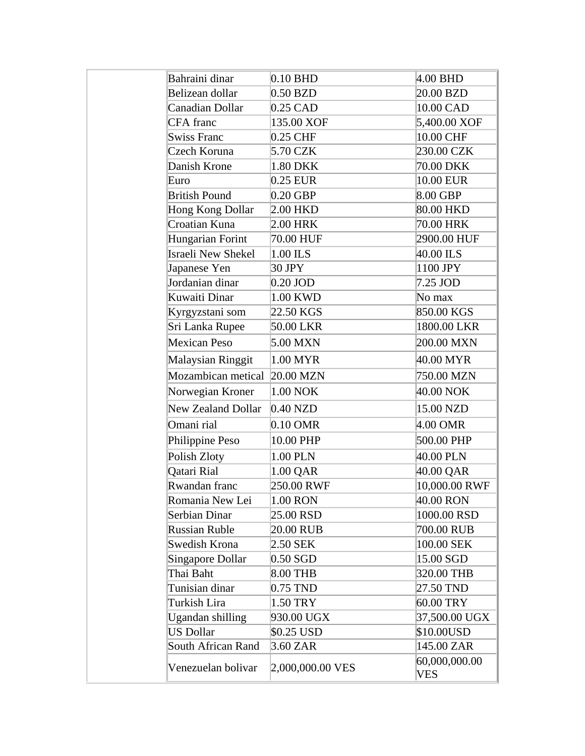| Bahraini dinar            | $0.10$ BHD       | $4.00$ BHD                  |
|---------------------------|------------------|-----------------------------|
| Belizean dollar           | $0.50$ BZD       | 20.00 BZD                   |
| Canadian Dollar           | $0.25$ CAD       | 10.00 CAD                   |
| <b>CFA</b> franc          | 135.00 XOF       | 5,400.00 XOF                |
| <b>Swiss Franc</b>        | 0.25 CHF         | 10.00 CHF                   |
| Czech Koruna              | 5.70 CZK         | 230.00 CZK                  |
| Danish Krone              | 1.80 DKK         | 70.00 DKK                   |
| Euro                      | 0.25 EUR         | 10.00 EUR                   |
| <b>British Pound</b>      | $0.20$ GBP       | 8.00 GBP                    |
| <b>Hong Kong Dollar</b>   | 2.00 HKD         | 80.00 HKD                   |
| Croatian Kuna             | 2.00 HRK         | 70.00 HRK                   |
| Hungarian Forint          | 70.00 HUF        | 2900.00 HUF                 |
| Israeli New Shekel        | 1.00 ILS         | 40.00 ILS                   |
| Japanese Yen              | 30 JPY           | 1100 JPY                    |
| Jordanian dinar           | 0.20 JOD         | 7.25 JOD                    |
| Kuwaiti Dinar             | 1.00 KWD         | No max                      |
| Kyrgyzstani som           | 22.50 KGS        | 850.00 KGS                  |
| Sri Lanka Rupee           | 50.00 LKR        | 1800.00 LKR                 |
| Mexican Peso              | 5.00 MXN         | 200.00 MXN                  |
| <b>Malaysian Ringgit</b>  | 1.00 MYR         | 40.00 MYR                   |
| Mozambican metical        | 20.00 MZN        | 750.00 MZN                  |
| Norwegian Kroner          | 1.00 NOK         | 40.00 NOK                   |
| <b>New Zealand Dollar</b> | $0.40$ NZD       | 15.00 NZD                   |
| Omani rial                | 0.10 OMR         | 4.00 OMR                    |
| Philippine Peso           | 10.00 PHP        | 500.00 PHP                  |
| Polish Zloty              | 1.00 PLN         | 40.00 PLN                   |
| Qatari Rial               | 1.00 QAR         | 40.00 QAR                   |
| Rwandan franc             | 250.00 RWF       | 10,000.00 RWF               |
| Romania New Lei           | 1.00 RON         | 40.00 RON                   |
| Serbian Dinar             | 25.00 RSD        | 1000.00 RSD                 |
| <b>Russian Ruble</b>      | 20.00 RUB        | 700.00 RUB                  |
| Swedish Krona             | 2.50 SEK         | 100.00 SEK                  |
| Singapore Dollar          | $0.50$ SGD       | 15.00 SGD                   |
| Thai Baht                 | 8.00 THB         | 320.00 THB                  |
| Tunisian dinar            | 0.75 TND         | 27.50 TND                   |
| Turkish Lira              | 1.50 TRY         | 60.00 TRY                   |
| Ugandan shilling          | 930.00 UGX       | 37,500.00 UGX               |
| <b>US Dollar</b>          | \$0.25 USD       | \$10.00USD                  |
| <b>South African Rand</b> | 3.60 ZAR         | 145.00 ZAR                  |
| Venezuelan bolivar        | 2,000,000.00 VES | 60,000,000.00<br><b>VES</b> |
|                           |                  |                             |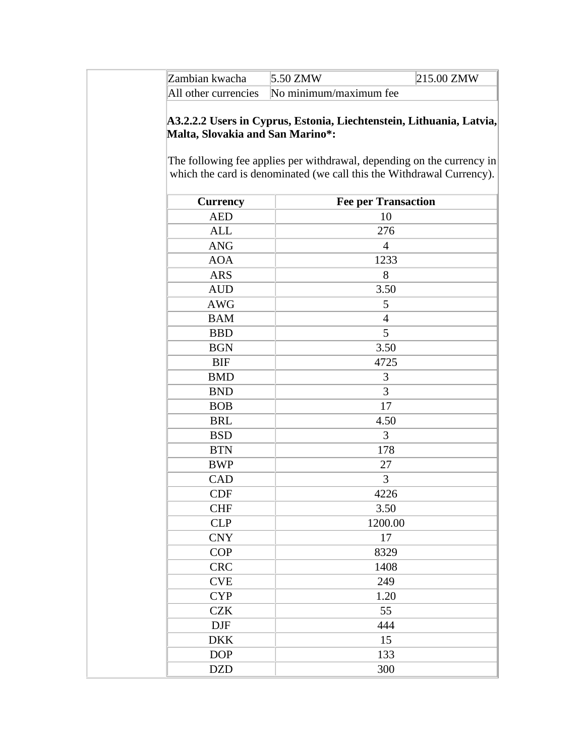| Zambian kwacha | 5.50 ZMW                                    | 215.00 ZMW |
|----------------|---------------------------------------------|------------|
|                | All other currencies No minimum/maximum fee |            |

#### **A3.2.2.2 Users in Cyprus, Estonia, Liechtenstein, Lithuania, Latvia, Malta, Slovakia and San Marino\*:**

The following fee applies per withdrawal, depending on the currency in which the card is denominated (we call this the Withdrawal Currency).

| <b>Currency</b> | <b>Fee per Transaction</b> |
|-----------------|----------------------------|
| <b>AED</b>      | 10                         |
| <b>ALL</b>      | 276                        |
| <b>ANG</b>      | $\overline{4}$             |
| <b>AOA</b>      | 1233                       |
| <b>ARS</b>      | 8                          |
| <b>AUD</b>      | 3.50                       |
| <b>AWG</b>      | 5                          |
| <b>BAM</b>      | $\overline{4}$             |
| <b>BBD</b>      | 5                          |
| <b>BGN</b>      | 3.50                       |
| <b>BIF</b>      | 4725                       |
| <b>BMD</b>      | 3                          |
| <b>BND</b>      | 3                          |
| <b>BOB</b>      | 17                         |
| <b>BRL</b>      | 4.50                       |
| <b>BSD</b>      | $\overline{3}$             |
| <b>BTN</b>      | 178                        |
| <b>BWP</b>      | 27                         |
| CAD             | 3                          |
| <b>CDF</b>      | 4226                       |
| <b>CHF</b>      | 3.50                       |
| <b>CLP</b>      | 1200.00                    |
| <b>CNY</b>      | 17                         |
| COP             | 8329                       |
| <b>CRC</b>      | 1408                       |
| <b>CVE</b>      | 249                        |
| <b>CYP</b>      | 1.20                       |
| <b>CZK</b>      | 55                         |
| <b>DJF</b>      | 444                        |
| <b>DKK</b>      | 15                         |
| <b>DOP</b>      | 133                        |
| <b>DZD</b>      | 300                        |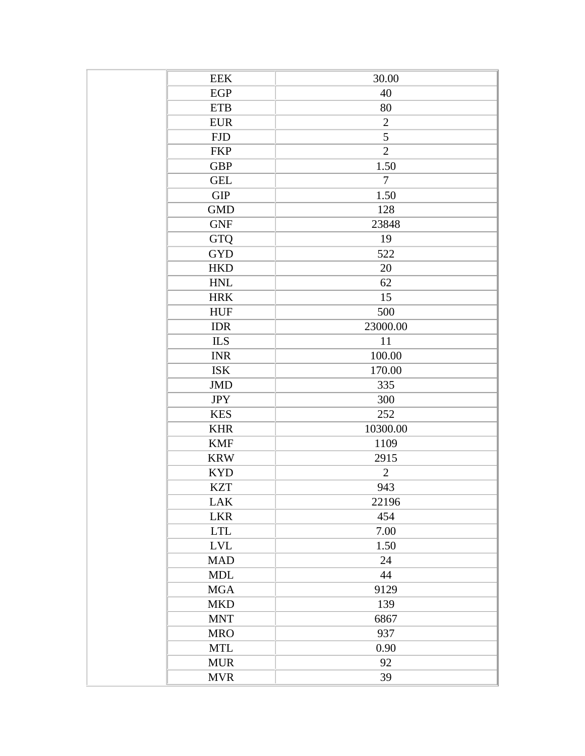| <b>EEK</b>                | 30.00          |
|---------------------------|----------------|
| EGP                       | 40             |
| <b>ETB</b>                | 80             |
| <b>EUR</b>                | $\overline{2}$ |
| <b>FJD</b>                | 5              |
| <b>FKP</b>                | $\overline{2}$ |
| <b>GBP</b>                | 1.50           |
| <b>GEL</b>                | $\overline{7}$ |
| <b>GIP</b>                | 1.50           |
| <b>GMD</b>                | 128            |
| <b>GNF</b>                | 23848          |
| GTQ                       | 19             |
| <b>GYD</b>                | 522            |
| <b>HKD</b>                | 20             |
| <b>HNL</b>                | 62             |
| <b>HRK</b>                | 15             |
| <b>HUF</b>                | 500            |
| <b>IDR</b>                | 23000.00       |
| <b>ILS</b>                | $11\,$         |
| <b>INR</b>                | 100.00         |
| <b>ISK</b>                | 170.00         |
| <b>JMD</b>                | 335            |
| <b>JPY</b>                | 300            |
| <b>KES</b>                | 252            |
| <b>KHR</b>                | 10300.00       |
| <b>KMF</b>                | 1109           |
| <b>KRW</b>                | 2915           |
| <b>KYD</b>                | $\overline{2}$ |
| <b>KZT</b>                | 943            |
| <b>LAK</b>                | 22196          |
| <b>LKR</b>                | 454            |
| $\ensuremath{\text{LTL}}$ | 7.00           |
| <b>LVL</b>                | 1.50           |
| <b>MAD</b>                | 24             |
| <b>MDL</b>                | 44             |
| <b>MGA</b>                | 9129           |
| <b>MKD</b>                | 139            |
| <b>MNT</b>                | 6867           |
| <b>MRO</b>                | 937            |
| <b>MTL</b>                | 0.90           |
| <b>MUR</b>                | 92             |
| <b>MVR</b>                | 39             |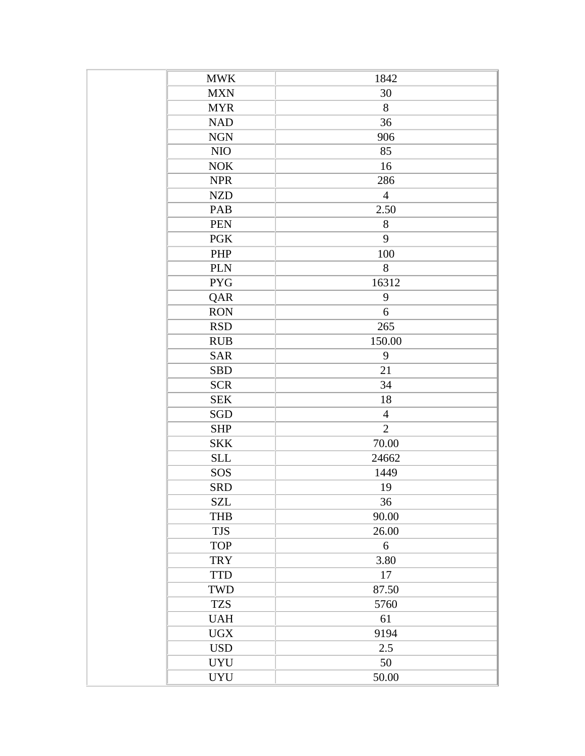| <b>MWK</b> | 1842           |
|------------|----------------|
| <b>MXN</b> | 30             |
| <b>MYR</b> | 8              |
| <b>NAD</b> | 36             |
| $\rm NGN$  | 906            |
| NIO        | 85             |
| <b>NOK</b> | 16             |
| <b>NPR</b> | 286            |
| <b>NZD</b> | $\overline{4}$ |
| PAB        | 2.50           |
| <b>PEN</b> | 8              |
| PGK        | 9              |
| PHP        | 100            |
| <b>PLN</b> | 8              |
| <b>PYG</b> | 16312          |
| QAR        | $\mathbf{9}$   |
| <b>RON</b> | 6              |
| <b>RSD</b> | 265            |
| <b>RUB</b> | 150.00         |
| <b>SAR</b> | 9              |
| <b>SBD</b> | 21             |
| <b>SCR</b> | 34             |
| <b>SEK</b> | 18             |
| SGD        | $\overline{4}$ |
| <b>SHP</b> | $\overline{2}$ |
| <b>SKK</b> | 70.00          |
| <b>SLL</b> | 24662          |
| SOS        | 1449           |
| <b>SRD</b> | 19             |
| <b>SZL</b> | 36             |
| <b>THB</b> | 90.00          |
| <b>TJS</b> | 26.00          |
| <b>TOP</b> | 6              |
| <b>TRY</b> | 3.80           |
| <b>TTD</b> | 17             |
| TWD        | 87.50          |
| <b>TZS</b> | 5760           |
| <b>UAH</b> | 61             |
| <b>UGX</b> | 9194           |
| <b>USD</b> | 2.5            |
| <b>UYU</b> | 50             |
| <b>UYU</b> | 50.00          |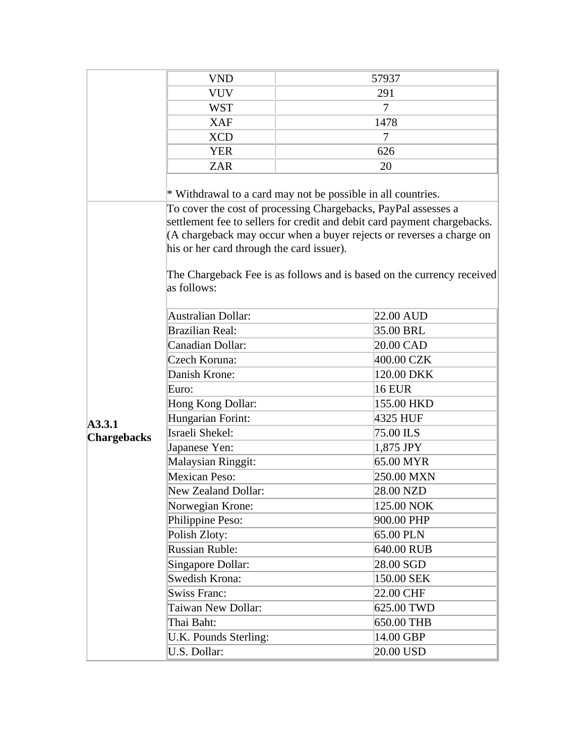|                    | <b>VND</b>                                                                                                  |                | 57937                                                                                                                                                                                                                      |
|--------------------|-------------------------------------------------------------------------------------------------------------|----------------|----------------------------------------------------------------------------------------------------------------------------------------------------------------------------------------------------------------------------|
|                    | <b>VUV</b>                                                                                                  | 291            |                                                                                                                                                                                                                            |
|                    | <b>WST</b>                                                                                                  | $\overline{7}$ |                                                                                                                                                                                                                            |
|                    | <b>XAF</b>                                                                                                  |                | 1478                                                                                                                                                                                                                       |
|                    | <b>XCD</b>                                                                                                  |                | 7                                                                                                                                                                                                                          |
|                    | <b>YER</b>                                                                                                  |                | 626                                                                                                                                                                                                                        |
|                    | <b>ZAR</b>                                                                                                  |                | 20                                                                                                                                                                                                                         |
|                    | * Withdrawal to a card may not be possible in all countries.                                                |                |                                                                                                                                                                                                                            |
|                    | To cover the cost of processing Chargebacks, PayPal assesses a<br>his or her card through the card issuer). |                | settlement fee to sellers for credit and debit card payment chargebacks.<br>(A chargeback may occur when a buyer rejects or reverses a charge on<br>The Chargeback Fee is as follows and is based on the currency received |
|                    | as follows:<br><b>Australian Dollar:</b><br>22.00 AUD                                                       |                |                                                                                                                                                                                                                            |
|                    | <b>Brazilian Real:</b>                                                                                      |                | 35.00 BRL                                                                                                                                                                                                                  |
|                    | Canadian Dollar:                                                                                            |                | 20.00 CAD                                                                                                                                                                                                                  |
|                    | Czech Koruna:                                                                                               |                | 400.00 CZK                                                                                                                                                                                                                 |
|                    | Danish Krone:                                                                                               |                | 120.00 DKK                                                                                                                                                                                                                 |
|                    | Euro:                                                                                                       |                | <b>16 EUR</b>                                                                                                                                                                                                              |
|                    | Hong Kong Dollar:                                                                                           |                | 155.00 HKD                                                                                                                                                                                                                 |
| Hungarian Forint:  |                                                                                                             |                | 4325 HUF                                                                                                                                                                                                                   |
| A3.3.1             | Israeli Shekel:                                                                                             |                | 75.00 ILS                                                                                                                                                                                                                  |
| <b>Chargebacks</b> | Japanese Yen:                                                                                               |                | 1,875 JPY                                                                                                                                                                                                                  |
|                    | Malaysian Ringgit:                                                                                          |                | 65.00 MYR                                                                                                                                                                                                                  |
|                    | <b>Mexican Peso:</b>                                                                                        |                | 250.00 MXN                                                                                                                                                                                                                 |
|                    | <b>New Zealand Dollar:</b>                                                                                  |                | 28.00 NZD                                                                                                                                                                                                                  |
|                    | Norwegian Krone:                                                                                            |                | 125.00 NOK                                                                                                                                                                                                                 |
|                    | Philippine Peso:                                                                                            |                | 900.00 PHP                                                                                                                                                                                                                 |
|                    | Polish Zloty:                                                                                               |                | 65.00 PLN                                                                                                                                                                                                                  |
|                    | <b>Russian Ruble:</b>                                                                                       |                | 640.00 RUB                                                                                                                                                                                                                 |
|                    | Singapore Dollar:                                                                                           |                | 28.00 SGD                                                                                                                                                                                                                  |
|                    | Swedish Krona:                                                                                              |                | 150.00 SEK                                                                                                                                                                                                                 |
|                    | <b>Swiss Franc:</b>                                                                                         |                | 22.00 CHF                                                                                                                                                                                                                  |
|                    | Taiwan New Dollar:                                                                                          |                | 625.00 TWD                                                                                                                                                                                                                 |
|                    | Thai Baht:                                                                                                  |                | 650.00 THB                                                                                                                                                                                                                 |
|                    | U.K. Pounds Sterling:                                                                                       |                | 14.00 GBP                                                                                                                                                                                                                  |
|                    | U.S. Dollar:                                                                                                |                | 20.00 USD                                                                                                                                                                                                                  |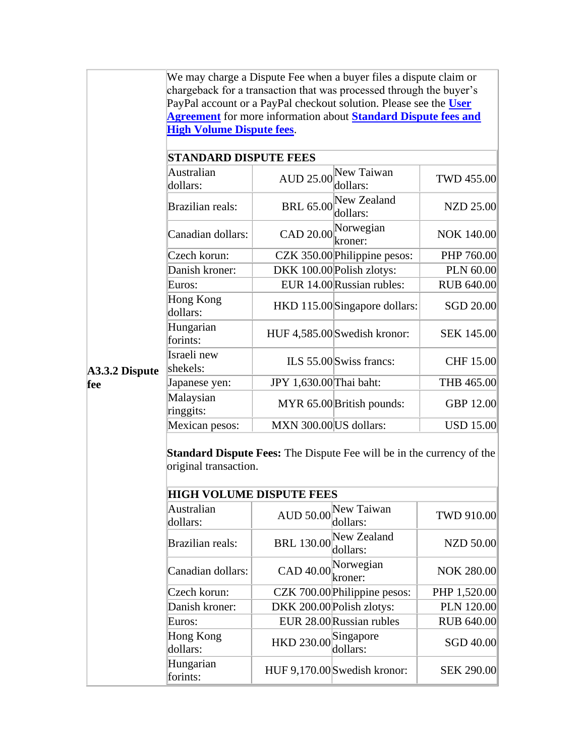We may charge a Dispute Fee when a buyer files a dispute claim or chargeback for a transaction that was processed through the buyer's PayPal account or a PayPal checkout solution. Please see the **[User](#page-25-0)  [Agreement](#page-25-0)** for more information about **[Standard Dispute fees and](#page-25-0)  [High Volume Dispute fees](#page-25-0)**.

| Australian<br>dollars:  | New Taiwan<br><b>AUD 25.00</b><br>dollars: |                              | <b>TWD 455.00</b>                                                                                                                                                                                                                                                                                                                         |
|-------------------------|--------------------------------------------|------------------------------|-------------------------------------------------------------------------------------------------------------------------------------------------------------------------------------------------------------------------------------------------------------------------------------------------------------------------------------------|
| <b>Brazilian reals:</b> |                                            | dollars:                     | NZD 25.00                                                                                                                                                                                                                                                                                                                                 |
| Canadian dollars:       |                                            |                              | <b>NOK 140.00</b>                                                                                                                                                                                                                                                                                                                         |
| Czech korun:            |                                            |                              | PHP 760.00                                                                                                                                                                                                                                                                                                                                |
| Danish kroner:          |                                            |                              | PLN 60.00                                                                                                                                                                                                                                                                                                                                 |
| Euros:                  |                                            |                              | <b>RUB 640.00</b>                                                                                                                                                                                                                                                                                                                         |
| Hong Kong<br>dollars:   |                                            |                              | SGD 20.00                                                                                                                                                                                                                                                                                                                                 |
| Hungarian<br>forints:   |                                            |                              | <b>SEK 145.00</b>                                                                                                                                                                                                                                                                                                                         |
| Israeli new<br>shekels: |                                            |                              | <b>CHF 15.00</b>                                                                                                                                                                                                                                                                                                                          |
| Japanese yen:           |                                            |                              | THB 465.00                                                                                                                                                                                                                                                                                                                                |
| Malaysian<br>ringgits:  |                                            |                              | <b>GBP 12.00</b>                                                                                                                                                                                                                                                                                                                          |
| Mexican pesos:          |                                            |                              | <b>USD 15.00</b>                                                                                                                                                                                                                                                                                                                          |
|                         |                                            | <b>STANDARD DISPUTE FEES</b> | New Zealand<br><b>BRL 65.00</b><br>CAD 20.00 <sup>Norwegian</sup><br>CZK 350.00 Philippine pesos:<br>DKK 100.00 Polish zlotys:<br>EUR 14.00 Russian rubles:<br>HKD 115.00 Singapore dollars:<br>HUF 4,585.00 Swedish kronor:<br>ILS 55.00 Swiss francs:<br>JPY 1,630.00 Thai baht:<br>MYR 65.00 British pounds:<br>MXN 300.00 US dollars: |

**Standard Dispute Fees:** The Dispute Fee will be in the currency of the original transaction.

| <b>HIGH VOLUME DISPUTE FEES</b> |                                |                                    |                   |
|---------------------------------|--------------------------------|------------------------------------|-------------------|
| Australian<br>dollars:          | <b>AUD 50.00</b>               | New Taiwan<br>dollars:             | TWD 910.00        |
| Brazilian reals:                |                                | BRL 130.00 New Zealand<br>dollars: | <b>NZD 50.00</b>  |
| Canadian dollars:               | CAD 40.00 <sup>Norwegian</sup> | kroner:                            | <b>NOK 280.00</b> |
| Czech korun:                    |                                | CZK 700.00 Philippine pesos:       | PHP 1,520.00      |
| Danish kroner:                  |                                | DKK 200.00 Polish zlotys:          | PLN 120.00        |
| Euros:                          |                                | EUR 28.00 Russian rubles           | <b>RUB 640.00</b> |
| Hong Kong<br>dollars:           | HKD 230.00 Singapore           | dollars:                           | SGD 40.00         |
| Hungarian<br>forints:           |                                | HUF 9,170.00 Swedish kronor:       | <b>SEK 290.00</b> |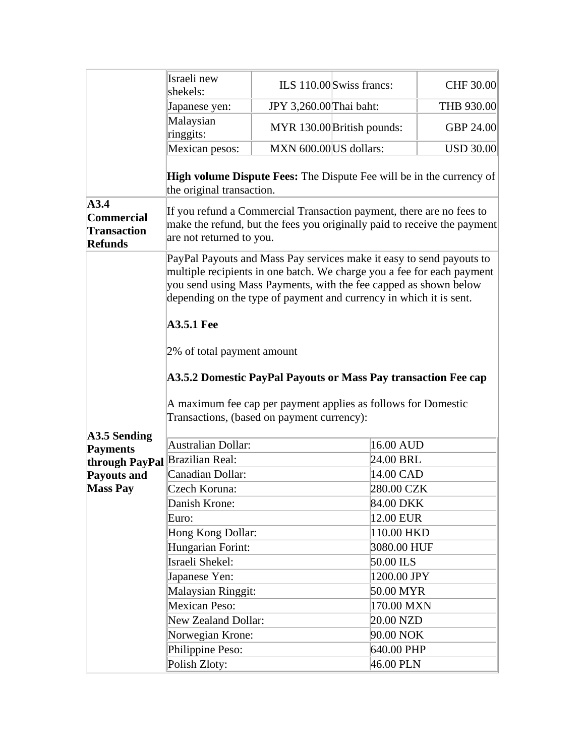|                                                                   | Israeli new                                                                                                                                                                                                                                                                                                   |                         |                                                               |                  |
|-------------------------------------------------------------------|---------------------------------------------------------------------------------------------------------------------------------------------------------------------------------------------------------------------------------------------------------------------------------------------------------------|-------------------------|---------------------------------------------------------------|------------------|
|                                                                   | shekels:                                                                                                                                                                                                                                                                                                      |                         | ILS 110.00 Swiss francs:                                      | CHF 30.00        |
|                                                                   | Japanese yen:                                                                                                                                                                                                                                                                                                 | JPY 3,260.00 Thai baht: |                                                               | THB 930.00       |
|                                                                   | Malaysian<br>ringgits:                                                                                                                                                                                                                                                                                        |                         | MYR 130.00 British pounds:                                    | <b>GBP 24.00</b> |
|                                                                   | Mexican pesos:                                                                                                                                                                                                                                                                                                | MXN 600.00 US dollars:  |                                                               | <b>USD 30.00</b> |
|                                                                   | <b>High volume Dispute Fees:</b> The Dispute Fee will be in the currency of<br>the original transaction.                                                                                                                                                                                                      |                         |                                                               |                  |
| A3.4<br><b>Commercial</b><br><b>Transaction</b><br><b>Refunds</b> | If you refund a Commercial Transaction payment, there are no fees to<br>make the refund, but the fees you originally paid to receive the payment<br>are not returned to you.                                                                                                                                  |                         |                                                               |                  |
|                                                                   | PayPal Payouts and Mass Pay services make it easy to send payouts to<br>multiple recipients in one batch. We charge you a fee for each payment<br>you send using Mass Payments, with the fee capped as shown below<br>depending on the type of payment and currency in which it is sent.<br><b>A3.5.1 Fee</b> |                         |                                                               |                  |
|                                                                   | 2% of total payment amount<br>A3.5.2 Domestic PayPal Payouts or Mass Pay transaction Fee cap<br>Transactions, (based on payment currency):                                                                                                                                                                    |                         | A maximum fee cap per payment applies as follows for Domestic |                  |
| A3.5 Sending                                                      | Australian Dollar:                                                                                                                                                                                                                                                                                            |                         | 16.00 AUD                                                     |                  |
| <b>Payments</b>                                                   | Brazilian Real:                                                                                                                                                                                                                                                                                               |                         | 24.00 BRL                                                     |                  |
| through PayPal                                                    | Canadian Dollar:                                                                                                                                                                                                                                                                                              |                         | 14.00 CAD                                                     |                  |
| <b>Payouts and</b><br><b>Mass Pay</b>                             | Czech Koruna:                                                                                                                                                                                                                                                                                                 |                         | 280.00 CZK                                                    |                  |
|                                                                   | Danish Krone:                                                                                                                                                                                                                                                                                                 |                         | 84.00 DKK                                                     |                  |
|                                                                   | Euro:                                                                                                                                                                                                                                                                                                         |                         | 12.00 EUR                                                     |                  |
|                                                                   | Hong Kong Dollar:                                                                                                                                                                                                                                                                                             |                         | 110.00 HKD                                                    |                  |
|                                                                   | Hungarian Forint:                                                                                                                                                                                                                                                                                             |                         | 3080.00 HUF                                                   |                  |
|                                                                   | Israeli Shekel:                                                                                                                                                                                                                                                                                               |                         | 50.00 ILS                                                     |                  |
|                                                                   | Japanese Yen:                                                                                                                                                                                                                                                                                                 |                         | 1200.00 JPY                                                   |                  |
|                                                                   | <b>Malaysian Ringgit:</b>                                                                                                                                                                                                                                                                                     |                         | 50.00 MYR                                                     |                  |
|                                                                   | <b>Mexican Peso:</b>                                                                                                                                                                                                                                                                                          |                         | 170.00 MXN                                                    |                  |
|                                                                   | <b>New Zealand Dollar:</b>                                                                                                                                                                                                                                                                                    |                         | 20.00 NZD                                                     |                  |
|                                                                   | Norwegian Krone:                                                                                                                                                                                                                                                                                              |                         | 90.00 NOK                                                     |                  |
|                                                                   | Philippine Peso:                                                                                                                                                                                                                                                                                              |                         | 640.00 PHP                                                    |                  |
|                                                                   | Polish Zloty:                                                                                                                                                                                                                                                                                                 |                         | 46.00 PLN                                                     |                  |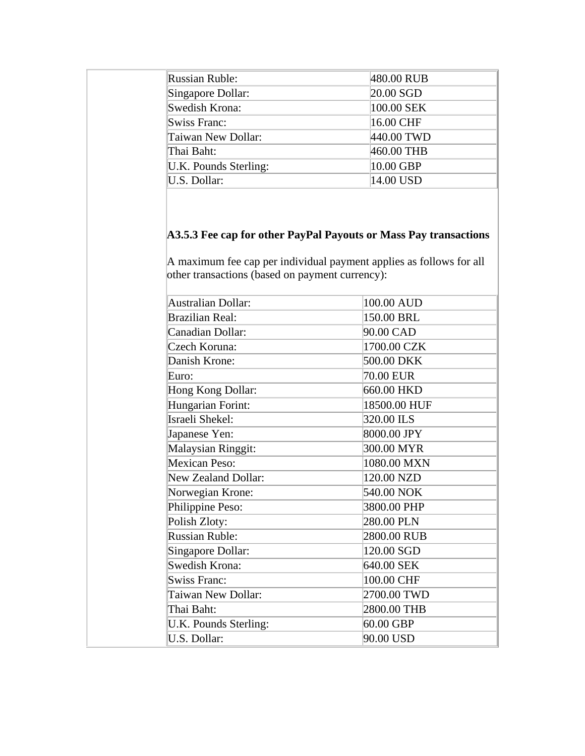| <b>Russian Ruble:</b> | 480.00 RUB  |
|-----------------------|-------------|
| Singapore Dollar:     | $20.00$ SGD |
| Swedish Krona:        | 100.00 SEK  |
| Swiss Franc:          | 16.00 CHF   |
| Taiwan New Dollar:    | 440.00 TWD  |
| Thai Baht:            | 460.00 THB  |
| U.K. Pounds Sterling: | 10.00 GBP   |
| U.S. Dollar:          | 14.00 USD   |

# **A3.5.3 Fee cap for other PayPal Payouts or Mass Pay transactions**

A maximum fee cap per individual payment applies as follows for all other transactions (based on payment currency):

| <b>Australian Dollar:</b>  | 100.00 AUD   |
|----------------------------|--------------|
| <b>Brazilian Real:</b>     | 150.00 BRL   |
| Canadian Dollar:           | 90.00 CAD    |
| Czech Koruna:              | 1700.00 CZK  |
| Danish Krone:              | 500.00 DKK   |
| Euro:                      | 70.00 EUR    |
| Hong Kong Dollar:          | 660.00 HKD   |
| Hungarian Forint:          | 18500.00 HUF |
| Israeli Shekel:            | 320.00 ILS   |
| Japanese Yen:              | 8000.00 JPY  |
| Malaysian Ringgit:         | 300.00 MYR   |
| Mexican Peso:              | 1080.00 MXN  |
| <b>New Zealand Dollar:</b> | 120.00 NZD   |
| Norwegian Krone:           | 540.00 NOK   |
| Philippine Peso:           | 3800.00 PHP  |
| Polish Zloty:              | 280.00 PLN   |
| <b>Russian Ruble:</b>      | 2800.00 RUB  |
| Singapore Dollar:          | 120.00 SGD   |
| Swedish Krona:             | 640.00 SEK   |
| <b>Swiss Franc:</b>        | 100.00 CHF   |
| Taiwan New Dollar:         | 2700.00 TWD  |
| Thai Baht:                 | 2800.00 THB  |
| U.K. Pounds Sterling:      | 60.00 GBP    |
| U.S. Dollar:               | 90.00 USD    |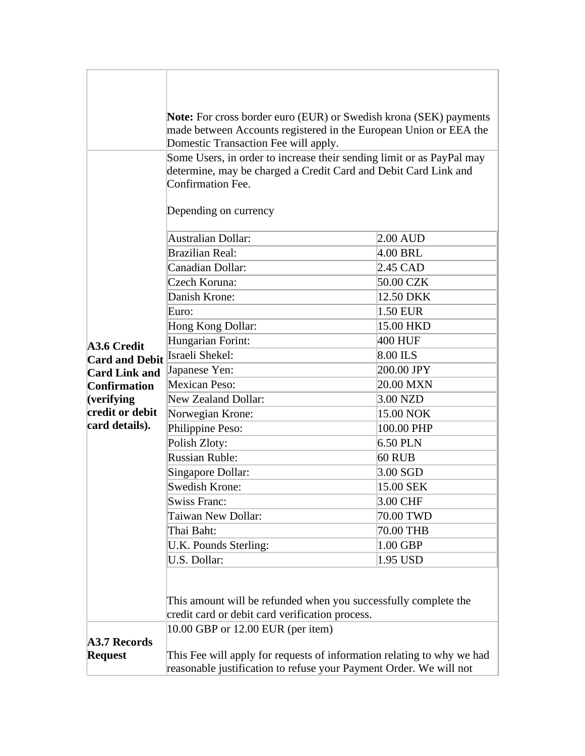|                                                                                                                    | <b>Note:</b> For cross border euro (EUR) or Swedish krona (SEK) payments                                                                                                               |            |  |
|--------------------------------------------------------------------------------------------------------------------|----------------------------------------------------------------------------------------------------------------------------------------------------------------------------------------|------------|--|
|                                                                                                                    | made between Accounts registered in the European Union or EEA the<br>Domestic Transaction Fee will apply.                                                                              |            |  |
|                                                                                                                    | Some Users, in order to increase their sending limit or as PayPal may<br>determine, may be charged a Credit Card and Debit Card Link and<br>Confirmation Fee.<br>Depending on currency |            |  |
|                                                                                                                    |                                                                                                                                                                                        |            |  |
|                                                                                                                    | Australian Dollar:                                                                                                                                                                     | $2.00$ AUD |  |
|                                                                                                                    | <b>Brazilian Real:</b>                                                                                                                                                                 | 4.00 BRL   |  |
|                                                                                                                    | Canadian Dollar:                                                                                                                                                                       | 2.45 CAD   |  |
|                                                                                                                    | Czech Koruna:                                                                                                                                                                          | 50.00 CZK  |  |
|                                                                                                                    | Danish Krone:                                                                                                                                                                          | 12.50 DKK  |  |
|                                                                                                                    | Euro:                                                                                                                                                                                  | 1.50 EUR   |  |
|                                                                                                                    | Hong Kong Dollar:                                                                                                                                                                      | 15.00 HKD  |  |
| A3.6 Credit                                                                                                        | Hungarian Forint:                                                                                                                                                                      | 400 HUF    |  |
| <b>Card and Debit</b>                                                                                              | Israeli Shekel:                                                                                                                                                                        | 8.00 ILS   |  |
| Japanese Yen:<br><b>Card Link and</b><br><b>Mexican Peso:</b><br><b>Confirmation</b>                               |                                                                                                                                                                                        | 200.00 JPY |  |
|                                                                                                                    |                                                                                                                                                                                        | 20.00 MXN  |  |
| $\sqrt{\text{verifying}}$                                                                                          | <b>New Zealand Dollar:</b>                                                                                                                                                             | 3.00 NZD   |  |
| credit or debit<br>Norwegian Krone:                                                                                |                                                                                                                                                                                        | 15.00 NOK  |  |
| card details).                                                                                                     | Philippine Peso:                                                                                                                                                                       | 100.00 PHP |  |
|                                                                                                                    | Polish Zloty:                                                                                                                                                                          | 6.50 PLN   |  |
|                                                                                                                    | <b>Russian Ruble:</b>                                                                                                                                                                  | 60 RUB     |  |
|                                                                                                                    | Singapore Dollar:                                                                                                                                                                      | $3.00$ SGD |  |
|                                                                                                                    | <b>Swedish Krone:</b>                                                                                                                                                                  | 15.00 SEK  |  |
|                                                                                                                    | <b>Swiss Franc:</b>                                                                                                                                                                    | 3.00 CHF   |  |
|                                                                                                                    | Taiwan New Dollar:                                                                                                                                                                     | 70.00 TWD  |  |
|                                                                                                                    | Thai Baht:                                                                                                                                                                             | 70.00 THB  |  |
|                                                                                                                    | U.K. Pounds Sterling:                                                                                                                                                                  | 1.00 GBP   |  |
|                                                                                                                    | U.S. Dollar:                                                                                                                                                                           | 1.95 USD   |  |
|                                                                                                                    |                                                                                                                                                                                        |            |  |
| This amount will be refunded when you successfully complete the<br>credit card or debit card verification process. |                                                                                                                                                                                        |            |  |
|                                                                                                                    | 10.00 GBP or 12.00 EUR (per item)                                                                                                                                                      |            |  |
| <b>A3.7 Records</b>                                                                                                |                                                                                                                                                                                        |            |  |
| <b>Request</b>                                                                                                     | This Fee will apply for requests of information relating to why we had<br>reasonable justification to refuse your Payment Order. We will not                                           |            |  |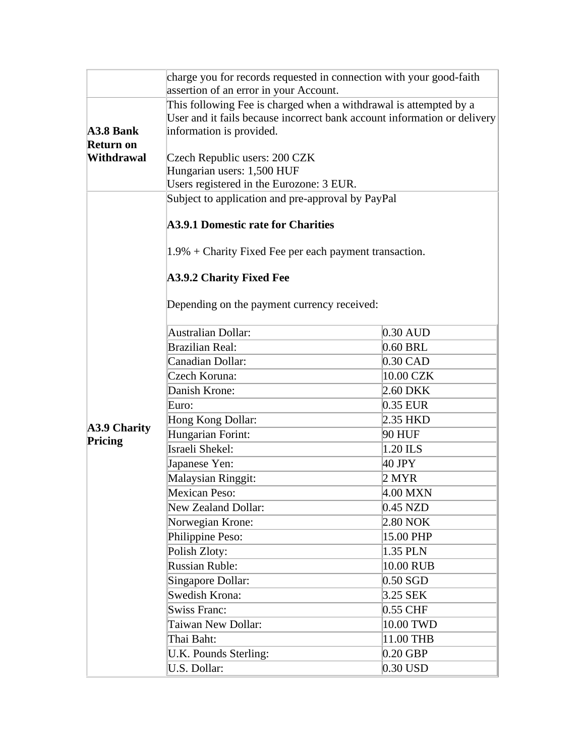|                     | charge you for records requested in connection with your good-faith      |            |  |
|---------------------|--------------------------------------------------------------------------|------------|--|
|                     | assertion of an error in your Account.                                   |            |  |
|                     | This following Fee is charged when a withdrawal is attempted by a        |            |  |
| $A3.8$ Bank         | User and it fails because incorrect bank account information or delivery |            |  |
| <b>Return on</b>    | information is provided.                                                 |            |  |
| <b>Withdrawal</b>   | Czech Republic users: 200 CZK                                            |            |  |
|                     | Hungarian users: 1,500 HUF                                               |            |  |
|                     | Users registered in the Eurozone: 3 EUR.                                 |            |  |
|                     | Subject to application and pre-approval by PayPal                        |            |  |
|                     |                                                                          |            |  |
|                     | <b>A3.9.1 Domestic rate for Charities</b>                                |            |  |
|                     | 1.9% + Charity Fixed Fee per each payment transaction.                   |            |  |
|                     | <b>A3.9.2 Charity Fixed Fee</b>                                          |            |  |
|                     | Depending on the payment currency received:                              |            |  |
|                     | Australian Dollar:                                                       | $0.30$ AUD |  |
|                     | <b>Brazilian Real:</b>                                                   | 0.60 BRL   |  |
|                     | Canadian Dollar:                                                         | $0.30$ CAD |  |
|                     | Czech Koruna:                                                            | 10.00 CZK  |  |
|                     | Danish Krone:                                                            | 2.60 DKK   |  |
|                     | Euro:                                                                    | 0.35 EUR   |  |
|                     | Hong Kong Dollar:                                                        | 2.35 HKD   |  |
| <b>A3.9 Charity</b> | Hungarian Forint:                                                        | 90 HUF     |  |
| Pricing             | Israeli Shekel:                                                          | 1.20 ILS   |  |
|                     | Japanese Yen:                                                            | 40 JPY     |  |
|                     | <b>Malaysian Ringgit:</b>                                                | 2 MYR      |  |
|                     | <b>Mexican Peso:</b>                                                     | 4.00 MXN   |  |
|                     | <b>New Zealand Dollar:</b>                                               | 0.45 NZD   |  |
|                     | Norwegian Krone:                                                         | 2.80 NOK   |  |
|                     | Philippine Peso:                                                         | 15.00 PHP  |  |
|                     | Polish Zloty:                                                            | 1.35 PLN   |  |
|                     | <b>Russian Ruble:</b>                                                    | 10.00 RUB  |  |
|                     | Singapore Dollar:                                                        | $0.50$ SGD |  |
|                     | <b>Swedish Krona:</b>                                                    | 3.25 SEK   |  |
|                     | <b>Swiss Franc:</b>                                                      | 0.55 CHF   |  |
|                     | Taiwan New Dollar:                                                       | 10.00 TWD  |  |
|                     | Thai Baht:                                                               | 11.00 THB  |  |
|                     | U.K. Pounds Sterling:                                                    | $0.20$ GBP |  |
|                     | U.S. Dollar:                                                             | $0.30$ USD |  |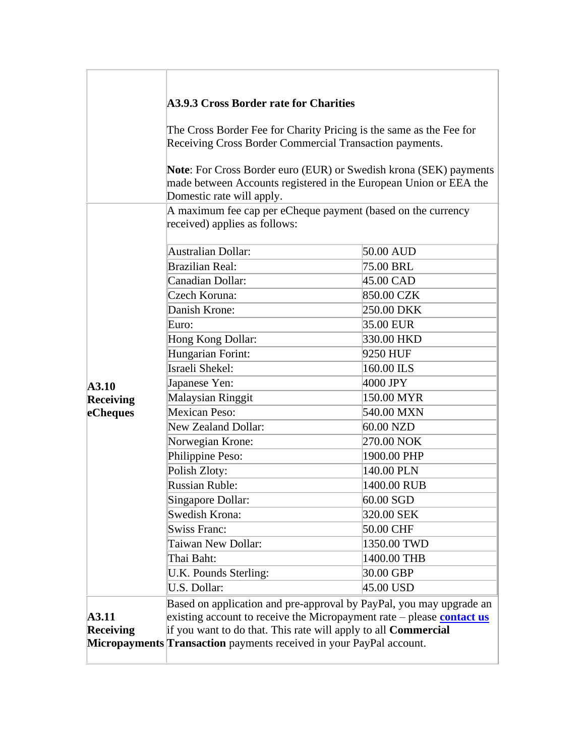| <b>A3.9.3 Cross Border rate for Charities</b><br>Receiving Cross Border Commercial Transaction payments.<br>Domestic rate will apply.<br>A maximum fee cap per eCheque payment (based on the currency<br>received) applies as follows:<br>Australian Dollar:<br>50.00 AUD<br><b>Brazilian Real:</b><br>75.00 BRL<br>Canadian Dollar:<br>45.00 CAD<br>Czech Koruna:<br>850.00 CZK<br>Danish Krone:<br>250.00 DKK<br>35.00 EUR<br>Euro:<br>330.00 HKD<br>Hong Kong Dollar:<br>Hungarian Forint:<br>9250 HUF<br>Israeli Shekel:<br>160.00 ILS<br>4000 JPY<br>Japanese Yen:<br><b>Malaysian Ringgit</b><br>150.00 MYR<br>Mexican Peso:<br>540.00 MXN<br><b>New Zealand Dollar:</b><br>60.00 NZD<br>270.00 NOK<br>Norwegian Krone:<br>Philippine Peso:<br>1900.00 PHP<br>Polish Zloty:<br>140.00 PLN<br><b>Russian Ruble:</b><br>1400.00 RUB<br>60.00 SGD<br>Singapore Dollar:<br>Swedish Krona:<br>320.00 SEK<br><b>Swiss Franc:</b><br>50.00 CHF<br>Taiwan New Dollar:<br>1350.00 TWD |  |                                                                     |                                                                                                                                                                                                                      |  |  |
|------------------------------------------------------------------------------------------------------------------------------------------------------------------------------------------------------------------------------------------------------------------------------------------------------------------------------------------------------------------------------------------------------------------------------------------------------------------------------------------------------------------------------------------------------------------------------------------------------------------------------------------------------------------------------------------------------------------------------------------------------------------------------------------------------------------------------------------------------------------------------------------------------------------------------------------------------------------------------------|--|---------------------------------------------------------------------|----------------------------------------------------------------------------------------------------------------------------------------------------------------------------------------------------------------------|--|--|
|                                                                                                                                                                                                                                                                                                                                                                                                                                                                                                                                                                                                                                                                                                                                                                                                                                                                                                                                                                                    |  |                                                                     | The Cross Border Fee for Charity Pricing is the same as the Fee for<br><b>Note:</b> For Cross Border euro (EUR) or Swedish krona (SEK) payments<br>made between Accounts registered in the European Union or EEA the |  |  |
|                                                                                                                                                                                                                                                                                                                                                                                                                                                                                                                                                                                                                                                                                                                                                                                                                                                                                                                                                                                    |  |                                                                     |                                                                                                                                                                                                                      |  |  |
|                                                                                                                                                                                                                                                                                                                                                                                                                                                                                                                                                                                                                                                                                                                                                                                                                                                                                                                                                                                    |  |                                                                     |                                                                                                                                                                                                                      |  |  |
|                                                                                                                                                                                                                                                                                                                                                                                                                                                                                                                                                                                                                                                                                                                                                                                                                                                                                                                                                                                    |  |                                                                     |                                                                                                                                                                                                                      |  |  |
|                                                                                                                                                                                                                                                                                                                                                                                                                                                                                                                                                                                                                                                                                                                                                                                                                                                                                                                                                                                    |  |                                                                     |                                                                                                                                                                                                                      |  |  |
|                                                                                                                                                                                                                                                                                                                                                                                                                                                                                                                                                                                                                                                                                                                                                                                                                                                                                                                                                                                    |  |                                                                     |                                                                                                                                                                                                                      |  |  |
|                                                                                                                                                                                                                                                                                                                                                                                                                                                                                                                                                                                                                                                                                                                                                                                                                                                                                                                                                                                    |  |                                                                     |                                                                                                                                                                                                                      |  |  |
|                                                                                                                                                                                                                                                                                                                                                                                                                                                                                                                                                                                                                                                                                                                                                                                                                                                                                                                                                                                    |  |                                                                     |                                                                                                                                                                                                                      |  |  |
|                                                                                                                                                                                                                                                                                                                                                                                                                                                                                                                                                                                                                                                                                                                                                                                                                                                                                                                                                                                    |  |                                                                     |                                                                                                                                                                                                                      |  |  |
|                                                                                                                                                                                                                                                                                                                                                                                                                                                                                                                                                                                                                                                                                                                                                                                                                                                                                                                                                                                    |  |                                                                     |                                                                                                                                                                                                                      |  |  |
|                                                                                                                                                                                                                                                                                                                                                                                                                                                                                                                                                                                                                                                                                                                                                                                                                                                                                                                                                                                    |  |                                                                     |                                                                                                                                                                                                                      |  |  |
|                                                                                                                                                                                                                                                                                                                                                                                                                                                                                                                                                                                                                                                                                                                                                                                                                                                                                                                                                                                    |  |                                                                     |                                                                                                                                                                                                                      |  |  |
| A3.10<br>Receiving<br>eCheques                                                                                                                                                                                                                                                                                                                                                                                                                                                                                                                                                                                                                                                                                                                                                                                                                                                                                                                                                     |  |                                                                     |                                                                                                                                                                                                                      |  |  |
|                                                                                                                                                                                                                                                                                                                                                                                                                                                                                                                                                                                                                                                                                                                                                                                                                                                                                                                                                                                    |  |                                                                     |                                                                                                                                                                                                                      |  |  |
|                                                                                                                                                                                                                                                                                                                                                                                                                                                                                                                                                                                                                                                                                                                                                                                                                                                                                                                                                                                    |  |                                                                     |                                                                                                                                                                                                                      |  |  |
|                                                                                                                                                                                                                                                                                                                                                                                                                                                                                                                                                                                                                                                                                                                                                                                                                                                                                                                                                                                    |  |                                                                     |                                                                                                                                                                                                                      |  |  |
|                                                                                                                                                                                                                                                                                                                                                                                                                                                                                                                                                                                                                                                                                                                                                                                                                                                                                                                                                                                    |  |                                                                     |                                                                                                                                                                                                                      |  |  |
|                                                                                                                                                                                                                                                                                                                                                                                                                                                                                                                                                                                                                                                                                                                                                                                                                                                                                                                                                                                    |  |                                                                     |                                                                                                                                                                                                                      |  |  |
|                                                                                                                                                                                                                                                                                                                                                                                                                                                                                                                                                                                                                                                                                                                                                                                                                                                                                                                                                                                    |  |                                                                     |                                                                                                                                                                                                                      |  |  |
|                                                                                                                                                                                                                                                                                                                                                                                                                                                                                                                                                                                                                                                                                                                                                                                                                                                                                                                                                                                    |  |                                                                     |                                                                                                                                                                                                                      |  |  |
|                                                                                                                                                                                                                                                                                                                                                                                                                                                                                                                                                                                                                                                                                                                                                                                                                                                                                                                                                                                    |  |                                                                     |                                                                                                                                                                                                                      |  |  |
|                                                                                                                                                                                                                                                                                                                                                                                                                                                                                                                                                                                                                                                                                                                                                                                                                                                                                                                                                                                    |  |                                                                     |                                                                                                                                                                                                                      |  |  |
|                                                                                                                                                                                                                                                                                                                                                                                                                                                                                                                                                                                                                                                                                                                                                                                                                                                                                                                                                                                    |  |                                                                     |                                                                                                                                                                                                                      |  |  |
|                                                                                                                                                                                                                                                                                                                                                                                                                                                                                                                                                                                                                                                                                                                                                                                                                                                                                                                                                                                    |  |                                                                     |                                                                                                                                                                                                                      |  |  |
|                                                                                                                                                                                                                                                                                                                                                                                                                                                                                                                                                                                                                                                                                                                                                                                                                                                                                                                                                                                    |  |                                                                     |                                                                                                                                                                                                                      |  |  |
|                                                                                                                                                                                                                                                                                                                                                                                                                                                                                                                                                                                                                                                                                                                                                                                                                                                                                                                                                                                    |  | Thai Baht:                                                          | 1400.00 THB                                                                                                                                                                                                          |  |  |
| 30.00 GBP<br>U.K. Pounds Sterling:                                                                                                                                                                                                                                                                                                                                                                                                                                                                                                                                                                                                                                                                                                                                                                                                                                                                                                                                                 |  |                                                                     |                                                                                                                                                                                                                      |  |  |
| U.S. Dollar:<br>45.00 USD                                                                                                                                                                                                                                                                                                                                                                                                                                                                                                                                                                                                                                                                                                                                                                                                                                                                                                                                                          |  |                                                                     |                                                                                                                                                                                                                      |  |  |
|                                                                                                                                                                                                                                                                                                                                                                                                                                                                                                                                                                                                                                                                                                                                                                                                                                                                                                                                                                                    |  | Based on application and pre-approval by PayPal, you may upgrade an |                                                                                                                                                                                                                      |  |  |
| existing account to receive the Micropayment rate – please contact us<br>A3.11                                                                                                                                                                                                                                                                                                                                                                                                                                                                                                                                                                                                                                                                                                                                                                                                                                                                                                     |  |                                                                     |                                                                                                                                                                                                                      |  |  |
| if you want to do that. This rate will apply to all <b>Commercial</b><br><b>Receiving</b>                                                                                                                                                                                                                                                                                                                                                                                                                                                                                                                                                                                                                                                                                                                                                                                                                                                                                          |  |                                                                     |                                                                                                                                                                                                                      |  |  |
| Micropayments Transaction payments received in your PayPal account.                                                                                                                                                                                                                                                                                                                                                                                                                                                                                                                                                                                                                                                                                                                                                                                                                                                                                                                |  |                                                                     |                                                                                                                                                                                                                      |  |  |

 $\overline{a}$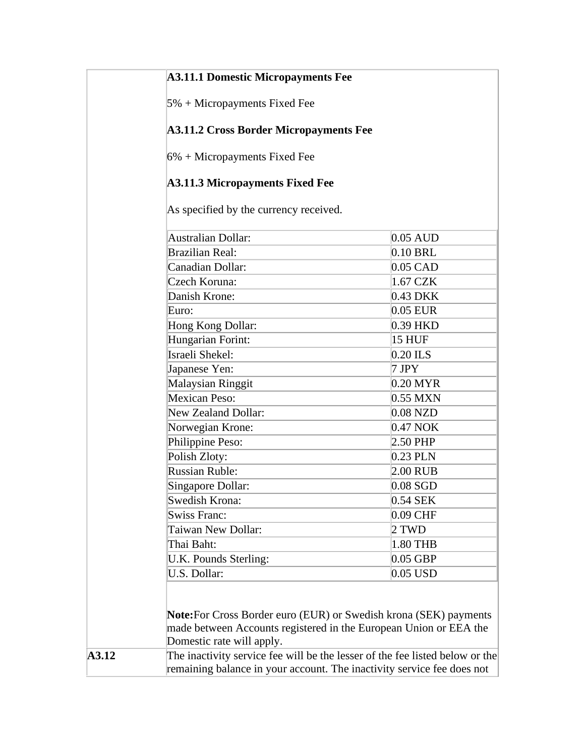#### **A3.11.1 Domestic Micropayments Fee**

5% + Micropayments Fixed Fee

#### **A3.11.2 Cross Border Micropayments Fee**

6% + Micropayments Fixed Fee

#### **A3.11.3 Micropayments Fixed Fee**

As specified by the currency received.

<span id="page-70-0"></span>

| <b>Australian Dollar:</b><br>Brazilian Real:<br>Canadian Dollar:<br>Czech Koruna:<br>Danish Krone:<br>Euro:<br>Hong Kong Dollar:<br>Hungarian Forint:<br>Israeli Shekel:<br>Japanese Yen:<br>Malaysian Ringgit<br>Mexican Peso:<br><b>New Zealand Dollar:</b> | $0.05$ AUD<br>$0.10$ BRL<br>$0.05$ CAD<br>1.67 CZK<br>0.43 DKK<br>$0.05$ EUR<br>0.39 HKD<br><b>15 HUF</b><br>$0.20$ ILS<br>7JPY<br>0.20 MYR<br>$0.55$ MXN |
|---------------------------------------------------------------------------------------------------------------------------------------------------------------------------------------------------------------------------------------------------------------|-----------------------------------------------------------------------------------------------------------------------------------------------------------|
|                                                                                                                                                                                                                                                               |                                                                                                                                                           |
|                                                                                                                                                                                                                                                               |                                                                                                                                                           |
|                                                                                                                                                                                                                                                               |                                                                                                                                                           |
|                                                                                                                                                                                                                                                               |                                                                                                                                                           |
|                                                                                                                                                                                                                                                               |                                                                                                                                                           |
|                                                                                                                                                                                                                                                               |                                                                                                                                                           |
|                                                                                                                                                                                                                                                               |                                                                                                                                                           |
|                                                                                                                                                                                                                                                               |                                                                                                                                                           |
|                                                                                                                                                                                                                                                               |                                                                                                                                                           |
|                                                                                                                                                                                                                                                               |                                                                                                                                                           |
|                                                                                                                                                                                                                                                               |                                                                                                                                                           |
|                                                                                                                                                                                                                                                               |                                                                                                                                                           |
|                                                                                                                                                                                                                                                               | $0.08$ NZD                                                                                                                                                |
| Norwegian Krone:                                                                                                                                                                                                                                              | $0.47$ NOK                                                                                                                                                |
| Philippine Peso:                                                                                                                                                                                                                                              | 2.50 PHP                                                                                                                                                  |
| Polish Zloty:                                                                                                                                                                                                                                                 | $0.23$ PLN                                                                                                                                                |
| <b>Russian Ruble:</b>                                                                                                                                                                                                                                         | $2.00$ RUB                                                                                                                                                |
| Singapore Dollar:                                                                                                                                                                                                                                             | $0.08$ SGD                                                                                                                                                |
| Swedish Krona:                                                                                                                                                                                                                                                | 0.54 SEK                                                                                                                                                  |
| <b>Swiss Franc:</b>                                                                                                                                                                                                                                           | 0.09 CHF                                                                                                                                                  |
| Taiwan New Dollar:                                                                                                                                                                                                                                            | 2 TWD                                                                                                                                                     |
| Thai Baht:                                                                                                                                                                                                                                                    | 1.80 THB                                                                                                                                                  |
| U.K. Pounds Sterling:                                                                                                                                                                                                                                         | $0.05$ GBP                                                                                                                                                |
| U.S. Dollar:                                                                                                                                                                                                                                                  | $0.05$ USD                                                                                                                                                |
|                                                                                                                                                                                                                                                               |                                                                                                                                                           |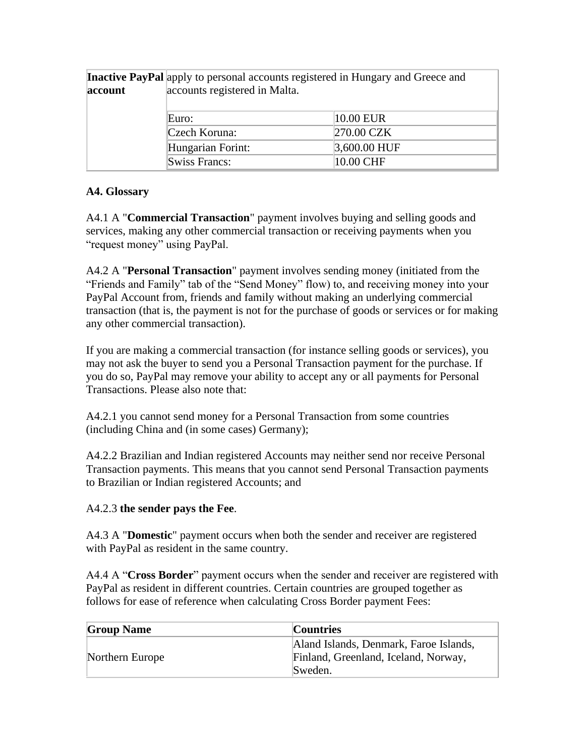|         | <b>Inactive PayPal</b> apply to personal accounts registered in Hungary and Greece and |                |
|---------|----------------------------------------------------------------------------------------|----------------|
| account | accounts registered in Malta.                                                          |                |
|         |                                                                                        |                |
|         | Euro:                                                                                  | 10.00 EUR      |
|         | Czech Koruna:                                                                          | 270.00 CZK     |
|         | Hungarian Forint:                                                                      | $3,600.00$ HUF |
|         | Swiss Francs:                                                                          | 10.00 CHF      |

#### **A4. Glossary**

A4.1 A "**Commercial Transaction**" payment involves buying and selling goods and services, making any other commercial transaction or receiving payments when you "request money" using PayPal.

A4.2 A "**Personal Transaction**" payment involves sending money (initiated from the "Friends and Family" tab of the "Send Money" flow) to, and receiving money into your PayPal Account from, friends and family without making an underlying commercial transaction (that is, the payment is not for the purchase of goods or services or for making any other commercial transaction).

If you are making a commercial transaction (for instance selling goods or services), you may not ask the buyer to send you a Personal Transaction payment for the purchase. If you do so, PayPal may remove your ability to accept any or all payments for Personal Transactions. Please also note that:

A4.2.1 you cannot send money for a Personal Transaction from some countries (including China and (in some cases) Germany);

A4.2.2 Brazilian and Indian registered Accounts may neither send nor receive Personal Transaction payments. This means that you cannot send Personal Transaction payments to Brazilian or Indian registered Accounts; and

#### A4.2.3 **the sender pays the Fee**.

A4.3 A "**Domestic**" payment occurs when both the sender and receiver are registered with PayPal as resident in the same country.

A4.4 A "**Cross Border**" payment occurs when the sender and receiver are registered with PayPal as resident in different countries. Certain countries are grouped together as follows for ease of reference when calculating Cross Border payment Fees:

| <b>Group Name</b> | <b>Countries</b>                                                                          |
|-------------------|-------------------------------------------------------------------------------------------|
| Northern Europe   | Aland Islands, Denmark, Faroe Islands,<br>Finland, Greenland, Iceland, Norway,<br>Sweden. |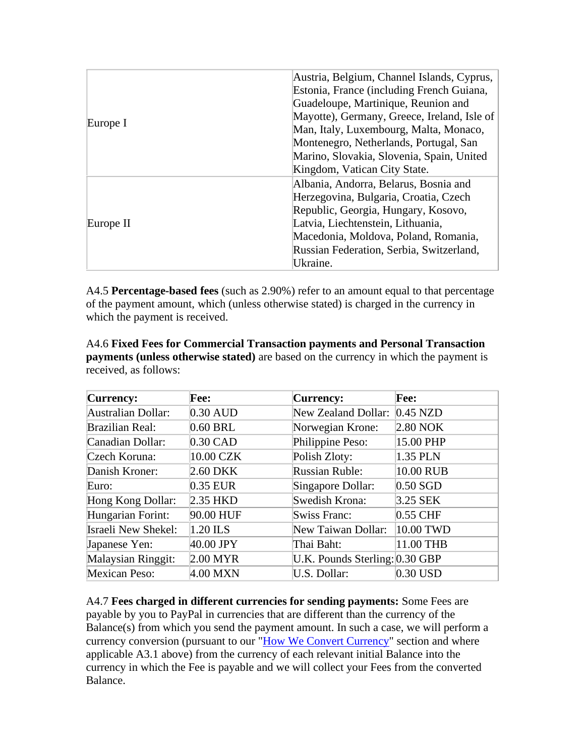| Europe I  | Austria, Belgium, Channel Islands, Cyprus,  |
|-----------|---------------------------------------------|
|           | Estonia, France (including French Guiana,   |
|           | Guadeloupe, Martinique, Reunion and         |
|           | Mayotte), Germany, Greece, Ireland, Isle of |
|           | Man, Italy, Luxembourg, Malta, Monaco,      |
|           | Montenegro, Netherlands, Portugal, San      |
|           | Marino, Slovakia, Slovenia, Spain, United   |
|           | Kingdom, Vatican City State.                |
| Europe II | Albania, Andorra, Belarus, Bosnia and       |
|           | Herzegovina, Bulgaria, Croatia, Czech       |
|           | Republic, Georgia, Hungary, Kosovo,         |
|           | Latvia, Liechtenstein, Lithuania,           |
|           | Macedonia, Moldova, Poland, Romania,        |
|           | Russian Federation, Serbia, Switzerland,    |
|           | Ukraine.                                    |

A4.5 **Percentage-based fees** (such as 2.90%) refer to an amount equal to that percentage of the payment amount, which (unless otherwise stated) is charged in the currency in which the payment is received.

A4.6 **Fixed Fees for Commercial Transaction payments and Personal Transaction payments (unless otherwise stated)** are based on the currency in which the payment is received, as follows:

| Currency:              | Fee:       | <b>Currency:</b>               | Fee:       |
|------------------------|------------|--------------------------------|------------|
| Australian Dollar:     | $0.30$ AUD | New Zealand Dollar:            | $0.45$ NZD |
| <b>Brazilian Real:</b> | $0.60$ BRL | Norwegian Krone:               | 2.80 NOK   |
| Canadian Dollar:       | $0.30$ CAD | Philippine Peso:               | 15.00 PHP  |
| Czech Koruna:          | 10.00 CZK  | Polish Zloty:                  | 1.35 PLN   |
| Danish Kroner:         | 2.60 DKK   | <b>Russian Ruble:</b>          | 10.00 RUB  |
| Euro:                  | 0.35 EUR   | Singapore Dollar:              | $0.50$ SGD |
| Hong Kong Dollar:      | $2.35$ HKD | Swedish Krona:                 | 3.25 SEK   |
| Hungarian Forint:      | 90.00 HUF  | Swiss Franc:                   | $0.55$ CHF |
| Israeli New Shekel:    | $1.20$ ILS | New Taiwan Dollar:             | 10.00 TWD  |
| Japanese Yen:          | 40.00 JPY  | Thai Baht:                     | 11.00 THB  |
| Malaysian Ringgit:     | $2.00$ MYR | U.K. Pounds Sterling: 0.30 GBP |            |
| <b>Mexican Peso:</b>   | 4.00 MXN   | U.S. Dollar:                   | $0.30$ USD |

A4.7 **Fees charged in different currencies for sending payments:** Some Fees are payable by you to PayPal in currencies that are different than the currency of the Balance(s) from which you send the payment amount. In such a case, we will perform a currency conversion (pursuant to our "How We Convert Currency" section and where applicable A3.1 above) from the currency of each relevant initial Balance into the currency in which the Fee is payable and we will collect your Fees from the converted Balance.